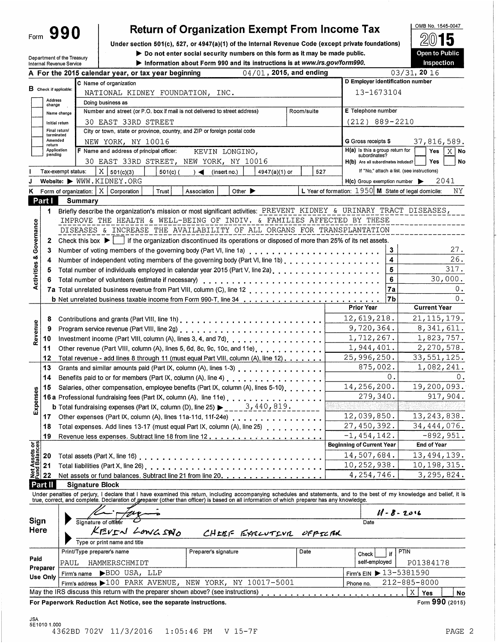| Form |  | 990 |  |
|------|--|-----|--|
|------|--|-----|--|

# **Return of Organization Exempt From Income Tax**

Under section 501(c), 527, or 4947(a)(1) of the Internal Revenue Code (except private foundations)

Do not enter social security numbers on this form as it may be made public.

Department of the Treasury Internal Revenue Service

Information about Form 990 and its instructions is at www.irs.gov/form990.

5 Open to Public Inspection

൭

OMB No. 1545-0047

|                                        |                               |                    | 04/01, 2015, and ending<br>A For the 2015 calendar year, or tax year beginning                                                                                                                                                                                                                                           |            |     |                                                        | 03/31, 20 16      |                     |             |
|----------------------------------------|-------------------------------|--------------------|--------------------------------------------------------------------------------------------------------------------------------------------------------------------------------------------------------------------------------------------------------------------------------------------------------------------------|------------|-----|--------------------------------------------------------|-------------------|---------------------|-------------|
|                                        |                               |                    | C Name of organization                                                                                                                                                                                                                                                                                                   |            |     | D Employer identification number                       |                   |                     |             |
|                                        | $\bf{B}$ Check if applicable: |                    | NATIONAL KIDNEY FOUNDATION, INC.                                                                                                                                                                                                                                                                                         |            |     | 13-1673104                                             |                   |                     |             |
|                                        | Address<br>change             |                    | Doing business as                                                                                                                                                                                                                                                                                                        |            |     |                                                        |                   |                     |             |
|                                        |                               | Name change        | Number and street (or P.O. box if mail is not delivered to street address)                                                                                                                                                                                                                                               | Room/suite |     | E Telephone number                                     |                   |                     |             |
|                                        |                               | Initial return     | 30 EAST 33RD STREET                                                                                                                                                                                                                                                                                                      |            |     | $(212)$ 889-2210                                       |                   |                     |             |
|                                        |                               | Final return/      | City or town, state or province, country, and ZIP or foreign postal code                                                                                                                                                                                                                                                 |            |     |                                                        |                   |                     |             |
|                                        | terminated<br>Amended         |                    | NEW YORK, NY 10016                                                                                                                                                                                                                                                                                                       |            |     | G Gross receipts \$                                    |                   | 37,816,589.         |             |
|                                        | return<br>Application         |                    | F Name and address of principal officer:<br>KEVIN LONGINO,                                                                                                                                                                                                                                                               |            |     | $H(a)$ is this a group return for                      |                   | <b>Yes</b>          | $X$   No    |
|                                        | pending                       |                    | 30 EAST 33RD STREET, NEW YORK, NY 10016                                                                                                                                                                                                                                                                                  |            |     | subordinates?<br>H(b) Are all subordinates included?   |                   | Yes                 | No          |
|                                        |                               | Tax-exempt status: | $X \big  501(c)(3)$<br>$501(c)$ (                                                                                                                                                                                                                                                                                        |            | 527 | If "No," attach a list. (see instructions)             |                   |                     |             |
|                                        |                               |                    | $) \triangleleft$ (insert no.)<br>4947(a)(1) or<br>Website: WWW.KIDNEY.ORG                                                                                                                                                                                                                                               |            |     | $H(c)$ Group exemption number $\blacktriangleright$    |                   |                     | 2041        |
|                                        |                               |                    | Form of organization: $\mid$ X $\mid$ Corporation                                                                                                                                                                                                                                                                        |            |     | L Year of formation: $1950$ M State of legal domicile: |                   |                     | ΝY          |
| κ                                      | Part I                        |                    | Trust<br>Other $\blacktriangleright$<br>Association                                                                                                                                                                                                                                                                      |            |     |                                                        |                   |                     |             |
|                                        |                               |                    | Summary                                                                                                                                                                                                                                                                                                                  |            |     |                                                        |                   |                     |             |
|                                        | 1.                            |                    | Briefly describe the organization's mission or most significant activities: PREVENT KIDNEY & URINARY TRACT DISEASES,                                                                                                                                                                                                     |            |     |                                                        |                   |                     |             |
| Governance                             |                               |                    | IMPROVE THE HEALTH & WELL-BEING OF INDIV. & FAMILIES AFFECTED BY THESE                                                                                                                                                                                                                                                   |            |     |                                                        |                   |                     |             |
|                                        |                               |                    | DISEASES & INCREASE THE AVAILABILITY OF ALL ORGANS FOR TRANSPLANTATION                                                                                                                                                                                                                                                   |            |     |                                                        |                   |                     |             |
|                                        | 2                             |                    | Check this box $\blacktriangleright$ $\lbrack \ldots \rbrack$ if the organization discontinued its operations or disposed of more than 25% of its net assets.                                                                                                                                                            |            |     |                                                        |                   |                     |             |
|                                        | 3                             |                    | Number of voting members of the governing body (Part VI, line 1a)                                                                                                                                                                                                                                                        |            |     |                                                        | 3                 |                     | 27.         |
|                                        | 4                             |                    | Number of independent voting members of the governing body (Part VI, line 1b)                                                                                                                                                                                                                                            |            |     |                                                        | 4                 |                     | 26.         |
| <b>Activities &amp;</b>                | 5                             |                    | Total number of individuals employed in calendar year 2015 (Part V, line 2a).                                                                                                                                                                                                                                            |            |     |                                                        | 5                 |                     | 317.        |
|                                        | 6                             |                    |                                                                                                                                                                                                                                                                                                                          |            |     |                                                        | 6                 |                     | 30,000.     |
|                                        |                               |                    |                                                                                                                                                                                                                                                                                                                          |            |     |                                                        | 7a                |                     | 0.          |
|                                        |                               |                    |                                                                                                                                                                                                                                                                                                                          |            |     |                                                        | 7b                |                     | 0.          |
|                                        |                               |                    |                                                                                                                                                                                                                                                                                                                          |            |     | <b>Prior Year</b>                                      |                   | <b>Current Year</b> |             |
|                                        | 8                             |                    |                                                                                                                                                                                                                                                                                                                          |            |     | 12,619,218.                                            |                   | 21, 115, 179.       |             |
| Revenue                                | 9                             |                    |                                                                                                                                                                                                                                                                                                                          |            |     | 9,720,364.                                             |                   | 8,341,611.          |             |
|                                        | 10                            |                    | Investment income (Part VIII, column (A), lines 3, 4, and 7d).                                                                                                                                                                                                                                                           |            |     | 1,712,267.                                             |                   | 1,823,757.          |             |
|                                        | 11                            |                    | Other revenue (Part VIII, column (A), lines 5, 6d, 8c, 9c, 10c, and 11e).                                                                                                                                                                                                                                                |            |     | 1,944,401.                                             |                   | 2,270,578.          |             |
|                                        | 12                            |                    | Total revenue - add lines 8 through 11 (must equal Part VIII, column (A), line 12).                                                                                                                                                                                                                                      |            |     | 25,996,250.                                            |                   | 33,551,125.         |             |
|                                        | 13                            |                    | Grants and similar amounts paid (Part IX, column (A), lines 1-3)                                                                                                                                                                                                                                                         |            |     | 875,002.                                               |                   | 1,082,241.          |             |
|                                        | 14                            |                    | Benefits paid to or for members (Part IX, column (A), line 4)                                                                                                                                                                                                                                                            |            |     |                                                        | 0.                |                     | 0.          |
|                                        |                               |                    | Salaries, other compensation, employee benefits (Part IX, column (A), lines 5-10).                                                                                                                                                                                                                                       |            |     | 14,256,200.                                            |                   | 19,200,093.         |             |
| Expenses                               | 15                            |                    |                                                                                                                                                                                                                                                                                                                          |            |     | 279,340.                                               |                   |                     | 917,904.    |
|                                        |                               |                    | 16 a Professional fundraising fees (Part IX, column (A), line 11e)                                                                                                                                                                                                                                                       |            |     |                                                        |                   |                     |             |
|                                        |                               |                    | <b>b</b> Total fundraising expenses (Part IX, column (D), line 25) $\rightarrow$ 3, 440, 819.                                                                                                                                                                                                                            |            |     | 12,039,850.                                            |                   | 13, 243, 838.       |             |
|                                        | 17                            |                    | Other expenses (Part IX, column (A), lines 11a-11d, 11f-24e)                                                                                                                                                                                                                                                             |            |     |                                                        |                   |                     |             |
|                                        | 18                            |                    | Total expenses. Add lines 13-17 (must equal Part IX, column (A), line 25)                                                                                                                                                                                                                                                |            |     | 27,450,392.                                            |                   | 34,444,076.         |             |
|                                        | 19                            |                    |                                                                                                                                                                                                                                                                                                                          |            |     | $-1,454,142.$                                          |                   |                     | $-892,951.$ |
| <b>Net Assets or<br/>Fund Balances</b> |                               |                    |                                                                                                                                                                                                                                                                                                                          |            |     | <b>Beginning of Current Year</b>                       |                   | End of Year         |             |
|                                        | 20                            |                    | Total assets (Part X, line 16)                                                                                                                                                                                                                                                                                           |            |     | 14,507,684.                                            |                   | 13,494,139.         |             |
|                                        | 21                            |                    |                                                                                                                                                                                                                                                                                                                          |            |     | 10,252,938.                                            |                   | 10,198,315.         |             |
|                                        | 22                            |                    | Net assets or fund balances. Subtract line 21 from line 20, , , , , , , , ,                                                                                                                                                                                                                                              |            |     | 4,254,746.                                             |                   | 3,295,824.          |             |
|                                        | Part II                       |                    | <b>Signature Block</b>                                                                                                                                                                                                                                                                                                   |            |     |                                                        |                   |                     |             |
|                                        |                               |                    | Under penalties of perjury, I declare that I have examined this return, including accompanying schedules and statements, and to the best of my knowledge and belief, it is<br>true, correct, and complete. Declaration of greparer (other than officer) is based on all information of which preparer has any knowledge. |            |     |                                                        |                   |                     |             |
|                                        |                               |                    |                                                                                                                                                                                                                                                                                                                          |            |     |                                                        |                   |                     |             |
|                                        |                               |                    |                                                                                                                                                                                                                                                                                                                          |            |     |                                                        | $11 - 8 - 2016$   |                     |             |
| Sign                                   |                               |                    | Signature of officer                                                                                                                                                                                                                                                                                                     |            |     | Date                                                   |                   |                     |             |
| Here                                   |                               |                    | KEVEN LOWGSNO<br>CHEEF EXELUTEVE OFFECEN                                                                                                                                                                                                                                                                                 |            |     |                                                        |                   |                     |             |
|                                        |                               |                    | Type or print name and title                                                                                                                                                                                                                                                                                             |            |     |                                                        |                   |                     |             |
|                                        |                               |                    | Preparer's signature<br>Print/Type preparer's name                                                                                                                                                                                                                                                                       | Date       |     | Check                                                  | <b>PTIN</b><br>if |                     |             |
| Paid                                   |                               | PAUL               | HAMMERSCHMIDT                                                                                                                                                                                                                                                                                                            |            |     | self-employed                                          |                   | P01384178           |             |
|                                        | Preparer                      |                    | BDO USA, LLP<br>Firm's name                                                                                                                                                                                                                                                                                              |            |     | Firm's EIN > 13-5381590                                |                   |                     |             |
|                                        | Use Only                      |                    | Firm's address >100 PARK AVENUE, NEW YORK, NY 10017-5001                                                                                                                                                                                                                                                                 |            |     | Phone no.                                              | 212-885-8000      |                     |             |
|                                        |                               |                    | May the IRS discuss this return with the preparer shown above? (see instructions)                                                                                                                                                                                                                                        |            |     | .                                                      | $X \vert$         | Yes                 | No          |
|                                        |                               |                    | For Paperwork Reduction Act Notice, see the separate instructions.                                                                                                                                                                                                                                                       |            |     |                                                        |                   | Form 990 (2015)     |             |
|                                        |                               |                    |                                                                                                                                                                                                                                                                                                                          |            |     |                                                        |                   |                     |             |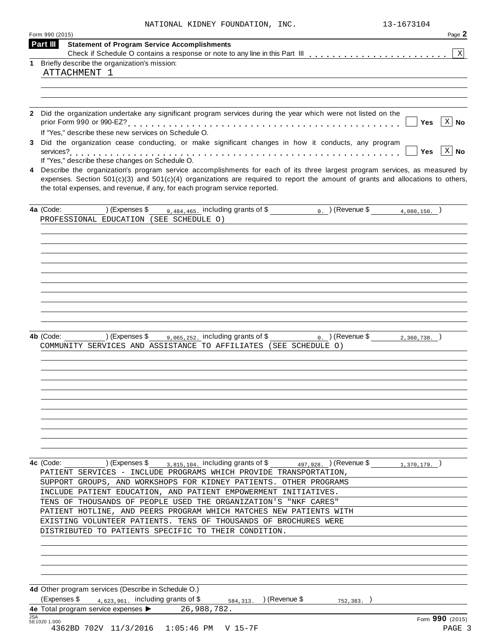|  |  | NATIONAL KIDNEY FOUNDATION, INC |  |
|--|--|---------------------------------|--|
|--|--|---------------------------------|--|

|              | Form 990 (2015)                                                                                                                    | Page 2                     |
|--------------|------------------------------------------------------------------------------------------------------------------------------------|----------------------------|
| Part III     | <b>Statement of Program Service Accomplishments</b>                                                                                |                            |
|              |                                                                                                                                    | X                          |
|              | 1 Briefly describe the organization's mission:<br>ATTACHMENT 1                                                                     |                            |
|              |                                                                                                                                    |                            |
|              |                                                                                                                                    |                            |
|              |                                                                                                                                    |                            |
|              | 2 Did the organization undertake any significant program services during the year which were not listed on the                     |                            |
|              |                                                                                                                                    | $X \mid$ No<br>Yes         |
|              | If "Yes," describe these new services on Schedule O.                                                                               |                            |
|              | 3 Did the organization cease conducting, or make significant changes in how it conducts, any program                               |                            |
|              | If "Yes," describe these changes on Schedule O.                                                                                    | $X \mid N$ o<br><b>Yes</b> |
| 4            | Describe the organization's program service accomplishments for each of its three largest program services, as measured by         |                            |
|              | expenses. Section $501(c)(3)$ and $501(c)(4)$ organizations are required to report the amount of grants and allocations to others, |                            |
|              | the total expenses, and revenue, if any, for each program service reported.                                                        |                            |
|              |                                                                                                                                    |                            |
|              | $9,484,465$ . including grants of \$<br>0. $($ Revenue \$ 4,080,150. $)$<br>4a (Code:<br>) (Expenses \$                            |                            |
|              | PROFESSIONAL EDUCATION (SEE SCHEDULE O)                                                                                            |                            |
|              |                                                                                                                                    |                            |
|              |                                                                                                                                    |                            |
|              |                                                                                                                                    |                            |
|              |                                                                                                                                    |                            |
|              |                                                                                                                                    |                            |
|              |                                                                                                                                    |                            |
|              |                                                                                                                                    |                            |
|              |                                                                                                                                    |                            |
|              |                                                                                                                                    |                            |
|              |                                                                                                                                    |                            |
|              | ) (Expenses \$<br>9,065,252. including grants of \$<br>4b (Code:<br>$_0$ . ) (Revenue \$                                           | $2,360,738.$ )             |
|              | COMMUNITY SERVICES AND ASSISTANCE TO AFFILIATES (SEE SCHEDULE O)                                                                   |                            |
|              |                                                                                                                                    |                            |
|              |                                                                                                                                    |                            |
|              |                                                                                                                                    |                            |
|              |                                                                                                                                    |                            |
|              |                                                                                                                                    |                            |
|              |                                                                                                                                    |                            |
|              |                                                                                                                                    |                            |
|              |                                                                                                                                    |                            |
|              |                                                                                                                                    |                            |
|              |                                                                                                                                    |                            |
|              | ) (Expenses \$ $_{3,815,104}$ , including grants of \$ $_{497,928}$ ) (Revenue \$ $_{1,370,179}$ )<br>4c (Code:                    |                            |
|              | PATIENT SERVICES - INCLUDE PROGRAMS WHICH PROVIDE TRANSPORTATION,                                                                  |                            |
|              | SUPPORT GROUPS, AND WORKSHOPS FOR KIDNEY PATIENTS. OTHER PROGRAMS                                                                  |                            |
|              | INCLUDE PATIENT EDUCATION, AND PATIENT EMPOWERMENT INITIATIVES.                                                                    |                            |
|              | TENS OF THOUSANDS OF PEOPLE USED THE ORGANIZATION'S "NKF CARES"                                                                    |                            |
|              | PATIENT HOTLINE, AND PEERS PROGRAM WHICH MATCHES NEW PATIENTS WITH                                                                 |                            |
|              | EXISTING VOLUNTEER PATIENTS. TENS OF THOUSANDS OF BROCHURES WERE                                                                   |                            |
|              | DISTRIBUTED TO PATIENTS SPECIFIC TO THEIR CONDITION.                                                                               |                            |
|              |                                                                                                                                    |                            |
|              |                                                                                                                                    |                            |
|              |                                                                                                                                    |                            |
|              |                                                                                                                                    |                            |
|              |                                                                                                                                    |                            |
|              | 4d Other program services (Describe in Schedule O.)                                                                                |                            |
|              | (Expenses \$ $_{4,623,961}$ including grants of \$<br>) (Revenue \$<br>584, 313.<br>752,383.                                       |                            |
| <b>JSA</b>   | 4e Total program service expenses > 26,988,782.                                                                                    |                            |
| 5E1020 1.000 |                                                                                                                                    | Form 990 (2015)            |
|              | 4362BD 702V 11/3/2016 1:05:46 PM V 15-7F                                                                                           | PAGE 3                     |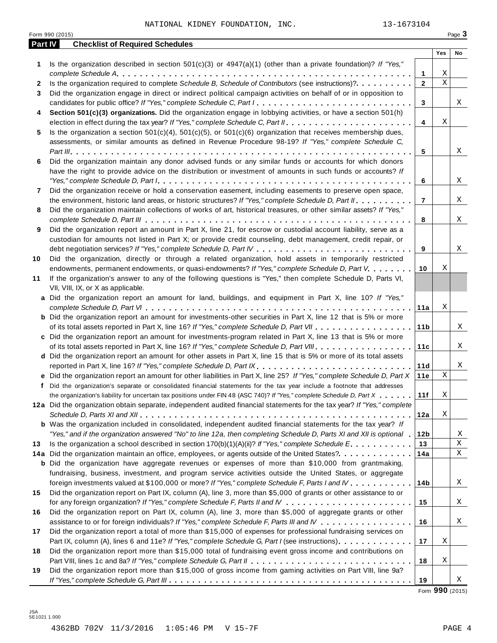NATIONAL KIDNEY FOUNDATION, INC. 13-1673104

|         | Form 990 (2015)                                                                                                                                                                                                               |                 |             | Page 3 |
|---------|-------------------------------------------------------------------------------------------------------------------------------------------------------------------------------------------------------------------------------|-----------------|-------------|--------|
| Part IV | <b>Checklist of Required Schedules</b>                                                                                                                                                                                        |                 |             |        |
|         |                                                                                                                                                                                                                               |                 | Yes         | No     |
| 1       | Is the organization described in section $501(c)(3)$ or $4947(a)(1)$ (other than a private foundation)? If "Yes,"                                                                                                             |                 |             |        |
|         |                                                                                                                                                                                                                               | 1               | Χ           |        |
| 2       | Is the organization required to complete Schedule B, Schedule of Contributors (see instructions)?.                                                                                                                            | $\mathbf{2}$    | $\mathbf X$ |        |
| 3       | Did the organization engage in direct or indirect political campaign activities on behalf of or in opposition to                                                                                                              |                 |             |        |
|         | candidates for public office? If "Yes," complete Schedule C, Part I.                                                                                                                                                          | 3               |             | Χ      |
| 4       | Section 501(c)(3) organizations. Did the organization engage in lobbying activities, or have a section 501(h)                                                                                                                 |                 | Χ           |        |
|         |                                                                                                                                                                                                                               | 4               |             |        |
| 5       | Is the organization a section $501(c)(4)$ , $501(c)(5)$ , or $501(c)(6)$ organization that receives membership dues,<br>assessments, or similar amounts as defined in Revenue Procedure 98-19? If "Yes," complete Schedule C, |                 |             |        |
|         |                                                                                                                                                                                                                               | 5               |             | X      |
| 6       | Did the organization maintain any donor advised funds or any similar funds or accounts for which donors                                                                                                                       |                 |             |        |
|         | have the right to provide advice on the distribution or investment of amounts in such funds or accounts? If                                                                                                                   |                 |             |        |
|         |                                                                                                                                                                                                                               | 6               |             | Χ      |
| 7       | Did the organization receive or hold a conservation easement, including easements to preserve open space,                                                                                                                     |                 |             |        |
|         | the environment, historic land areas, or historic structures? If "Yes," complete Schedule D, Part II.                                                                                                                         | $\overline{7}$  |             | Χ      |
| 8       | Did the organization maintain collections of works of art, historical treasures, or other similar assets? If "Yes,"                                                                                                           |                 |             |        |
|         |                                                                                                                                                                                                                               | 8               |             | X      |
| 9       | Did the organization report an amount in Part X, line 21, for escrow or custodial account liability, serve as a                                                                                                               |                 |             |        |
|         | custodian for amounts not listed in Part X; or provide credit counseling, debt management, credit repair, or                                                                                                                  |                 |             |        |
|         |                                                                                                                                                                                                                               | 9               |             | X      |
| 10      | Did the organization, directly or through a related organization, hold assets in temporarily restricted                                                                                                                       |                 |             |        |
|         | endowments, permanent endowments, or quasi-endowments? If "Yes," complete Schedule D, Part V.                                                                                                                                 | 10              | Χ           |        |
| 11      | If the organization's answer to any of the following questions is "Yes," then complete Schedule D, Parts VI,                                                                                                                  |                 |             |        |
|         | VII, VIII, IX, or X as applicable.                                                                                                                                                                                            |                 |             |        |
|         | a Did the organization report an amount for land, buildings, and equipment in Part X, line 10? If "Yes,"                                                                                                                      |                 |             |        |
|         |                                                                                                                                                                                                                               | 11a             | Χ           |        |
|         | <b>b</b> Did the organization report an amount for investments-other securities in Part X, line 12 that is 5% or more                                                                                                         |                 |             |        |
|         |                                                                                                                                                                                                                               | 11 <sub>b</sub> |             | X      |
|         | c Did the organization report an amount for investments-program related in Part X, line 13 that is 5% or more                                                                                                                 |                 |             |        |
|         |                                                                                                                                                                                                                               | 11c             |             | X      |
|         | d Did the organization report an amount for other assets in Part X, line 15 that is 5% or more of its total assets                                                                                                            |                 |             |        |
|         | reported in Part X, line 16? If "Yes," complete Schedule D, Part IX.                                                                                                                                                          | 11d             |             | X      |
|         | e Did the organization report an amount for other liabilities in Part X, line 25? If "Yes," complete Schedule D, Part X                                                                                                       | 11e             | $\mathbf X$ |        |
|         | f Did the organization's separate or consolidated financial statements for the tax year include a footnote that addresses                                                                                                     |                 |             |        |
|         | the organization's liability for uncertain tax positions under FIN 48 (ASC 740)? If "Yes," complete Schedule D, Part X                                                                                                        | 11f             | Χ           |        |
|         | 12a Did the organization obtain separate, independent audited financial statements for the tax year? If "Yes," complete                                                                                                       |                 |             |        |
|         |                                                                                                                                                                                                                               | 12a             | Χ           |        |
|         | <b>b</b> Was the organization included in consolidated, independent audited financial statements for the tax year? If                                                                                                         |                 |             |        |
|         | "Yes," and if the organization answered "No" to line 12a, then completing Schedule D, Parts XI and XII is optional .                                                                                                          | 12b             |             | Χ      |
| 13      | Is the organization a school described in section $170(b)(1)(A)(ii)?$ If "Yes," complete Schedule E.                                                                                                                          | 13              |             | Χ      |
|         | 14a Did the organization maintain an office, employees, or agents outside of the United States?.                                                                                                                              | 14a             |             | Χ      |
|         | <b>b</b> Did the organization have aggregate revenues or expenses of more than \$10,000 from grantmaking,                                                                                                                     |                 |             |        |
|         | fundraising, business, investment, and program service activities outside the United States, or aggregate                                                                                                                     |                 |             |        |
|         | foreign investments valued at \$100,000 or more? If "Yes," complete Schedule F, Parts I and IV                                                                                                                                | 14b             |             | Χ      |
| 15      | Did the organization report on Part IX, column (A), line 3, more than \$5,000 of grants or other assistance to or                                                                                                             |                 |             |        |
|         |                                                                                                                                                                                                                               | 15              |             | Χ      |
| 16      | Did the organization report on Part IX, column (A), line 3, more than \$5,000 of aggregate grants or other                                                                                                                    |                 |             |        |
|         | assistance to or for foreign individuals? If "Yes," complete Schedule F, Parts III and IV                                                                                                                                     | 16              |             | Χ      |
| 17      | Did the organization report a total of more than \$15,000 of expenses for professional fundraising services on                                                                                                                |                 |             |        |
|         | Part IX, column (A), lines 6 and 11e? If "Yes," complete Schedule G, Part I (see instructions)                                                                                                                                | 17              | Χ           |        |
| 18      | Did the organization report more than \$15,000 total of fundraising event gross income and contributions on                                                                                                                   |                 |             |        |
|         |                                                                                                                                                                                                                               | 18              | Χ           |        |
| 19      | Did the organization report more than \$15,000 of gross income from gaming activities on Part VIII, line 9a?                                                                                                                  |                 |             |        |
|         |                                                                                                                                                                                                                               | 19              |             | Χ      |

Form **990** (2015)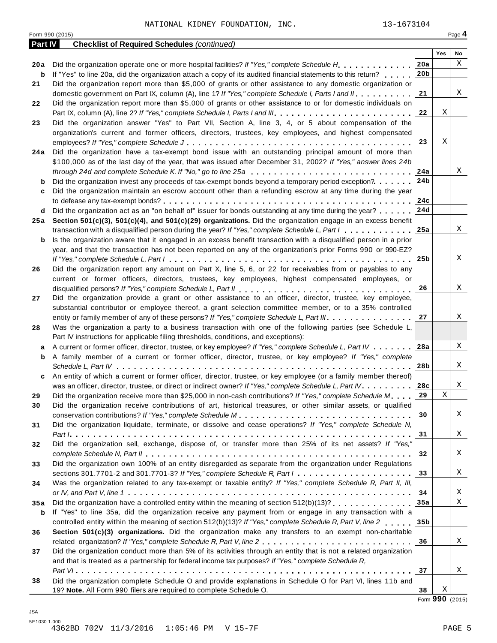|         | Form 990 (2015)                                                                                                        |                 |             | Page 4 |
|---------|------------------------------------------------------------------------------------------------------------------------|-----------------|-------------|--------|
| Part IV | <b>Checklist of Required Schedules (continued)</b>                                                                     |                 |             |        |
|         |                                                                                                                        |                 | Yes         | No     |
| 20 a    | Did the organization operate one or more hospital facilities? If "Yes," complete Schedule H.                           | 20a             |             | Χ      |
| b       | If "Yes" to line 20a, did the organization attach a copy of its audited financial statements to this return?           | 20 <sub>b</sub> |             |        |
| 21      | Did the organization report more than \$5,000 of grants or other assistance to any domestic organization or            |                 |             |        |
|         | domestic government on Part IX, column (A), line 1? If "Yes," complete Schedule I, Parts I and II.                     | 21              |             | X      |
| 22      | Did the organization report more than \$5,000 of grants or other assistance to or for domestic individuals on          |                 |             |        |
|         |                                                                                                                        | 22              | Χ           |        |
| 23      | Did the organization answer "Yes" to Part VII, Section A, line 3, 4, or 5 about compensation of the                    |                 |             |        |
|         | organization's current and former officers, directors, trustees, key employees, and highest compensated                |                 |             |        |
|         |                                                                                                                        | 23              | Χ           |        |
| 24 a    | Did the organization have a tax-exempt bond issue with an outstanding principal amount of more than                    |                 |             |        |
|         | \$100,000 as of the last day of the year, that was issued after December 31, 2002? If "Yes," answer lines 24b          |                 |             |        |
|         | through 24d and complete Schedule K. If "No," go to line 25a                                                           | 24a             |             | Χ      |
| b       | Did the organization invest any proceeds of tax-exempt bonds beyond a temporary period exception?                      | 24b             |             |        |
| c       | Did the organization maintain an escrow account other than a refunding escrow at any time during the year              |                 |             |        |
|         |                                                                                                                        | 24c             |             |        |
| d       | Did the organization act as an "on behalf of" issuer for bonds outstanding at any time during the year?                | 24d             |             |        |
| 25 a    | Section 501(c)(3), 501(c)(4), and 501(c)(29) organizations. Did the organization engage in an excess benefit           |                 |             |        |
|         | transaction with a disqualified person during the year? If "Yes," complete Schedule L, Part I                          | 25a             |             | Χ      |
| b       | Is the organization aware that it engaged in an excess benefit transaction with a disqualified person in a prior       |                 |             |        |
|         | year, and that the transaction has not been reported on any of the organization's prior Forms 990 or 990-EZ?           | 25 <sub>b</sub> |             | X      |
|         | Did the organization report any amount on Part X, line 5, 6, or 22 for receivables from or payables to any             |                 |             |        |
| 26      | current or former officers, directors, trustees, key employees, highest compensated employees, or                      |                 |             |        |
|         |                                                                                                                        | 26              |             | X      |
| 27      | Did the organization provide a grant or other assistance to an officer, director, trustee, key employee,               |                 |             |        |
|         | substantial contributor or employee thereof, a grant selection committee member, or to a 35% controlled                |                 |             |        |
|         | entity or family member of any of these persons? If "Yes," complete Schedule L, Part III.                              | 27              |             | X      |
| 28      | Was the organization a party to a business transaction with one of the following parties (see Schedule L,              |                 |             |        |
|         | Part IV instructions for applicable filing thresholds, conditions, and exceptions):                                    |                 |             |        |
| a       | A current or former officer, director, trustee, or key employee? If "Yes," complete Schedule L, Part IV                | 28a             |             | X      |
| b       | A family member of a current or former officer, director, trustee, or key employee? If "Yes," complete                 |                 |             |        |
|         |                                                                                                                        | 28b             |             | Χ      |
| c       | An entity of which a current or former officer, director, trustee, or key employee (or a family member thereof)        |                 |             |        |
|         | was an officer, director, trustee, or direct or indirect owner? If "Yes," complete Schedule L, Part IV.                | 28c             |             | X      |
| 29      | Did the organization receive more than \$25,000 in non-cash contributions? If "Yes," complete Schedule M               | 29              | $\mathbf X$ |        |
| 30      | Did the organization receive contributions of art, historical treasures, or other similar assets, or qualified         |                 |             |        |
|         |                                                                                                                        | 30              |             | X      |
| 31      | Did the organization liquidate, terminate, or dissolve and cease operations? If "Yes," complete Schedule N,            |                 |             |        |
|         |                                                                                                                        | 31              |             | Χ      |
| 32      | Did the organization sell, exchange, dispose of, or transfer more than 25% of its net assets? If "Yes,"                |                 |             |        |
|         |                                                                                                                        | 32              |             | Χ      |
| 33      | Did the organization own 100% of an entity disregarded as separate from the organization under Regulations             |                 |             |        |
|         | sections 301.7701-2 and 301.7701-3? If "Yes," complete Schedule R, Part $l_1, \ldots, l_l, l_l, \ldots, l_l, l_l, l_l$ | 33              |             | Χ      |
| 34      | Was the organization related to any tax-exempt or taxable entity? If "Yes," complete Schedule R, Part II, III,         |                 |             |        |
|         |                                                                                                                        | 34              |             | Χ      |
| 35a     | Did the organization have a controlled entity within the meaning of section 512(b)(13)?                                | 35a             |             | Χ      |
| b       | If "Yes" to line 35a, did the organization receive any payment from or engage in any transaction with a                |                 |             |        |
|         | controlled entity within the meaning of section 512(b)(13)? If "Yes," complete Schedule R, Part V, line 2              | 35b             |             |        |
| 36      | Section 501(c)(3) organizations. Did the organization make any transfers to an exempt non-charitable                   |                 |             |        |
|         |                                                                                                                        | 36              |             | Χ      |
| 37      | Did the organization conduct more than 5% of its activities through an entity that is not a related organization       |                 |             |        |
|         | and that is treated as a partnership for federal income tax purposes? If "Yes," complete Schedule R,                   |                 |             |        |
|         |                                                                                                                        | 37              |             | Χ      |
| 38      | Did the organization complete Schedule O and provide explanations in Schedule O for Part VI, lines 11b and             |                 |             |        |
|         | 19? Note. All Form 990 filers are required to complete Schedule O.                                                     | 38              | Χ           |        |

Form **990** (2015)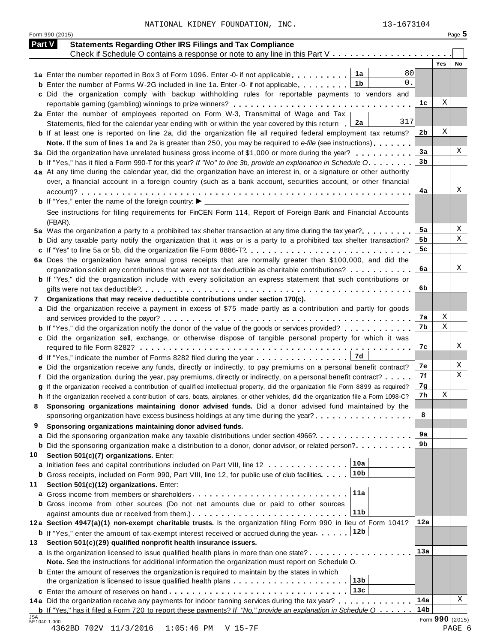NATIONAL KIDNEY FOUNDATION, INC. 13-1673104

Form <sup>990</sup> (2015) Page **5**

| <b>Part V</b> | <b>Statements Regarding Other IRS Filings and Tax Compliance</b>                                                                     |                 |                 |    |
|---------------|--------------------------------------------------------------------------------------------------------------------------------------|-----------------|-----------------|----|
|               | Check if Schedule O contains a response or note to any line in this Part V                                                           |                 |                 |    |
|               | 80                                                                                                                                   |                 | <b>Yes</b>      | No |
|               | 1a<br>1a Enter the number reported in Box 3 of Form 1096. Enter -0- if not applicable<br>0.                                          |                 |                 |    |
|               | 1b<br><b>b</b> Enter the number of Forms W-2G included in line 1a. Enter -0- if not applicable                                       |                 |                 |    |
|               | c Did the organization comply with backup withholding rules for reportable payments to vendors and                                   |                 | Χ               |    |
|               |                                                                                                                                      | 1c              |                 |    |
|               | 2a Enter the number of employees reported on Form W-3, Transmittal of Wage and Tax<br>317                                            |                 |                 |    |
|               | 2a<br>Statements, filed for the calendar year ending with or within the year covered by this return                                  |                 | Χ               |    |
|               | <b>b</b> If at least one is reported on line 2a, did the organization file all required federal employment tax returns?              | 2b              |                 |    |
|               | Note. If the sum of lines 1a and 2a is greater than 250, you may be required to e-file (see instructions)                            |                 |                 |    |
|               | 3a Did the organization have unrelated business gross income of \$1,000 or more during the year?                                     | 3a              |                 | Χ  |
|               | <b>b</b> If "Yes," has it filed a Form 990-T for this year? If "No" to line 3b, provide an explanation in Schedule O.                | 3 <sub>b</sub>  |                 |    |
|               | 4a At any time during the calendar year, did the organization have an interest in, or a signature or other authority                 |                 |                 |    |
|               | over, a financial account in a foreign country (such as a bank account, securities account, or other financial                       |                 |                 |    |
|               |                                                                                                                                      | 4a              |                 | Χ  |
|               |                                                                                                                                      |                 |                 |    |
|               | See instructions for filing requirements for FinCEN Form 114, Report of Foreign Bank and Financial Accounts                          |                 |                 |    |
|               | (FBAR).                                                                                                                              |                 |                 |    |
|               | 5a Was the organization a party to a prohibited tax shelter transaction at any time during the tax year?                             | 5a              |                 | X  |
|               | <b>b</b> Did any taxable party notify the organization that it was or is a party to a prohibited tax shelter transaction?            | 5b              |                 | Χ  |
|               |                                                                                                                                      | 5c              |                 |    |
|               | 6a Does the organization have annual gross receipts that are normally greater than \$100,000, and did the                            |                 |                 |    |
|               | organization solicit any contributions that were not tax deductible as charitable contributions?                                     | 6a              |                 | Χ  |
|               | b If "Yes," did the organization include with every solicitation an express statement that such contributions or                     |                 |                 |    |
|               |                                                                                                                                      | 6b              |                 |    |
| 7             | Organizations that may receive deductible contributions under section 170(c).                                                        |                 |                 |    |
|               | a Did the organization receive a payment in excess of \$75 made partly as a contribution and partly for goods                        |                 |                 |    |
|               |                                                                                                                                      | 7а              | Χ               |    |
|               | <b>b</b> If "Yes," did the organization notify the donor of the value of the goods or services provided?                             | 7b              | Χ               |    |
|               | c Did the organization sell, exchange, or otherwise dispose of tangible personal property for which it was                           |                 |                 |    |
|               |                                                                                                                                      | 7c              |                 | Χ  |
|               | 7d<br>d If "Yes," indicate the number of Forms 8282 filed during the year                                                            |                 |                 |    |
|               | e Did the organization receive any funds, directly or indirectly, to pay premiums on a personal benefit contract?                    | 7е              |                 | X  |
|               | f Did the organization, during the year, pay premiums, directly or indirectly, on a personal benefit contract?                       | 7f              |                 | Χ  |
|               | g If the organization received a contribution of qualified intellectual property, did the organization file Form 8899 as required?   | 7g              |                 |    |
|               | h If the organization received a contribution of cars, boats, airplanes, or other vehicles, did the organization file a Form 1098-C? | 7h              | Χ               |    |
|               | Sponsoring organizations maintaining donor advised funds. Did a donor advised fund maintained by the                                 |                 |                 |    |
|               | sponsoring organization have excess business holdings at any time during the year?                                                   | 8               |                 |    |
| 9             | Sponsoring organizations maintaining donor advised funds.                                                                            |                 |                 |    |
|               | a Did the sponsoring organization make any taxable distributions under section 4966?                                                 | 9a              |                 |    |
|               | <b>b</b> Did the sponsoring organization make a distribution to a donor, donor advisor, or related person?                           | 9b              |                 |    |
| 10            | Section 501(c)(7) organizations. Enter:                                                                                              |                 |                 |    |
|               | 10a<br>a Initiation fees and capital contributions included on Part VIII, line 12                                                    |                 |                 |    |
|               | 10 <sub>b</sub><br><b>b</b> Gross receipts, included on Form 990, Part VIII, line 12, for public use of club facilities.             |                 |                 |    |
| 11            | Section 501(c)(12) organizations. Enter:                                                                                             |                 |                 |    |
|               | 11a<br><b>a</b> Gross income from members or shareholders                                                                            |                 |                 |    |
|               | <b>b</b> Gross income from other sources (Do not net amounts due or paid to other sources                                            |                 |                 |    |
|               | 11 <sub>b</sub>                                                                                                                      |                 |                 |    |
|               | 12a Section 4947(a)(1) non-exempt charitable trusts. Is the organization filing Form 990 in lieu of Form 1041?                       | 12a             |                 |    |
|               | 12b<br><b>b</b> If "Yes," enter the amount of tax-exempt interest received or accrued during the year                                |                 |                 |    |
| 13            | Section 501(c)(29) qualified nonprofit health insurance issuers.                                                                     |                 |                 |    |
|               | a Is the organization licensed to issue qualified health plans in more than one state?                                               | 13a             |                 |    |
|               | Note. See the instructions for additional information the organization must report on Schedule O.                                    |                 |                 |    |
|               |                                                                                                                                      |                 |                 |    |
|               | <b>b</b> Enter the amount of reserves the organization is required to maintain by the states in which<br>13 <sub>b</sub>             |                 |                 |    |
|               |                                                                                                                                      |                 |                 |    |
|               | 13c                                                                                                                                  |                 |                 |    |
|               | 14a Did the organization receive any payments for indoor tanning services during the tax year?                                       | 14a             |                 | X  |
| JSA           | <b>b</b> If "Yes," has it filed a Form 720 to report these payments? If "No," provide an explanation in Schedule $0$                 | 14 <sub>b</sub> |                 |    |
|               | 5E1040 1.000                                                                                                                         |                 | Form 990 (2015) |    |

4362BD 702V 11/3/2016 1:05:46 PM V 15-7F PAGE 6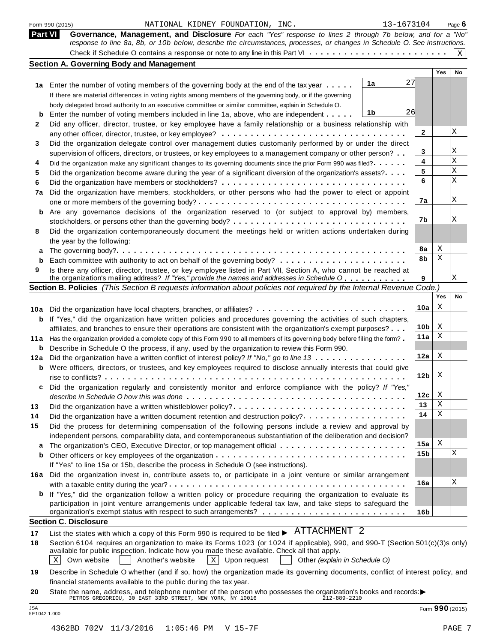|     | Form 990 (2015)<br>NATIONAL KIDNEY FOUNDATION, INC.                                                                                                                                                                                                | 13-1673104      |        | Page $6$    |
|-----|----------------------------------------------------------------------------------------------------------------------------------------------------------------------------------------------------------------------------------------------------|-----------------|--------|-------------|
|     | Part VI<br>Governance, Management, and Disclosure For each "Yes" response to lines 2 through 7b below, and for a "No"<br>response to line 8a, 8b, or 10b below, describe the circumstances, processes, or changes in Schedule O. See instructions. |                 |        |             |
|     |                                                                                                                                                                                                                                                    |                 |        | $\mathbf X$ |
|     | <b>Section A. Governing Body and Management</b>                                                                                                                                                                                                    |                 |        |             |
|     |                                                                                                                                                                                                                                                    |                 | Yes    | No          |
|     | 1a<br>1a Enter the number of voting members of the governing body at the end of the tax year                                                                                                                                                       | 27              |        |             |
|     | If there are material differences in voting rights among members of the governing body, or if the governing                                                                                                                                        |                 |        |             |
|     | body delegated broad authority to an executive committee or similar committee, explain in Schedule O.                                                                                                                                              |                 |        |             |
| b   | 1b<br>Enter the number of voting members included in line 1a, above, who are independent                                                                                                                                                           | 26              |        |             |
| 2   | Did any officer, director, trustee, or key employee have a family relationship or a business relationship with                                                                                                                                     |                 |        |             |
|     |                                                                                                                                                                                                                                                    | 2               |        | Χ           |
| 3   | Did the organization delegate control over management duties customarily performed by or under the direct                                                                                                                                          |                 |        |             |
|     | supervision of officers, directors, or trustees, or key employees to a management company or other person?                                                                                                                                         | 3               |        | Χ           |
| 4   | Did the organization make any significant changes to its governing documents since the prior Form 990 was filed?                                                                                                                                   | 4               |        | Χ           |
| 5   | Did the organization become aware during the year of a significant diversion of the organization's assets?                                                                                                                                         | 5               |        | Χ           |
| 6   |                                                                                                                                                                                                                                                    | 6               |        | X           |
| 7a  | Did the organization have members, stockholders, or other persons who had the power to elect or appoint                                                                                                                                            |                 |        |             |
|     |                                                                                                                                                                                                                                                    | 7a              |        | Χ           |
| b   | Are any governance decisions of the organization reserved to (or subject to approval by) members,                                                                                                                                                  |                 |        |             |
|     |                                                                                                                                                                                                                                                    | 7b              |        | Χ           |
| 8   | Did the organization contemporaneously document the meetings held or written actions undertaken during                                                                                                                                             |                 |        |             |
|     | the year by the following:                                                                                                                                                                                                                         |                 |        |             |
| a   |                                                                                                                                                                                                                                                    | 8а<br>8b        | Χ<br>Χ |             |
| b   |                                                                                                                                                                                                                                                    |                 |        |             |
| 9   | Is there any officer, director, trustee, or key employee listed in Part VII, Section A, who cannot be reached at<br>the organization's mailing address? If "Yes," provide the names and addresses in Schedule O                                    | 9               |        | Χ           |
|     | Section B. Policies (This Section B requests information about policies not required by the Internal Revenue Code.)                                                                                                                                |                 |        |             |
|     |                                                                                                                                                                                                                                                    |                 | Yes    | No          |
| 10a | Did the organization have local chapters, branches, or affiliates?                                                                                                                                                                                 | 10a             | X      |             |
| b   | If "Yes," did the organization have written policies and procedures governing the activities of such chapters,                                                                                                                                     |                 |        |             |
|     | affiliates, and branches to ensure their operations are consistent with the organization's exempt purposes?                                                                                                                                        | 10 <sub>b</sub> | X      |             |
| 11a | Has the organization provided a complete copy of this Form 990 to all members of its governing body before filing the form?                                                                                                                        | 11a             | X      |             |
| b   | Describe in Schedule O the process, if any, used by the organization to review this Form 990.                                                                                                                                                      |                 |        |             |
| 12a | Did the organization have a written conflict of interest policy? If "No," go to line 13                                                                                                                                                            | 12a             | X      |             |
| b   | Were officers, directors, or trustees, and key employees required to disclose annually interests that could give                                                                                                                                   |                 |        |             |
|     |                                                                                                                                                                                                                                                    | 12 <sub>b</sub> | X      |             |
|     | Did the organization regularly and consistently monitor and enforce compliance with the policy? If "Yes,                                                                                                                                           |                 |        |             |
|     |                                                                                                                                                                                                                                                    | 12c             | X      |             |
| 13  | Did the organization have a written whistleblower policy?                                                                                                                                                                                          | 13              | Χ      |             |
| 14  | Did the organization have a written document retention and destruction policy?                                                                                                                                                                     | 14              | Χ      |             |
| 15  | Did the process for determining compensation of the following persons include a review and approval by                                                                                                                                             |                 |        |             |
|     | independent persons, comparability data, and contemporaneous substantiation of the deliberation and decision?                                                                                                                                      |                 |        |             |
| a   | The organization's CEO, Executive Director, or top management official                                                                                                                                                                             | 15a             | X      |             |
| b   |                                                                                                                                                                                                                                                    | 15b             |        | Χ           |
|     | If "Yes" to line 15a or 15b, describe the process in Schedule O (see instructions).                                                                                                                                                                |                 |        |             |
|     | 16a Did the organization invest in, contribute assets to, or participate in a joint venture or similar arrangement                                                                                                                                 |                 |        |             |
|     |                                                                                                                                                                                                                                                    | 16a             |        | Χ           |
|     | If "Yes," did the organization follow a written policy or procedure requiring the organization to evaluate its                                                                                                                                     |                 |        |             |
|     | participation in joint venture arrangements under applicable federal tax law, and take steps to safeguard the                                                                                                                                      |                 |        |             |
|     |                                                                                                                                                                                                                                                    | 16 <sub>b</sub> |        |             |
|     | <b>Section C. Disclosure</b>                                                                                                                                                                                                                       |                 |        |             |
| 17  | List the states with which a copy of this Form 990 is required to be filed $\blacktriangleright$ _ATTACHMENT 2                                                                                                                                     |                 |        |             |
| 18  | Section 6104 requires an organization to make its Forms 1023 (or 1024 if applicable), 990, and 990-T (Section 501(c)(3)s only)                                                                                                                     |                 |        |             |
|     | available for public inspection. Indicate how you made these available. Check all that apply.<br>$X$ Upon request<br>Own website<br>Another's website<br>Other (explain in Schedule O)<br>Χ                                                        |                 |        |             |
|     |                                                                                                                                                                                                                                                    |                 |        |             |
| 19  | Describe in Schedule O whether (and if so, how) the organization made its governing documents, conflict of interest policy, and                                                                                                                    |                 |        |             |
| 20  | financial statements available to the public during the tax year.                                                                                                                                                                                  |                 |        |             |
|     | State the name, address, and telephone number of the person who possesses the organization's books and records: $\blacktriangleright$<br>PETROS GREGORIOU, 30 EAST 33RD STREET, NEW YORK, NY 10016<br>212-889-2210                                 |                 |        |             |

JSA Form **<sup>990</sup>** (2015) 5E1042 1.000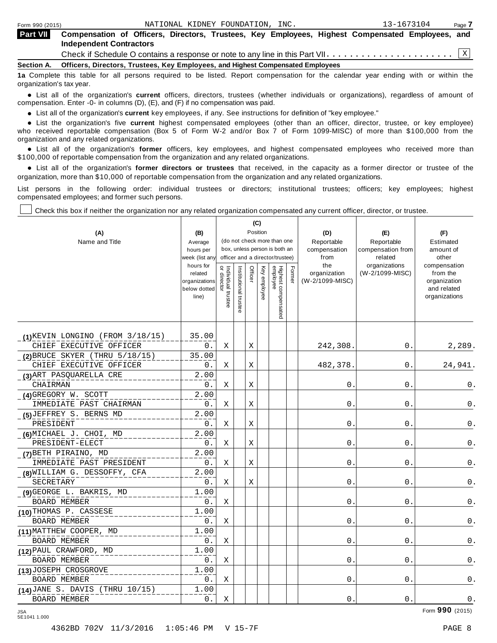| <b>Part VII</b> | Compensation of Officers, Directors, Trustees, Key Employees, Highest Compensated Employees, and                                                                                                                              |
|-----------------|-------------------------------------------------------------------------------------------------------------------------------------------------------------------------------------------------------------------------------|
|                 | <b>Independent Contractors</b>                                                                                                                                                                                                |
|                 |                                                                                                                                                                                                                               |
|                 | Section A. Officers, Directors, Trustees, Key Employees, and Highest Compensated Employees                                                                                                                                    |
|                 | . The contract of the contract of the contract of the contract of the contract of the contract of the contract of the contract of the contract of the contract of the contract of the contract of the contract of the contrac |

**1a** Complete this table for all persons required to be listed. Report compensation for the calendar year ending with or within the organization's tax year.

anization's lax year.<br>● List all of the organization's **current** officers, directors, trustees (whether individuals or organizations), regardless of amount of<br>nnensation Enter -0- in columns (D) (E) and (E) if no compensa compensation. Enter -0- in columns (D), (E), and (F) if no compensation was paid.

• List all of the organization's **current** key employees, if any. See instructions for definition of "key employee."<br>● List the experientials five expect highest expressed explores (other than an efficer director of

**Example in the organization's current** key employees, if any. See instructions for definition of key employee.<br>• List the organization's five **current** highest compensated employees (other than an officer, director, trust who received reportable compensation (Box 5 of Form W-2 and/or Box 7 of Form 1099-MISC) of more than \$100,000 from the

organization and any related organizations.<br>• List all of the organization's **former** officers, key employees, and highest compensated employees who received more than<br>\$1.00.000 of reportable componention from the erganiza \$100,000 of reportable compensation from the organization and any related organizations.

% List all of the organization's **former directors or trustees** that received, in the capacity as a former director or trustee of the organization, more than \$10,000 of reportable compensation from the organization and any related organizations.

List persons in the following order: individual trustees or directors; institutional trustees; officers; key employees; highest compensated employees; and former such persons.

Check this box if neither the organization nor any related organization compensated any current officer, director, or trustee.

 $\mathbf{I}$ 

|                                      |                               |                    |                       | (C)      |              |                                                              |        |                      |                              |                             |
|--------------------------------------|-------------------------------|--------------------|-----------------------|----------|--------------|--------------------------------------------------------------|--------|----------------------|------------------------------|-----------------------------|
| (A)                                  | (B)                           |                    |                       | Position |              |                                                              |        | (D)                  | (E)                          | (F)                         |
| Name and Title                       | Average                       |                    |                       |          |              | (do not check more than one<br>box, unless person is both an |        | Reportable           | Reportable                   | Estimated                   |
|                                      | hours per<br>week (list any   |                    |                       |          |              | officer and a director/trustee)                              |        | compensation<br>from | compensation from<br>related | amount of<br>other          |
|                                      | hours for                     | $\vec{\mathsf{d}}$ |                       |          |              |                                                              |        | the                  | organizations                | compensation                |
|                                      | related                       | Individual trustee | Institutional trustee | Officer  | Key employee |                                                              | Former | organization         | (W-2/1099-MISC)              | from the                    |
|                                      | organizations<br>below dotted | directo            |                       |          |              |                                                              |        | (W-2/1099-MISC)      |                              | organization<br>and related |
|                                      | line)                         |                    |                       |          |              |                                                              |        |                      |                              | organizations               |
|                                      |                               |                    |                       |          |              |                                                              |        |                      |                              |                             |
|                                      |                               |                    |                       |          |              | Highest compensated<br>employee                              |        |                      |                              |                             |
|                                      |                               |                    |                       |          |              |                                                              |        |                      |                              |                             |
| $(1)$ KEVIN LONGINO (FROM 3/18/15)   | 35.00                         |                    |                       |          |              |                                                              |        |                      |                              |                             |
| CHIEF EXECUTIVE OFFICER              | 0.                            | Χ                  |                       | Χ        |              |                                                              |        | 242,308.             | 0.                           | 2,289.                      |
| $(2)$ BRUCE SKYER (THRU $5/18/15$ )  | 35.00                         |                    |                       |          |              |                                                              |        |                      |                              |                             |
| CHIEF EXECUTIVE OFFICER              | 0.                            | Χ                  |                       | Χ        |              |                                                              |        | 482,378.             | 0.                           | 24,941.                     |
| (3) ART PASQUARELLA CRE              | 2.00                          |                    |                       |          |              |                                                              |        |                      |                              |                             |
| CHAIRMAN                             | 0.                            | Χ                  |                       | X        |              |                                                              |        | $\mathsf{O}$ .       | 0.                           | 0.                          |
| (4) GREGORY W. SCOTT                 | 2.00                          |                    |                       |          |              |                                                              |        |                      |                              |                             |
| IMMEDIATE PAST CHAIRMAN              | 0.                            | Χ                  |                       | Χ        |              |                                                              |        | $0$ .                | $0$ .                        | $\mathsf 0$ .               |
| (5) JEFFREY S. BERNS MD              | 2.00                          |                    |                       |          |              |                                                              |        |                      |                              |                             |
| PRESIDENT                            | 0.                            | Χ                  |                       | Χ        |              |                                                              |        | 0.                   | 0.                           | $\mathsf 0$ .               |
| (6) MICHAEL J. CHOI, MD              | 2.00                          |                    |                       |          |              |                                                              |        |                      |                              |                             |
| PRESIDENT-ELECT                      | 0.                            | Χ                  |                       | Χ        |              |                                                              |        | 0.                   | 0.                           | 0.                          |
| (7) BETH PIRAINO, MD                 | 2.00                          |                    |                       |          |              |                                                              |        |                      |                              |                             |
| IMMEDIATE PAST PRESIDENT             | 0.                            | Χ                  |                       | X        |              |                                                              |        | 0.                   | 0.                           | 0.                          |
| (8) WILLIAM G. DESSOFFY, CFA         | 2.00                          |                    |                       |          |              |                                                              |        |                      |                              |                             |
| SECRETARY                            | 0.                            | Χ                  |                       | Χ        |              |                                                              |        | 0.                   | $\mathsf{0}$ .               | $\mathsf 0$ .               |
| (9) GEORGE L. BAKRIS, MD             | 1.00                          |                    |                       |          |              |                                                              |        |                      |                              |                             |
| <b>BOARD MEMBER</b>                  | 0.                            | Χ                  |                       |          |              |                                                              |        | $\Omega$ .           | 0.                           | 0.                          |
| (10) THOMAS P. CASSESE               | 1.00                          |                    |                       |          |              |                                                              |        |                      |                              |                             |
| <b>BOARD MEMBER</b>                  | 0.                            | X                  |                       |          |              |                                                              |        | 0.                   | 0.                           | 0.                          |
| (11) MATTHEW COOPER, MD              | 1.00                          |                    |                       |          |              |                                                              |        |                      |                              |                             |
| <b>BOARD MEMBER</b>                  | 0.                            | Χ                  |                       |          |              |                                                              |        | 0.                   | 0.                           | 0.                          |
| (12) PAUL CRAWFORD, MD               | 1.00                          |                    |                       |          |              |                                                              |        |                      |                              |                             |
| BOARD MEMBER                         | 0.                            | Χ                  |                       |          |              |                                                              |        | 0.                   | 0.                           | 0.                          |
| (13) JOSEPH CROSGROVE                | 1.00                          |                    |                       |          |              |                                                              |        |                      |                              |                             |
| <b>BOARD MEMBER</b>                  | 0.                            | Χ                  |                       |          |              |                                                              |        | 0.                   | $\mathbf 0$ .                | 0.                          |
| $(14)$ JANE S. DAVIS (THRU $10/15$ ) | 1.00                          |                    |                       |          |              |                                                              |        |                      |                              |                             |
| <b>BOARD MEMBER</b>                  | $0$ .                         | X                  |                       |          |              |                                                              |        | 0.                   | 0.                           | $0$ .                       |

Form **990** (2015) JSA 5E1041 1.000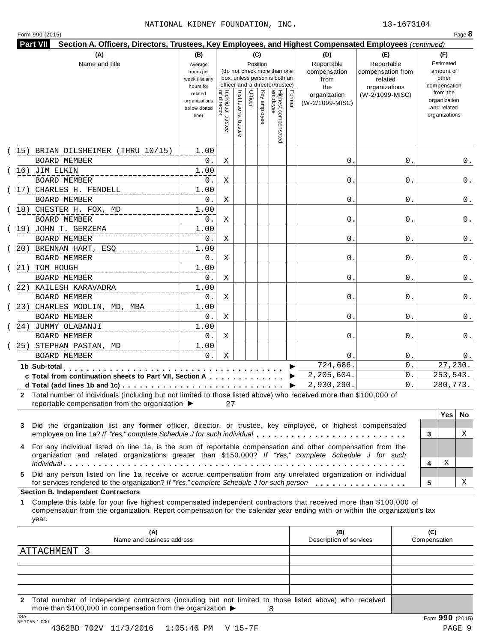# NATIONAL KIDNEY FOUNDATION, INC. 13-1673104

| (A)                                                                                                                        | (B)                           |                                   |                       | (C)      |              |                                 |        | Section A. Officers, Directors, Trustees, Key Employees, and Highest Compensated Employees (continued)<br>(D) | (E)               | (F)                         |
|----------------------------------------------------------------------------------------------------------------------------|-------------------------------|-----------------------------------|-----------------------|----------|--------------|---------------------------------|--------|---------------------------------------------------------------------------------------------------------------|-------------------|-----------------------------|
| Name and title                                                                                                             |                               |                                   |                       | Position |              |                                 |        | Reportable                                                                                                    | Reportable        | Estimated                   |
|                                                                                                                            | Average<br>hours per          |                                   |                       |          |              | (do not check more than one     |        | compensation                                                                                                  | compensation from | amount of                   |
|                                                                                                                            | week (list any                |                                   |                       |          |              | box, unless person is both an   |        | from                                                                                                          | related           | other                       |
|                                                                                                                            | hours for                     |                                   |                       |          |              | officer and a director/trustee) |        | the                                                                                                           | organizations     | compensation                |
|                                                                                                                            | related                       |                                   |                       | Officer  |              |                                 | Former | organization                                                                                                  | (W-2/1099-MISC)   | from the                    |
|                                                                                                                            | organizations<br>below dotted |                                   |                       |          |              |                                 |        | (W-2/1099-MISC)                                                                                               |                   | organization<br>and related |
|                                                                                                                            | line)                         |                                   |                       |          | Key employee |                                 |        |                                                                                                               |                   | organizations               |
|                                                                                                                            |                               | Individual trustee<br>or director |                       |          |              |                                 |        |                                                                                                               |                   |                             |
|                                                                                                                            |                               |                                   | Institutional trustee |          |              | Highest compensated<br>employee |        |                                                                                                               |                   |                             |
|                                                                                                                            |                               |                                   |                       |          |              |                                 |        |                                                                                                               |                   |                             |
| (15) BRIAN DILSHEIMER (THRU 10/15)                                                                                         | 1.00                          |                                   |                       |          |              |                                 |        |                                                                                                               |                   |                             |
| BOARD MEMBER                                                                                                               | $0$ .                         | Χ                                 |                       |          |              |                                 |        | $\mathsf{O}$                                                                                                  | 0                 |                             |
| $(16)$ JIM ELKIN                                                                                                           | 1.00                          |                                   |                       |          |              |                                 |        |                                                                                                               |                   |                             |
| <b>BOARD MEMBER</b>                                                                                                        | 0.                            | X                                 |                       |          |              |                                 |        | 0.                                                                                                            | 0                 |                             |
| 17) CHARLES H. FENDELL                                                                                                     | 1.00                          |                                   |                       |          |              |                                 |        |                                                                                                               |                   |                             |
| BOARD MEMBER                                                                                                               | 0.                            | X                                 |                       |          |              |                                 |        | 0.                                                                                                            | 0                 |                             |
| (18) CHESTER H. FOX, MD                                                                                                    | 1.00                          |                                   |                       |          |              |                                 |        |                                                                                                               |                   |                             |
| <b>BOARD MEMBER</b>                                                                                                        | 0.                            | Χ                                 |                       |          |              |                                 |        | $\mathsf{O}$                                                                                                  | 0                 |                             |
| (19) JOHN T. GERZEMA<br><b>BOARD MEMBER</b>                                                                                | 1.00<br>$0$ .                 |                                   |                       |          |              |                                 |        | 0.                                                                                                            | 0                 |                             |
| 20) BRENNAN HART, ESQ                                                                                                      | 1.00                          | Χ                                 |                       |          |              |                                 |        |                                                                                                               |                   |                             |
| <b>BOARD MEMBER</b>                                                                                                        | 0.                            | Χ                                 |                       |          |              |                                 |        | 0.                                                                                                            | 0                 |                             |
| 21) TOM HOUGH                                                                                                              | 1.00                          |                                   |                       |          |              |                                 |        |                                                                                                               |                   |                             |
| BOARD MEMBER                                                                                                               | 0.                            | X                                 |                       |          |              |                                 |        | 0.                                                                                                            | 0                 |                             |
| (22) KAILESH KARAVADRA                                                                                                     | 1.00                          |                                   |                       |          |              |                                 |        |                                                                                                               |                   |                             |
| BOARD MEMBER                                                                                                               | $0$ .                         | Χ                                 |                       |          |              |                                 |        | 0                                                                                                             | 0                 |                             |
| 23) CHARLES MODLIN, MD, MBA                                                                                                | 1.00                          |                                   |                       |          |              |                                 |        |                                                                                                               |                   |                             |
| <b>BOARD MEMBER</b>                                                                                                        | 0.                            | Χ                                 |                       |          |              |                                 |        | $\mathsf{0}$ .                                                                                                | 0                 |                             |
| 24) JUMMY OLABANJI                                                                                                         | 1.00                          |                                   |                       |          |              |                                 |        |                                                                                                               |                   |                             |
| <b>BOARD MEMBER</b>                                                                                                        | $0$ .                         | Χ                                 |                       |          |              |                                 |        | $\mathsf{0}$ .                                                                                                | 0                 |                             |
| 25) STEPHAN PASTAN, MD                                                                                                     | 1.00                          |                                   |                       |          |              |                                 |        |                                                                                                               |                   |                             |
| <b>BOARD MEMBER</b>                                                                                                        | 0.                            | Χ                                 |                       |          |              |                                 |        | 0.                                                                                                            | 0                 |                             |
| 1b Sub-total                                                                                                               |                               |                                   |                       |          |              |                                 |        | 724,686.                                                                                                      | 0                 | 27,230.                     |
| c Total from continuation sheets to Part VII, Section A                                                                    |                               |                                   |                       |          |              |                                 |        | 2,205,604.                                                                                                    | 0                 | 253,543.                    |
|                                                                                                                            |                               |                                   |                       |          |              |                                 |        | 2,930,290.                                                                                                    | 0                 | 280,773.                    |
| Total number of individuals (including but not limited to those listed above) who received more than \$100,000 of          |                               |                                   |                       |          |              |                                 |        |                                                                                                               |                   |                             |
| reportable compensation from the organization ▶                                                                            |                               | 27                                |                       |          |              |                                 |        |                                                                                                               |                   |                             |
|                                                                                                                            |                               |                                   |                       |          |              |                                 |        |                                                                                                               |                   | Yes<br>No                   |
| Did the organization list any former officer, director, or trustee, key employee, or highest compensated<br>3              |                               |                                   |                       |          |              |                                 |        |                                                                                                               |                   |                             |
| employee on line 1a? If "Yes," complete Schedule J for such individual                                                     |                               |                                   |                       |          |              |                                 |        |                                                                                                               |                   | 3                           |
| 4 For any individual listed on line 1a, is the sum of reportable compensation and other compensation from the              |                               |                                   |                       |          |              |                                 |        |                                                                                                               |                   |                             |
| organization and related organizations greater than \$150,000? If "Yes," complete Schedule J for such                      |                               |                                   |                       |          |              |                                 |        |                                                                                                               |                   | Χ<br>4                      |
| Did any person listed on line 1a receive or accrue compensation from any unrelated organization or individual<br>5.        |                               |                                   |                       |          |              |                                 |        |                                                                                                               |                   |                             |
| for services rendered to the organization? If "Yes," complete Schedule J for such person                                   |                               |                                   |                       |          |              |                                 |        |                                                                                                               |                   | 5                           |
| <b>Section B. Independent Contractors</b>                                                                                  |                               |                                   |                       |          |              |                                 |        |                                                                                                               |                   |                             |
|                                                                                                                            |                               |                                   |                       |          |              |                                 |        |                                                                                                               |                   |                             |
| Complete this table for your five highest compensated independent contractors that received more than \$100,000 of<br>1    |                               |                                   |                       |          |              |                                 |        |                                                                                                               |                   |                             |
| compensation from the organization. Report compensation for the calendar year ending with or within the organization's tax |                               |                                   |                       |          |              |                                 |        |                                                                                                               |                   |                             |
| year.                                                                                                                      |                               |                                   |                       |          |              |                                 |        |                                                                                                               |                   |                             |
| (A)                                                                                                                        |                               |                                   |                       |          |              |                                 |        | (B)                                                                                                           |                   | (C)                         |
| Name and business address                                                                                                  |                               |                                   |                       |          |              |                                 |        | Description of services                                                                                       |                   | Compensation                |
| ATTACHMENT 3                                                                                                               |                               |                                   |                       |          |              |                                 |        |                                                                                                               |                   |                             |
|                                                                                                                            |                               |                                   |                       |          |              |                                 |        |                                                                                                               |                   |                             |

**2** Total number of independent contractors (including but not limited to those listed above) who received more than \$100,000 in compensation from the organization  $\triangleright$ <br>  $\frac{\text{JSA}}{5510551.000}$ 8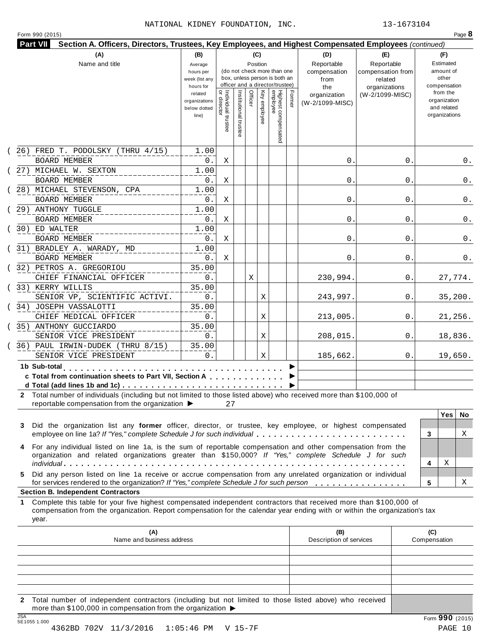# NATIONAL KIDNEY FOUNDATION, INC. 13-1673104

|               | <b>Part VII</b>                                                                                                                                                                                                                                  |                             |                                   |                       |          |                                                              |        |                                | Section A. Officers, Directors, Trustees, Key Employees, and Highest Compensated Employees (continued) |                              |
|---------------|--------------------------------------------------------------------------------------------------------------------------------------------------------------------------------------------------------------------------------------------------|-----------------------------|-----------------------------------|-----------------------|----------|--------------------------------------------------------------|--------|--------------------------------|--------------------------------------------------------------------------------------------------------|------------------------------|
|               | (A)                                                                                                                                                                                                                                              | (B)                         |                                   |                       | (C)      |                                                              |        | (D)                            | (E)                                                                                                    | (F)                          |
|               | Name and title                                                                                                                                                                                                                                   | Average                     |                                   |                       | Position |                                                              |        | Reportable                     | Reportable                                                                                             | Estimated                    |
|               |                                                                                                                                                                                                                                                  | hours per<br>week (list any |                                   |                       |          | (do not check more than one<br>box, unless person is both an |        | compensation<br>from           | compensation from<br>related                                                                           | amount of<br>other           |
|               |                                                                                                                                                                                                                                                  | hours for                   |                                   |                       |          | officer and a director/trustee)                              |        | the                            | organizations                                                                                          | compensation                 |
|               |                                                                                                                                                                                                                                                  | related                     |                                   |                       |          |                                                              |        | organization                   | (W-2/1099-MISC)                                                                                        | from the                     |
|               |                                                                                                                                                                                                                                                  | organizations               |                                   |                       | Officer  |                                                              | Former | (W-2/1099-MISC)                |                                                                                                        | organization                 |
|               |                                                                                                                                                                                                                                                  | below dotted<br>line)       |                                   |                       |          | Key employee                                                 |        |                                |                                                                                                        | and related<br>organizations |
|               |                                                                                                                                                                                                                                                  |                             | Individual trustee<br>or director |                       |          |                                                              |        |                                |                                                                                                        |                              |
|               |                                                                                                                                                                                                                                                  |                             |                                   | Institutional trustee |          | Highest compensated<br>employee                              |        |                                |                                                                                                        |                              |
|               |                                                                                                                                                                                                                                                  |                             |                                   |                       |          |                                                              |        |                                |                                                                                                        |                              |
|               | $(26)$ FRED T. PODOLSKY (THRU $4/15$ )<br><b>BOARD MEMBER</b>                                                                                                                                                                                    | 1.00<br>0.                  | Χ                                 |                       |          |                                                              |        | 0.                             | 0                                                                                                      | 0.                           |
|               |                                                                                                                                                                                                                                                  |                             |                                   |                       |          |                                                              |        |                                |                                                                                                        |                              |
|               | 27) MICHAEL W. SEXTON                                                                                                                                                                                                                            | 1.00                        |                                   |                       |          |                                                              |        |                                |                                                                                                        |                              |
|               | <b>BOARD MEMBER</b>                                                                                                                                                                                                                              | 0.                          | Χ                                 |                       |          |                                                              |        | 0.                             | 0                                                                                                      | 0.                           |
|               | (28) MICHAEL STEVENSON, CPA                                                                                                                                                                                                                      | 1.00                        |                                   |                       |          |                                                              |        |                                |                                                                                                        |                              |
|               | <b>BOARD MEMBER</b>                                                                                                                                                                                                                              | 0.                          | Χ                                 |                       |          |                                                              |        | 0.                             | 0                                                                                                      | 0.                           |
|               | 29) ANTHONY TUGGLE                                                                                                                                                                                                                               | 1.00                        |                                   |                       |          |                                                              |        |                                |                                                                                                        |                              |
|               | <b>BOARD MEMBER</b>                                                                                                                                                                                                                              | 0.                          | Χ                                 |                       |          |                                                              |        | 0.                             | 0                                                                                                      | 0.                           |
|               | 30) ED WALTER                                                                                                                                                                                                                                    | 1.00                        |                                   |                       |          |                                                              |        |                                |                                                                                                        |                              |
|               | <b>BOARD MEMBER</b>                                                                                                                                                                                                                              | 0.                          | Χ                                 |                       |          |                                                              |        | 0.                             | 0                                                                                                      | 0.                           |
|               | 31) BRADLEY A. WARADY, MD                                                                                                                                                                                                                        | 1.00                        |                                   |                       |          |                                                              |        |                                |                                                                                                        |                              |
|               | <b>BOARD MEMBER</b>                                                                                                                                                                                                                              | 0.                          | Χ                                 |                       |          |                                                              |        | 0.                             | 0                                                                                                      | 0.                           |
|               | (32) PETROS A. GREGORIOU                                                                                                                                                                                                                         | 35.00                       |                                   |                       |          |                                                              |        |                                |                                                                                                        |                              |
|               | CHIEF FINANCIAL OFFICER                                                                                                                                                                                                                          | 0.                          |                                   |                       | Χ        |                                                              |        | 230,994.                       | 0                                                                                                      | 27,774.                      |
|               | 33) KERRY WILLIS                                                                                                                                                                                                                                 | 35.00                       |                                   |                       |          |                                                              |        |                                |                                                                                                        |                              |
|               | SENIOR VP, SCIENTIFIC ACTIVI.                                                                                                                                                                                                                    | 0.                          |                                   |                       |          | Χ                                                            |        | 243,997.                       | 0                                                                                                      | 35,200.                      |
|               | 34) JOSEPH VASSALOTTI                                                                                                                                                                                                                            | 35.00                       |                                   |                       |          |                                                              |        |                                |                                                                                                        |                              |
|               | CHIEF MEDICAL OFFICER                                                                                                                                                                                                                            | 0.                          |                                   |                       |          | Χ                                                            |        | 213,005.                       | 0                                                                                                      | 21,256.                      |
|               | 35) ANTHONY GUCCIARDO                                                                                                                                                                                                                            | 35.00                       |                                   |                       |          |                                                              |        |                                |                                                                                                        |                              |
|               | SENIOR VICE PRESIDENT                                                                                                                                                                                                                            | $0$ .                       |                                   |                       |          | Χ                                                            |        | 208,015.                       | 0                                                                                                      | 18,836.                      |
|               | 36) PAUL IRWIN-DUDEK (THRU 8/15)                                                                                                                                                                                                                 | 35.00                       |                                   |                       |          |                                                              |        |                                |                                                                                                        |                              |
|               | SENIOR VICE PRESIDENT                                                                                                                                                                                                                            | 0.                          |                                   |                       |          | Χ                                                            |        | 185,662.                       | 0.                                                                                                     | 19,650.                      |
|               | 1b Sub-total                                                                                                                                                                                                                                     |                             |                                   |                       |          |                                                              |        |                                |                                                                                                        |                              |
|               | c Total from continuation sheets to Part VII, Section A                                                                                                                                                                                          |                             |                                   |                       |          |                                                              |        |                                |                                                                                                        |                              |
|               |                                                                                                                                                                                                                                                  |                             |                                   |                       |          |                                                              |        |                                |                                                                                                        |                              |
|               |                                                                                                                                                                                                                                                  |                             |                                   |                       |          |                                                              |        |                                |                                                                                                        |                              |
|               |                                                                                                                                                                                                                                                  |                             |                                   |                       |          |                                                              |        |                                |                                                                                                        |                              |
|               | Total number of individuals (including but not limited to those listed above) who received more than \$100,000 of                                                                                                                                |                             |                                   |                       |          |                                                              |        |                                |                                                                                                        |                              |
|               | reportable compensation from the organization $\blacktriangleright$                                                                                                                                                                              |                             | 27                                |                       |          |                                                              |        |                                |                                                                                                        |                              |
|               |                                                                                                                                                                                                                                                  |                             |                                   |                       |          |                                                              |        |                                |                                                                                                        | <b>Yes</b>                   |
|               | Did the organization list any former officer, director, or trustee, key employee, or highest compensated                                                                                                                                         |                             |                                   |                       |          |                                                              |        |                                |                                                                                                        | 3                            |
|               | employee on line 1a? If "Yes," complete Schedule J for such individual                                                                                                                                                                           |                             |                                   |                       |          |                                                              |        |                                |                                                                                                        |                              |
|               | For any individual listed on line 1a, is the sum of reportable compensation and other compensation from the                                                                                                                                      |                             |                                   |                       |          |                                                              |        |                                |                                                                                                        |                              |
|               | organization and related organizations greater than \$150,000? If "Yes," complete Schedule J for such                                                                                                                                            |                             |                                   |                       |          |                                                              |        |                                |                                                                                                        | Χ                            |
|               |                                                                                                                                                                                                                                                  |                             |                                   |                       |          |                                                              |        |                                |                                                                                                        | 4                            |
|               | Did any person listed on line 1a receive or accrue compensation from any unrelated organization or individual                                                                                                                                    |                             |                                   |                       |          |                                                              |        |                                |                                                                                                        |                              |
|               | for services rendered to the organization? If "Yes," complete Schedule J for such person                                                                                                                                                         |                             |                                   |                       |          |                                                              |        |                                |                                                                                                        | 5                            |
|               | <b>Section B. Independent Contractors</b>                                                                                                                                                                                                        |                             |                                   |                       |          |                                                              |        |                                |                                                                                                        |                              |
|               | Complete this table for your five highest compensated independent contractors that received more than \$100,000 of<br>compensation from the organization. Report compensation for the calendar year ending with or within the organization's tax |                             |                                   |                       |          |                                                              |        |                                |                                                                                                        |                              |
| 3<br>5.<br>1. | year.                                                                                                                                                                                                                                            |                             |                                   |                       |          |                                                              |        |                                |                                                                                                        |                              |
|               |                                                                                                                                                                                                                                                  |                             |                                   |                       |          |                                                              |        |                                |                                                                                                        |                              |
|               | (A)<br>Name and business address                                                                                                                                                                                                                 |                             |                                   |                       |          |                                                              |        | (B)<br>Description of services |                                                                                                        | (C)<br>Compensation          |
|               |                                                                                                                                                                                                                                                  |                             |                                   |                       |          |                                                              |        |                                |                                                                                                        |                              |
|               |                                                                                                                                                                                                                                                  |                             |                                   |                       |          |                                                              |        |                                |                                                                                                        |                              |
|               |                                                                                                                                                                                                                                                  |                             |                                   |                       |          |                                                              |        |                                |                                                                                                        | No<br>Χ<br>Χ                 |

**2** Total number of independent contractors (including but not limited to those listed above) who received more than \$100,000 in compensation from the organization  $\triangleright$ <br>  $\frac{\text{JSA}}{5 \text{E}1055 1.000}$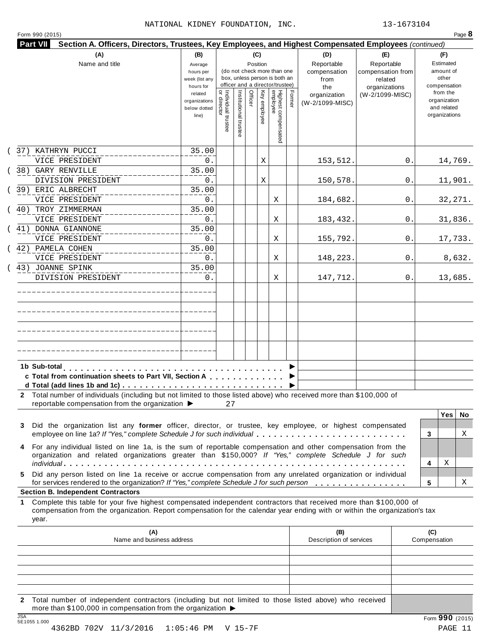|         | (A)<br>Name and title                                                                                                                                                                                                                            | (B)<br>(C)<br>Position<br>Average<br>(do not check more than one<br>hours per<br>box, unless person is both an<br>week (list any<br>officer and a director/trustee)<br>hours for |                                     |                       |         |              |                                 |        | (D)<br>Reportable<br>compensation<br>from<br>the | (E)<br>Reportable<br>compensation from<br>related<br>organizations | (F)<br>Estimated<br>amount of<br>other<br>compensation   |
|---------|--------------------------------------------------------------------------------------------------------------------------------------------------------------------------------------------------------------------------------------------------|----------------------------------------------------------------------------------------------------------------------------------------------------------------------------------|-------------------------------------|-----------------------|---------|--------------|---------------------------------|--------|--------------------------------------------------|--------------------------------------------------------------------|----------------------------------------------------------|
|         |                                                                                                                                                                                                                                                  | related<br>organizations<br>below dotted<br>line)                                                                                                                                | Individual trustee<br>  or director | Institutional trustee | Officer | Key employee | Highest compensated<br>employee | Former | organization<br>(W-2/1099-MISC)                  | (W-2/1099-MISC)                                                    | from the<br>organization<br>and related<br>organizations |
|         | 37) KATHRYN PUCCI                                                                                                                                                                                                                                | 35.00                                                                                                                                                                            |                                     |                       |         |              |                                 |        |                                                  |                                                                    |                                                          |
|         | VICE PRESIDENT<br>38) GARY RENVILLE                                                                                                                                                                                                              | 0.<br>35.00                                                                                                                                                                      |                                     |                       |         | Χ            |                                 |        | 153,512.                                         | 0.                                                                 | 14,769.                                                  |
|         | DIVISION PRESIDENT                                                                                                                                                                                                                               | 0.                                                                                                                                                                               |                                     |                       |         | Χ            |                                 |        | 150,578.                                         | 0.                                                                 | 11,901.                                                  |
|         | 39) ERIC ALBRECHT                                                                                                                                                                                                                                | 35.00                                                                                                                                                                            |                                     |                       |         |              |                                 |        |                                                  |                                                                    |                                                          |
|         | VICE PRESIDENT                                                                                                                                                                                                                                   | 0.                                                                                                                                                                               |                                     |                       |         |              | Χ                               |        | 184,682.                                         | 0.                                                                 | 32, 271.                                                 |
| 40)     | TROY ZIMMERMAN                                                                                                                                                                                                                                   | 35.00                                                                                                                                                                            |                                     |                       |         |              |                                 |        |                                                  |                                                                    |                                                          |
|         | VICE PRESIDENT                                                                                                                                                                                                                                   | 0.                                                                                                                                                                               |                                     |                       |         |              | Χ                               |        | 183,432.                                         | 0.                                                                 | 31,836.                                                  |
|         | 41) DONNA GIANNONE                                                                                                                                                                                                                               | 35.00                                                                                                                                                                            |                                     |                       |         |              |                                 |        |                                                  |                                                                    |                                                          |
|         | VICE PRESIDENT                                                                                                                                                                                                                                   | 0.                                                                                                                                                                               |                                     |                       |         |              | Χ                               |        | 155,792.                                         | 0.                                                                 | 17,733.                                                  |
|         | 42) PAMELA COHEN                                                                                                                                                                                                                                 | 35.00                                                                                                                                                                            |                                     |                       |         |              |                                 |        |                                                  |                                                                    |                                                          |
|         | VICE PRESIDENT<br>(43) JOANNE SPINK                                                                                                                                                                                                              | 0.<br>35.00                                                                                                                                                                      |                                     |                       |         |              | Χ                               |        | 148,223.                                         | 0.                                                                 | 8,632.                                                   |
|         | DIVISION PRESIDENT                                                                                                                                                                                                                               | 0.                                                                                                                                                                               |                                     |                       |         |              | Χ                               |        | 147,712.                                         | 0.                                                                 | 13,685.                                                  |
|         |                                                                                                                                                                                                                                                  |                                                                                                                                                                                  |                                     |                       |         |              |                                 |        |                                                  |                                                                    |                                                          |
|         |                                                                                                                                                                                                                                                  |                                                                                                                                                                                  |                                     |                       |         |              |                                 |        |                                                  |                                                                    |                                                          |
|         |                                                                                                                                                                                                                                                  |                                                                                                                                                                                  |                                     |                       |         |              |                                 |        |                                                  |                                                                    |                                                          |
|         |                                                                                                                                                                                                                                                  |                                                                                                                                                                                  |                                     |                       |         |              |                                 |        |                                                  |                                                                    |                                                          |
|         |                                                                                                                                                                                                                                                  |                                                                                                                                                                                  |                                     |                       |         |              |                                 |        |                                                  |                                                                    |                                                          |
|         |                                                                                                                                                                                                                                                  |                                                                                                                                                                                  |                                     |                       |         |              |                                 |        |                                                  |                                                                    |                                                          |
|         |                                                                                                                                                                                                                                                  |                                                                                                                                                                                  |                                     |                       |         |              |                                 |        |                                                  |                                                                    |                                                          |
|         | 1b Sub-total                                                                                                                                                                                                                                     | .                                                                                                                                                                                |                                     |                       |         |              |                                 |        |                                                  |                                                                    |                                                          |
|         | c Total from continuation sheets to Part VII, Section A                                                                                                                                                                                          |                                                                                                                                                                                  |                                     |                       |         |              |                                 |        |                                                  |                                                                    |                                                          |
|         | 2 Total number of individuals (including but not limited to those listed above) who received more than \$100,000 of<br>reportable compensation from the organization ▶                                                                           |                                                                                                                                                                                  | 27                                  |                       |         |              |                                 |        |                                                  |                                                                    |                                                          |
|         |                                                                                                                                                                                                                                                  |                                                                                                                                                                                  |                                     |                       |         |              |                                 |        |                                                  |                                                                    | Yes                                                      |
| 3       | Did the organization list any former officer, director, or trustee, key employee, or highest compensated<br>employee on line 1a? If "Yes," complete Schedule J for such individual                                                               |                                                                                                                                                                                  |                                     |                       |         |              |                                 |        |                                                  |                                                                    | No.<br>Χ<br>3                                            |
| 4       | For any individual listed on line 1a, is the sum of reportable compensation and other compensation from the                                                                                                                                      |                                                                                                                                                                                  |                                     |                       |         |              |                                 |        |                                                  |                                                                    |                                                          |
|         | organization and related organizations greater than \$150,000? If "Yes," complete Schedule J for such                                                                                                                                            |                                                                                                                                                                                  |                                     |                       |         |              |                                 |        |                                                  |                                                                    |                                                          |
|         |                                                                                                                                                                                                                                                  |                                                                                                                                                                                  |                                     |                       |         |              |                                 |        |                                                  |                                                                    | Χ<br>4                                                   |
|         | Did any person listed on line 1a receive or accrue compensation from any unrelated organization or individual                                                                                                                                    |                                                                                                                                                                                  |                                     |                       |         |              |                                 |        |                                                  |                                                                    | Χ<br>5                                                   |
|         | for services rendered to the organization? If "Yes," complete Schedule J for such person<br><b>Section B. Independent Contractors</b>                                                                                                            |                                                                                                                                                                                  |                                     |                       |         |              |                                 |        |                                                  |                                                                    |                                                          |
|         | Complete this table for your five highest compensated independent contractors that received more than \$100,000 of<br>compensation from the organization. Report compensation for the calendar year ending with or within the organization's tax |                                                                                                                                                                                  |                                     |                       |         |              |                                 |        |                                                  |                                                                    |                                                          |
|         | year.<br>(A)                                                                                                                                                                                                                                     |                                                                                                                                                                                  |                                     |                       |         |              |                                 |        | (B)                                              |                                                                    | (C)                                                      |
|         | Name and business address                                                                                                                                                                                                                        |                                                                                                                                                                                  |                                     |                       |         |              |                                 |        | Description of services                          |                                                                    | Compensation                                             |
| 5.<br>1 |                                                                                                                                                                                                                                                  |                                                                                                                                                                                  |                                     |                       |         |              |                                 |        |                                                  |                                                                    |                                                          |
|         |                                                                                                                                                                                                                                                  |                                                                                                                                                                                  |                                     |                       |         |              |                                 |        |                                                  |                                                                    |                                                          |
|         |                                                                                                                                                                                                                                                  |                                                                                                                                                                                  |                                     |                       |         |              |                                 |        |                                                  |                                                                    |                                                          |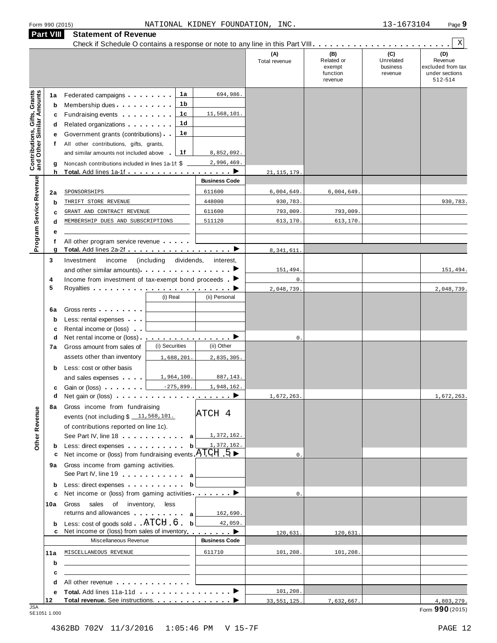| Form 990 (2015) |  |  |
|-----------------|--|--|
|                 |  |  |

| <b>Contributions, Gifts, Grants</b><br>and Other Similar Amounts<br>1a<br>Program Service Revenue<br>2a |        |                                                                                                                                                                                                                                      |                              |                      | (A)            | (B)                                         |                                         | Χ                                                                |
|---------------------------------------------------------------------------------------------------------|--------|--------------------------------------------------------------------------------------------------------------------------------------------------------------------------------------------------------------------------------------|------------------------------|----------------------|----------------|---------------------------------------------|-----------------------------------------|------------------------------------------------------------------|
|                                                                                                         |        |                                                                                                                                                                                                                                      |                              |                      | Total revenue  | Related or<br>exempt<br>function<br>revenue | (C)<br>Unrelated<br>business<br>revenue | (D)<br>Revenue<br>excluded from tax<br>under sections<br>512-514 |
|                                                                                                         |        | Federated campaigns                                                                                                                                                                                                                  | 1a                           | 694,986.             |                |                                             |                                         |                                                                  |
|                                                                                                         | b      | Membership dues                                                                                                                                                                                                                      | 1b                           |                      |                |                                             |                                         |                                                                  |
|                                                                                                         | c      | Fundraising events <b>Fundraising</b>                                                                                                                                                                                                | 1c                           | 11,568,101.          |                |                                             |                                         |                                                                  |
|                                                                                                         | d      | Related organizations <b>and the set of the set of the set of the set of the set of the set of the set of the set of the set of the set of the set of the set of the set of the set of the set of the set of the set of the set </b> | 1d                           |                      |                |                                             |                                         |                                                                  |
|                                                                                                         | е      | Government grants (contributions)                                                                                                                                                                                                    | 1е                           |                      |                |                                             |                                         |                                                                  |
|                                                                                                         | f      | All other contributions, gifts, grants,<br>and similar amounts not included above                                                                                                                                                    | 1f                           | 8,852,092.           |                |                                             |                                         |                                                                  |
|                                                                                                         |        | Noncash contributions included in lines 1a-1f: \$                                                                                                                                                                                    |                              | 2,996,469            |                |                                             |                                         |                                                                  |
|                                                                                                         | g<br>h |                                                                                                                                                                                                                                      |                              | . <b>. .</b>         | 21, 115, 179   |                                             |                                         |                                                                  |
|                                                                                                         |        |                                                                                                                                                                                                                                      |                              | <b>Business Code</b> |                |                                             |                                         |                                                                  |
|                                                                                                         |        | SPONSORSHIPS                                                                                                                                                                                                                         |                              | 611600               | 6,004,649.     | 6,004,649.                                  |                                         |                                                                  |
|                                                                                                         | b      | THRIFT STORE REVENUE                                                                                                                                                                                                                 |                              | 448000               | 930,783.       |                                             |                                         | 930,783.                                                         |
|                                                                                                         | с      | GRANT AND CONTRACT REVENUE                                                                                                                                                                                                           |                              | 611600               | 793,009.       | 793,009.                                    |                                         |                                                                  |
|                                                                                                         | d      | MEMBERSHIP DUES AND SUBSCRIPTIONS                                                                                                                                                                                                    |                              | 511120               | 613,170.       | 613,170.                                    |                                         |                                                                  |
|                                                                                                         | е      |                                                                                                                                                                                                                                      |                              |                      |                |                                             |                                         |                                                                  |
|                                                                                                         | f<br>g | All other program service revenue                                                                                                                                                                                                    |                              |                      | 8,341,611      |                                             |                                         |                                                                  |
| 3                                                                                                       |        | Investment<br>income                                                                                                                                                                                                                 | (including dividends,        | interest,            |                |                                             |                                         |                                                                  |
|                                                                                                         |        | and other similar amounts) $\cdots$ $\cdots$ $\cdots$                                                                                                                                                                                |                              |                      | 151,494        |                                             |                                         | 151,494.                                                         |
| 4                                                                                                       |        | Income from investment of tax-exempt bond proceeds $\blacktriangleright$                                                                                                                                                             |                              |                      | $\mathsf{0}$ . |                                             |                                         |                                                                  |
| 5                                                                                                       |        |                                                                                                                                                                                                                                      |                              |                      | 2,048,739      |                                             |                                         | 2,048,739.                                                       |
|                                                                                                         |        |                                                                                                                                                                                                                                      | (i) Real                     | (ii) Personal        |                |                                             |                                         |                                                                  |
| 6a                                                                                                      |        | Gross rents                                                                                                                                                                                                                          |                              |                      |                |                                             |                                         |                                                                  |
|                                                                                                         | b      | Less: rental expenses                                                                                                                                                                                                                |                              |                      |                |                                             |                                         |                                                                  |
|                                                                                                         | c      | Rental income or (loss)                                                                                                                                                                                                              |                              |                      |                |                                             |                                         |                                                                  |
|                                                                                                         | d      | Net rental income or (loss).                                                                                                                                                                                                         | <u>.</u> D<br>(i) Securities |                      | $\mathbf 0$ .  |                                             |                                         |                                                                  |
| 7a                                                                                                      |        | Gross amount from sales of                                                                                                                                                                                                           |                              | (ii) Other           |                |                                             |                                         |                                                                  |
|                                                                                                         |        | assets other than inventory                                                                                                                                                                                                          | 1,688,201.                   | 2,835,305.           |                |                                             |                                         |                                                                  |
|                                                                                                         | b      | Less: cost or other basis<br>and sales expenses                                                                                                                                                                                      | 1,964,100                    | 887,143.             |                |                                             |                                         |                                                                  |
|                                                                                                         | c      | Gain or (loss)                                                                                                                                                                                                                       | $-275,899.$                  | 1,948,162.           |                |                                             |                                         |                                                                  |
|                                                                                                         | d      | Net gain or (loss) $\cdots$ $\cdots$ $\cdots$ $\cdots$ $\cdots$ $\cdots$                                                                                                                                                             |                              |                      | 1,672,263.     |                                             |                                         | 1,672,263.                                                       |
|                                                                                                         |        | 8a Gross income from fundraising                                                                                                                                                                                                     |                              |                      |                |                                             |                                         |                                                                  |
|                                                                                                         |        | events (not including $$11,568,101.$                                                                                                                                                                                                 |                              | ATCH 4               |                |                                             |                                         |                                                                  |
|                                                                                                         |        | of contributions reported on line 1c).                                                                                                                                                                                               |                              |                      |                |                                             |                                         |                                                                  |
| Other Revenue                                                                                           |        | See Part IV, line 18 a                                                                                                                                                                                                               |                              | 1,372,162.           |                |                                             |                                         |                                                                  |
|                                                                                                         | b      | Less: direct expenses                                                                                                                                                                                                                | $\mathbf{b}$                 | 1,372,162.           |                |                                             |                                         |                                                                  |
|                                                                                                         | с      | Net income or (loss) from fundraising events $ATCH$ 5                                                                                                                                                                                |                              |                      | $\mathbf{0}$ . |                                             |                                         |                                                                  |
| 9а                                                                                                      |        | Gross income from gaming activities.<br>See Part IV, line 19 a                                                                                                                                                                       |                              |                      |                |                                             |                                         |                                                                  |
|                                                                                                         |        | Less: direct expenses                                                                                                                                                                                                                | b                            |                      |                |                                             |                                         |                                                                  |
|                                                                                                         | b<br>c | Net income or (loss) from gaming activities ________                                                                                                                                                                                 |                              |                      | $\mathbf{0}$ . |                                             |                                         |                                                                  |
| 10a                                                                                                     |        | Gross sales of inventory, less                                                                                                                                                                                                       |                              |                      |                |                                             |                                         |                                                                  |
|                                                                                                         |        | returns and allowances and allowances                                                                                                                                                                                                |                              | 162,690.             |                |                                             |                                         |                                                                  |
|                                                                                                         | b      | Less: cost of goods sold ATCH 6 b                                                                                                                                                                                                    |                              | 42,059.              |                |                                             |                                         |                                                                  |
|                                                                                                         |        | Net income or (loss) from sales of inventory                                                                                                                                                                                         |                              | . <b>.</b>           | 120,631.       | 120,631.                                    |                                         |                                                                  |
|                                                                                                         |        | Miscellaneous Revenue                                                                                                                                                                                                                |                              | <b>Business Code</b> |                |                                             |                                         |                                                                  |
| 11a                                                                                                     |        | MISCELLANEOUS REVENUE                                                                                                                                                                                                                |                              | 611710               | 101,208.       | 101,208.                                    |                                         |                                                                  |
|                                                                                                         | b      |                                                                                                                                                                                                                                      |                              |                      |                |                                             |                                         |                                                                  |
|                                                                                                         | с      | All other revenue entitled and the state of the state of the state of the state of the state of the state of the state of the state of the state of the state of the state of the state of the state of the state of the state       |                              |                      |                |                                             |                                         |                                                                  |
|                                                                                                         | d<br>е |                                                                                                                                                                                                                                      |                              |                      | 101,208.       |                                             |                                         |                                                                  |
| 12                                                                                                      |        |                                                                                                                                                                                                                                      |                              |                      | 33, 551, 125.  | 7,632,667.                                  |                                         | 4,803,279.                                                       |

JSA Form **990** (2015) 5E1051 1.000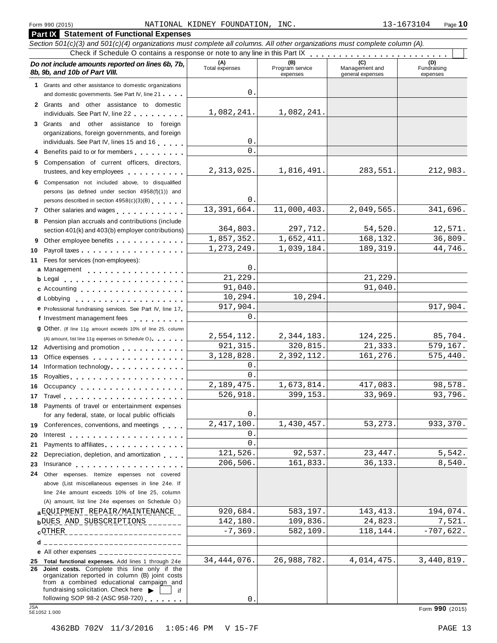### Form <sup>990</sup> (2015) Page **10** NATIONAL KIDNEY FOUNDATION, INC. 13-1673104

|          | <b>Part IX Statement of Functional Expenses</b>                                                                                                                                                                                                                                 |                        |                                    |                                    |                                |
|----------|---------------------------------------------------------------------------------------------------------------------------------------------------------------------------------------------------------------------------------------------------------------------------------|------------------------|------------------------------------|------------------------------------|--------------------------------|
|          | Section 501(c)(3) and 501(c)(4) organizations must complete all columns. All other organizations must complete column (A).                                                                                                                                                      |                        |                                    |                                    |                                |
|          | Do not include amounts reported on lines 6b, 7b,<br>8b, 9b, and 10b of Part VIII.                                                                                                                                                                                               | (A)<br>Total expenses  | (B)<br>Program service<br>expenses | Management and<br>general expenses | (D)<br>Fundraising<br>expenses |
|          | 1 Grants and other assistance to domestic organizations                                                                                                                                                                                                                         |                        |                                    |                                    |                                |
|          | and domestic governments. See Part IV, line 21                                                                                                                                                                                                                                  | 0.                     |                                    |                                    |                                |
|          | 2 Grants and other assistance to domestic<br>individuals. See Part IV, line 22                                                                                                                                                                                                  | 1,082,241.             | 1,082,241.                         |                                    |                                |
|          | 3 Grants and other assistance to foreign                                                                                                                                                                                                                                        |                        |                                    |                                    |                                |
|          | organizations, foreign governments, and foreign                                                                                                                                                                                                                                 |                        |                                    |                                    |                                |
|          | individuals. See Part IV, lines 15 and 16                                                                                                                                                                                                                                       | 0.                     |                                    |                                    |                                |
|          | Benefits paid to or for members                                                                                                                                                                                                                                                 | $\Omega$ .             |                                    |                                    |                                |
|          | 5 Compensation of current officers, directors,<br>trustees, and key employees entitled as a set of the set of the set of the set of the set of the set of the set of the set of the set of the set of the set of the set of the set of the set of the set of the set of the set | 2,313,025.             | 1,816,491.                         | 283,551.                           | 212,983.                       |
|          | 6 Compensation not included above, to disqualified                                                                                                                                                                                                                              |                        |                                    |                                    |                                |
|          | persons (as defined under section 4958(f)(1)) and                                                                                                                                                                                                                               |                        |                                    |                                    |                                |
|          | persons described in section 4958(c)(3)(B)                                                                                                                                                                                                                                      | 0.<br>13, 391, 664.    | 11,000,403.                        | 2,049,565                          | 341,696.                       |
|          | 7 Other salaries and wages <b>container and all the salaries</b>                                                                                                                                                                                                                |                        |                                    |                                    |                                |
|          | 8 Pension plan accruals and contributions (include                                                                                                                                                                                                                              | 364,803.               | 297,712.                           | 54,520.                            | 12,571.                        |
|          | section 401(k) and 403(b) employer contributions)                                                                                                                                                                                                                               | 1,857,352.             | 1,652,411.                         | 168,132.                           | 36,809.                        |
| 9        | Other employee benefits                                                                                                                                                                                                                                                         | 1,273,249.             | 1,039,184.                         | 189, 319.                          | 44,746.                        |
| 10<br>11 | Fees for services (non-employees):                                                                                                                                                                                                                                              |                        |                                    |                                    |                                |
|          | a Management                                                                                                                                                                                                                                                                    | 0.                     |                                    |                                    |                                |
|          |                                                                                                                                                                                                                                                                                 | 21,229.                |                                    | 21,229                             |                                |
|          | c Accounting                                                                                                                                                                                                                                                                    | 91,040.                |                                    | 91,040                             |                                |
|          |                                                                                                                                                                                                                                                                                 | 10,294.                | 10,294.                            |                                    |                                |
|          | e Professional fundraising services. See Part IV, line 17                                                                                                                                                                                                                       | 917,904.               |                                    |                                    | 917,904.                       |
|          | f Investment management fees                                                                                                                                                                                                                                                    | 0.                     |                                    |                                    |                                |
|          | <b>g</b> Other. (If line 11g amount exceeds 10% of line 25, column                                                                                                                                                                                                              |                        |                                    |                                    |                                |
|          | (A) amount, list line 11g expenses on Schedule O.).                                                                                                                                                                                                                             | 2,554,112.             | 2,344,183.                         | 124,225.                           | 85,704.                        |
|          | 12 Advertising and promotion                                                                                                                                                                                                                                                    | 921, 315.              | 320,815.                           | 21,333.                            | 579,167.                       |
| 13       | Office expenses extensive and the set of the set of the set of the set of the set of the set of the set of the                                                                                                                                                                  | 3, 128, 828.           | 2,392,112.                         | 161,276.                           | 575,440.                       |
| 14       | Information technology                                                                                                                                                                                                                                                          | $0$ .                  |                                    |                                    |                                |
| 15       |                                                                                                                                                                                                                                                                                 | $\Omega$ .             |                                    |                                    |                                |
|          | 16 Occupancy                                                                                                                                                                                                                                                                    | 2,189,475.<br>526,918. | 1,673,814.<br>399,153.             | 417,083<br>33,969.                 | 98,578.<br>93,796.             |
| 17       |                                                                                                                                                                                                                                                                                 |                        |                                    |                                    |                                |
|          | 18 Payments of travel or entertainment expenses<br>for any federal, state, or local public officials                                                                                                                                                                            | 0.                     |                                    |                                    |                                |
|          | 19 Conferences, conventions, and meetings                                                                                                                                                                                                                                       | 2,417,100.             | 1,430,457.                         | 53, 273.                           | 933,370.                       |
| 20       | Interest $\ldots$ , $\ldots$ , $\ldots$ , $\ldots$ , $\ldots$ , $\ldots$ , $\ldots$                                                                                                                                                                                             | 0.<br>$\mathbf{0}$ .   |                                    |                                    |                                |
| 21       | Payments to affiliates entertainment and the set of the set of the set of the set of the set of the set of the                                                                                                                                                                  | 121,526.               | 92,537.                            | 23, 447.                           | 5,542.                         |
| 22       | Depreciation, depletion, and amortization                                                                                                                                                                                                                                       | 206,506.               | 161,833.                           | 36,133.                            | 8,540.                         |
| 23       | 24 Other expenses. Itemize expenses not covered                                                                                                                                                                                                                                 |                        |                                    |                                    |                                |
|          | above (List miscellaneous expenses in line 24e. If                                                                                                                                                                                                                              |                        |                                    |                                    |                                |
|          | line 24e amount exceeds 10% of line 25, column                                                                                                                                                                                                                                  |                        |                                    |                                    |                                |
|          | (A) amount, list line 24e expenses on Schedule O.)                                                                                                                                                                                                                              |                        |                                    |                                    |                                |
|          | a EQUIPMENT REPAIR/MAINTENANCE                                                                                                                                                                                                                                                  | 920,684.               | 583,197.                           | 143, 413.                          | 194,074.                       |
|          | bDUES AND SUBSCRIPTIONS                                                                                                                                                                                                                                                         | 142,180.               | 109,836.                           | 24,823.                            | 7,521.                         |
|          | cOTHER__________________________                                                                                                                                                                                                                                                | $-7, 369.$             | 582,109.                           | 118,144.                           | $-707,622.$                    |
|          | _____________________________<br>d.                                                                                                                                                                                                                                             |                        |                                    |                                    |                                |
|          | e All other expenses $\frac{1}{1}$                                                                                                                                                                                                                                              |                        |                                    |                                    |                                |
|          | 25 Total functional expenses. Add lines 1 through 24e                                                                                                                                                                                                                           | 34, 444, 076.          | 26,988,782.                        | 4,014,475.                         | 3,440,819.                     |
|          | 26 Joint costs. Complete this line only if the<br>organization reported in column (B) joint costs<br>from a combined educational campaign and<br>fundraising solicitation. Check here $\blacktriangleright$<br>l if                                                             |                        |                                    |                                    |                                |
|          | following SOP 98-2 (ASC 958-720)                                                                                                                                                                                                                                                | $0$ .                  |                                    |                                    |                                |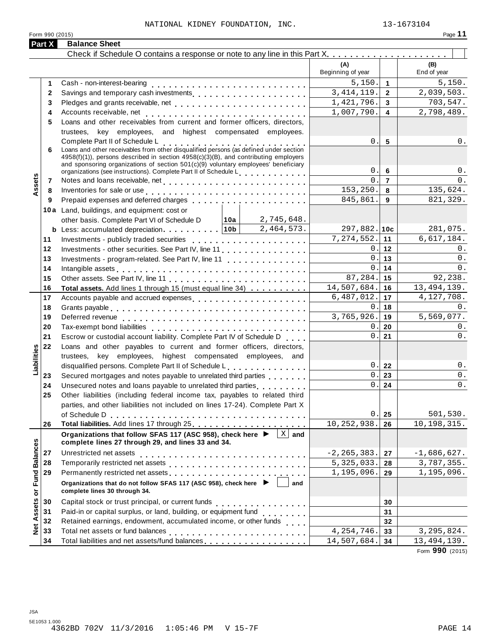# NATIONAL KIDNEY FOUNDATION, INC. 13-1673104

| 16<br>ı |  |
|---------|--|
|         |  |

|                      | Form 990 (2015) |                                                                                                                                                                                                                                |               |                                 |                | Page 11                  |
|----------------------|-----------------|--------------------------------------------------------------------------------------------------------------------------------------------------------------------------------------------------------------------------------|---------------|---------------------------------|----------------|--------------------------|
|                      | Part X          | <b>Balance Sheet</b>                                                                                                                                                                                                           |               |                                 |                |                          |
|                      |                 |                                                                                                                                                                                                                                |               |                                 |                |                          |
|                      |                 |                                                                                                                                                                                                                                |               | (A)<br>Beginning of year        |                | (B)<br>End of year       |
|                      | 1               |                                                                                                                                                                                                                                |               | 5,150.                          | $\mathbf{1}$   | 5,150.                   |
|                      | $\mathbf{2}$    |                                                                                                                                                                                                                                |               | 3, 414, 119.                    | $\overline{2}$ | 2,039,503.               |
|                      | 3               |                                                                                                                                                                                                                                |               | 1,421,796.                      | 3              | 703,547.                 |
|                      | 4               |                                                                                                                                                                                                                                |               | 1,007,790.                      | 4              | 2,798,489.               |
|                      | 5               | Loans and other receivables from current and former officers, directors,                                                                                                                                                       |               |                                 |                |                          |
|                      |                 | trustees, key employees, and highest compensated employees.                                                                                                                                                                    |               |                                 |                |                          |
|                      |                 | Complete Part II of Schedule L<br>Loans and other receivables from other disqualified persons (as defined under section                                                                                                        |               | 0.                              | 5              | 0.                       |
|                      | 6               | 4958(f)(1)), persons described in section 4958(c)(3)(B), and contributing employers                                                                                                                                            |               |                                 |                |                          |
|                      |                 | and sponsoring organizations of section 501(c)(9) voluntary employees' beneficiary                                                                                                                                             |               |                                 |                |                          |
|                      |                 | organizations (see instructions). Complete Part II of Schedule L                                                                                                                                                               |               | 0.                              | 6              | $0$ .                    |
| Assets               | 7               |                                                                                                                                                                                                                                |               | $\Omega$                        | $\overline{7}$ | 0.                       |
|                      | 8               | Inventories for sale or use enterpreteral resources in the sale or use of the set of the set of the set of the                                                                                                                 |               | 153,250.                        | 8              | 135,624.                 |
|                      | 9               |                                                                                                                                                                                                                                |               | 845,861.                        | 9              | 821,329.                 |
|                      |                 | 10a Land, buildings, and equipment: cost or                                                                                                                                                                                    |               |                                 |                |                          |
|                      |                 | other basis. Complete Part VI of Schedule D   10a   2,745,648.                                                                                                                                                                 |               |                                 |                |                          |
|                      |                 | <b>b</b> Less: accumulated depreciation. $\boxed{10b}$ 2,464,573.                                                                                                                                                              |               | $297,882.$ 10c                  |                | 281,075.                 |
|                      | 11              | Investments - publicly traded securities entitled results and results are all the securities                                                                                                                                   |               | 7,274,552.                      | 11             | 6,617,184.               |
|                      | 12              | Investments - other securities. See Part IV, line 11                                                                                                                                                                           |               | 0.<br><u> Alban Maria San A</u> | 12             | 0.                       |
|                      | 13              | Investments - program-related. See Part IV, line 11                                                                                                                                                                            |               | 0.                              | 13             | 0.                       |
|                      | 14              | Intangible assets enterpreteration of the contract of the contract of the contract of the contract of the contract of the contract of the contract of the contract of the contract of the contract of the contract of the cont | $\mathbf 0$ . | 14                              | 0.             |                          |
|                      | 15              |                                                                                                                                                                                                                                |               | 87,284.                         | 15             | 92,238.                  |
|                      | 16              | Total assets. Add lines 1 through 15 (must equal line 34)                                                                                                                                                                      |               | 14,507,684.                     | 16             | 13, 494, 139.            |
|                      | 17              | Accounts payable and accrued expenses entitled uncontract and accrued expenses                                                                                                                                                 |               | 6,487,012.                      | 17             | 4, 127, 708.             |
|                      | 18              |                                                                                                                                                                                                                                |               | 0.                              | 18             | 0.                       |
|                      | 19              |                                                                                                                                                                                                                                |               | 3,765,926.                      | 19             | 5,569,077.               |
|                      | 20              |                                                                                                                                                                                                                                |               | 0.                              | 20             | 0.                       |
|                      | 21              | Escrow or custodial account liability. Complete Part IV of Schedule D                                                                                                                                                          |               | 0.                              | 21             | 0.                       |
|                      | 22              | Loans and other payables to current and former officers, directors,                                                                                                                                                            |               |                                 |                |                          |
|                      |                 | trustees, key employees, highest compensated employees, and                                                                                                                                                                    |               |                                 |                |                          |
| Liabilities          |                 | disqualified persons. Complete Part II of Schedule L.                                                                                                                                                                          |               | $0$ .                           | 22             | $0$ .                    |
|                      | 23              | Secured mortgages and notes payable to unrelated third parties                                                                                                                                                                 |               | 0.                              | 23             | 0.                       |
|                      | 24              |                                                                                                                                                                                                                                |               | $0$ .                           | 24             | 0.                       |
|                      | 25              | Other liabilities (including federal income tax, payables to related third                                                                                                                                                     |               |                                 |                |                          |
|                      |                 | parties, and other liabilities not included on lines 17-24). Complete Part X                                                                                                                                                   |               |                                 |                |                          |
|                      |                 |                                                                                                                                                                                                                                |               | 0.<br>10,252,938.               | 25             | 501, 530.<br>10,198,315. |
|                      | 26              |                                                                                                                                                                                                                                | $X$ and       |                                 | 26             |                          |
|                      |                 | Organizations that follow SFAS 117 (ASC 958), check here ▶<br>complete lines 27 through 29, and lines 33 and 34.                                                                                                               |               |                                 |                |                          |
|                      | 27              |                                                                                                                                                                                                                                |               | $-2, 265, 383.$                 | 27             | $-1,686,627.$            |
|                      | 28              |                                                                                                                                                                                                                                |               | 5, 325, 033.                    | 28             | 3,787,355.               |
|                      | 29              | Permanently restricted net assets                                                                                                                                                                                              |               | 1,195,096.                      | 29             | 1,195,096.               |
| <b>Fund Balances</b> |                 | Organizations that do not follow SFAS 117 (ASC 958), check here ▶<br>complete lines 30 through 34.                                                                                                                             | and           |                                 |                |                          |
|                      | 30              |                                                                                                                                                                                                                                |               |                                 | 30             |                          |
|                      | 31              | Paid-in or capital surplus, or land, building, or equipment fund<br>                                                                                                                                                           |               |                                 | 31             |                          |
|                      | 32              | Retained earnings, endowment, accumulated income, or other funds                                                                                                                                                               |               |                                 | 32             |                          |
| Net Assets or        | 33              |                                                                                                                                                                                                                                |               | $\overline{4}$ , 254, 746.      | 33             | 3, 295, 824.             |
|                      | 34              | Total liabilities and net assets/fund balances                                                                                                                                                                                 |               | 14,507,684.                     | 34             | 13, 494, 139.            |
|                      |                 |                                                                                                                                                                                                                                |               |                                 |                |                          |

Form **990** (2015)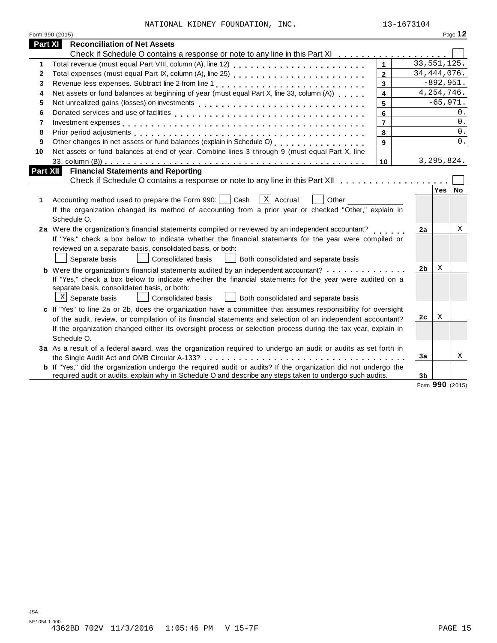|          | Form 990 (2015)                                                                                                                                         |                         |                |              | Page 12 |
|----------|---------------------------------------------------------------------------------------------------------------------------------------------------------|-------------------------|----------------|--------------|---------|
| Part XI  | <b>Reconciliation of Net Assets</b>                                                                                                                     |                         |                |              |         |
|          | Check if Schedule O contains a response or note to any line in this Part XI                                                                             |                         |                |              |         |
| 1        |                                                                                                                                                         | $\mathbf{1}$            | 33, 551, 125.  |              |         |
| 2        |                                                                                                                                                         | $\overline{2}$          | 34, 444, 076.  |              |         |
| 3        |                                                                                                                                                         | $\mathbf{3}$            |                | $-892,951.$  |         |
| 4        | Net assets or fund balances at beginning of year (must equal Part X, line 33, column (A))                                                               | $\overline{\mathbf{4}}$ |                | 4, 254, 746. |         |
| 5        |                                                                                                                                                         | 5                       |                | $-65,971.$   |         |
| 6        |                                                                                                                                                         | 6                       |                |              | 0.      |
| 7        |                                                                                                                                                         | $\overline{7}$          |                |              | 0.      |
| 8        |                                                                                                                                                         | 8                       |                |              | $0$ .   |
| 9        | Other changes in net assets or fund balances (explain in Schedule O)<br>[2005]                                                                          | 9                       |                |              | 0.      |
| 10       | Net assets or fund balances at end of year. Combine lines 3 through 9 (must equal Part X, line                                                          |                         |                |              |         |
|          |                                                                                                                                                         | 10                      |                | 3, 295, 824. |         |
| Part XII | <b>Financial Statements and Reporting</b>                                                                                                               |                         |                |              |         |
|          |                                                                                                                                                         |                         |                |              |         |
|          |                                                                                                                                                         |                         |                | Yes   No     |         |
| 1        | $\lceil x \rceil$ Accrual<br>Accounting method used to prepare the Form 990:     Cash<br>Other                                                          |                         |                |              |         |
|          | If the organization changed its method of accounting from a prior year or checked "Other," explain in                                                   |                         |                |              |         |
|          | Schedule O.                                                                                                                                             |                         |                |              |         |
|          | 2a Were the organization's financial statements compiled or reviewed by an independent accountant?                                                      |                         | 2a             |              | Χ       |
|          | If "Yes," check a box below to indicate whether the financial statements for the year were compiled or                                                  |                         |                |              |         |
|          | reviewed on a separate basis, consolidated basis, or both:                                                                                              |                         |                |              |         |
|          | Separate basis<br>Consolidated basis<br>Both consolidated and separate basis                                                                            |                         |                |              |         |
|          |                                                                                                                                                         |                         | 2 <sub>b</sub> | X            |         |
|          | <b>b</b> Were the organization's financial statements audited by an independent accountant?                                                             |                         |                |              |         |
|          | If "Yes," check a box below to indicate whether the financial statements for the year were audited on a<br>separate basis, consolidated basis, or both: |                         |                |              |         |
|          | $X$ Separate basis<br><b>Consolidated basis</b><br>Both consolidated and separate basis                                                                 |                         |                |              |         |
|          |                                                                                                                                                         |                         |                |              |         |
|          | c If "Yes" to line 2a or 2b, does the organization have a committee that assumes responsibility for oversight                                           |                         | 2c             | Χ            |         |
|          | of the audit, review, or compilation of its financial statements and selection of an independent accountant?                                            |                         |                |              |         |
|          | If the organization changed either its oversight process or selection process during the tax year, explain in                                           |                         |                |              |         |
|          | Schedule O.                                                                                                                                             |                         |                |              |         |
|          | 3a As a result of a federal award, was the organization required to undergo an audit or audits as set forth in                                          |                         |                |              |         |
|          |                                                                                                                                                         |                         | 3a             |              | Χ       |
|          | <b>b</b> If "Yes," did the organization undergo the required audit or audits? If the organization did not undergo the                                   |                         |                |              |         |
|          | required audit or audits, explain why in Schedule O and describe any steps taken to undergo such audits.                                                |                         | 3b             |              |         |

Form **990** (2015)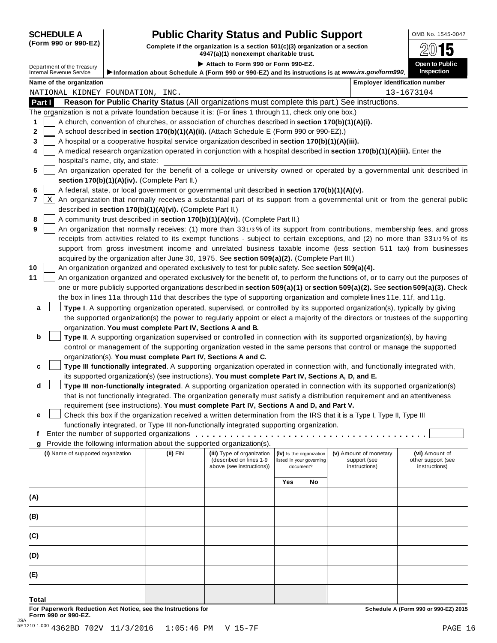# **SCHEDULE A Pub** OMB No. 1545-0047 **lic Charity Status and Public Support**

(Form 990 or 990-EZ) Complete if the organization is a section 501(c)(3) organization or a section  $4947(a)(1)$  nonexempt charitable trust.

|                                                                                                                |                                                            | 4947 (a)(1) NONEXEMPL CHANICADIE TIUST.                                                                                                                                                         |     |                                       |                                                                                                                                | — ت                                                                                                                                 |
|----------------------------------------------------------------------------------------------------------------|------------------------------------------------------------|-------------------------------------------------------------------------------------------------------------------------------------------------------------------------------------------------|-----|---------------------------------------|--------------------------------------------------------------------------------------------------------------------------------|-------------------------------------------------------------------------------------------------------------------------------------|
| Department of the Treasury<br>Internal Revenue Service                                                         |                                                            | Attach to Form 990 or Form 990-EZ.                                                                                                                                                              |     |                                       |                                                                                                                                | Open to Public                                                                                                                      |
|                                                                                                                |                                                            |                                                                                                                                                                                                 |     |                                       | Information about Schedule A (Form 990 or 990-EZ) and its instructions is at www.irs.gov/form990.                              | <b>Inspection</b>                                                                                                                   |
| Name of the organization                                                                                       |                                                            |                                                                                                                                                                                                 |     |                                       |                                                                                                                                | <b>Employer identification number</b>                                                                                               |
| NATIONAL KIDNEY FOUNDATION, INC.                                                                               |                                                            |                                                                                                                                                                                                 |     |                                       |                                                                                                                                | 13-1673104                                                                                                                          |
| Part I                                                                                                         |                                                            |                                                                                                                                                                                                 |     |                                       | Reason for Public Charity Status (All organizations must complete this part.) See instructions.                                |                                                                                                                                     |
| The organization is not a private foundation because it is: (For lines 1 through 11, check only one box.)<br>1 |                                                            |                                                                                                                                                                                                 |     |                                       |                                                                                                                                |                                                                                                                                     |
| 2                                                                                                              |                                                            | A church, convention of churches, or association of churches described in section 170(b)(1)(A)(i).<br>A school described in section 170(b)(1)(A)(ii). (Attach Schedule E (Form 990 or 990-EZ).) |     |                                       |                                                                                                                                |                                                                                                                                     |
| 3                                                                                                              |                                                            | A hospital or a cooperative hospital service organization described in section 170(b)(1)(A)(iii).                                                                                               |     |                                       |                                                                                                                                |                                                                                                                                     |
| 4                                                                                                              |                                                            |                                                                                                                                                                                                 |     |                                       | A medical research organization operated in conjunction with a hospital described in section 170(b)(1)(A)(iii). Enter the      |                                                                                                                                     |
| hospital's name, city, and state:                                                                              |                                                            |                                                                                                                                                                                                 |     |                                       |                                                                                                                                |                                                                                                                                     |
| 5                                                                                                              |                                                            |                                                                                                                                                                                                 |     |                                       | An organization operated for the benefit of a college or university owned or operated by a governmental unit described in      |                                                                                                                                     |
|                                                                                                                | section 170(b)(1)(A)(iv). (Complete Part II.)              |                                                                                                                                                                                                 |     |                                       |                                                                                                                                |                                                                                                                                     |
| 6                                                                                                              |                                                            | A federal, state, or local government or governmental unit described in section 170(b)(1)(A)(v).                                                                                                |     |                                       |                                                                                                                                |                                                                                                                                     |
| 7<br>X                                                                                                         |                                                            |                                                                                                                                                                                                 |     |                                       |                                                                                                                                | An organization that normally receives a substantial part of its support from a governmental unit or from the general public        |
|                                                                                                                | described in section 170(b)(1)(A)(vi). (Complete Part II.) |                                                                                                                                                                                                 |     |                                       |                                                                                                                                |                                                                                                                                     |
| 8                                                                                                              |                                                            | A community trust described in section 170(b)(1)(A)(vi). (Complete Part II.)                                                                                                                    |     |                                       |                                                                                                                                |                                                                                                                                     |
| 9                                                                                                              |                                                            |                                                                                                                                                                                                 |     |                                       |                                                                                                                                | An organization that normally receives: (1) more than 331/3% of its support from contributions, membership fees, and gross          |
|                                                                                                                |                                                            |                                                                                                                                                                                                 |     |                                       |                                                                                                                                | receipts from activities related to its exempt functions - subject to certain exceptions, and (2) no more than 331/3% of its        |
|                                                                                                                |                                                            |                                                                                                                                                                                                 |     |                                       |                                                                                                                                | support from gross investment income and unrelated business taxable income (less section 511 tax) from businesses                   |
|                                                                                                                |                                                            | acquired by the organization after June 30, 1975. See section 509(a)(2). (Complete Part III.)                                                                                                   |     |                                       |                                                                                                                                |                                                                                                                                     |
| 10                                                                                                             |                                                            | An organization organized and operated exclusively to test for public safety. See section 509(a)(4).                                                                                            |     |                                       |                                                                                                                                |                                                                                                                                     |
| 11                                                                                                             |                                                            |                                                                                                                                                                                                 |     |                                       |                                                                                                                                | An organization organized and operated exclusively for the benefit of, to perform the functions of, or to carry out the purposes of |
|                                                                                                                |                                                            |                                                                                                                                                                                                 |     |                                       | one or more publicly supported organizations described in section 509(a)(1) or section 509(a)(2). See section 509(a)(3). Check |                                                                                                                                     |
|                                                                                                                |                                                            |                                                                                                                                                                                                 |     |                                       | the box in lines 11a through 11d that describes the type of supporting organization and complete lines 11e, 11f, and 11g.      |                                                                                                                                     |
| a                                                                                                              |                                                            |                                                                                                                                                                                                 |     |                                       | Type I. A supporting organization operated, supervised, or controlled by its supported organization(s), typically by giving    |                                                                                                                                     |
|                                                                                                                |                                                            |                                                                                                                                                                                                 |     |                                       |                                                                                                                                | the supported organization(s) the power to regularly appoint or elect a majority of the directors or trustees of the supporting     |
|                                                                                                                | organization. You must complete Part IV, Sections A and B. |                                                                                                                                                                                                 |     |                                       |                                                                                                                                |                                                                                                                                     |
| b                                                                                                              |                                                            |                                                                                                                                                                                                 |     |                                       | Type II. A supporting organization supervised or controlled in connection with its supported organization(s), by having        |                                                                                                                                     |
|                                                                                                                |                                                            |                                                                                                                                                                                                 |     |                                       | control or management of the supporting organization vested in the same persons that control or manage the supported           |                                                                                                                                     |
|                                                                                                                |                                                            | organization(s). You must complete Part IV, Sections A and C.                                                                                                                                   |     |                                       |                                                                                                                                |                                                                                                                                     |
| c                                                                                                              |                                                            |                                                                                                                                                                                                 |     |                                       | Type III functionally integrated. A supporting organization operated in connection with, and functionally integrated with,     |                                                                                                                                     |
|                                                                                                                |                                                            | its supported organization(s) (see instructions). You must complete Part IV, Sections A, D, and E.                                                                                              |     |                                       |                                                                                                                                |                                                                                                                                     |
| d                                                                                                              |                                                            |                                                                                                                                                                                                 |     |                                       | Type III non-functionally integrated. A supporting organization operated in connection with its supported organization(s)      |                                                                                                                                     |
|                                                                                                                |                                                            | requirement (see instructions). You must complete Part IV, Sections A and D, and Part V.                                                                                                        |     |                                       | that is not functionally integrated. The organization generally must satisfy a distribution requirement and an attentiveness   |                                                                                                                                     |
| е                                                                                                              |                                                            |                                                                                                                                                                                                 |     |                                       | Check this box if the organization received a written determination from the IRS that it is a Type I, Type II, Type III        |                                                                                                                                     |
|                                                                                                                |                                                            | functionally integrated, or Type III non-functionally integrated supporting organization.                                                                                                       |     |                                       |                                                                                                                                |                                                                                                                                     |
| Ť.                                                                                                             |                                                            |                                                                                                                                                                                                 |     |                                       |                                                                                                                                |                                                                                                                                     |
| g                                                                                                              |                                                            | Provide the following information about the supported organization(s).                                                                                                                          |     |                                       |                                                                                                                                |                                                                                                                                     |
| (i) Name of supported organization                                                                             | $(ii)$ EIN                                                 | (iii) Type of organization                                                                                                                                                                      |     | (iv) Is the organization              | (v) Amount of monetary                                                                                                         | (vi) Amount of                                                                                                                      |
|                                                                                                                |                                                            | (described on lines 1-9<br>above (see instructions))                                                                                                                                            |     | listed in your governing<br>document? | support (see<br>instructions)                                                                                                  | other support (see<br>instructions)                                                                                                 |
|                                                                                                                |                                                            |                                                                                                                                                                                                 |     |                                       |                                                                                                                                |                                                                                                                                     |
|                                                                                                                |                                                            |                                                                                                                                                                                                 | Yes | No                                    |                                                                                                                                |                                                                                                                                     |
|                                                                                                                |                                                            |                                                                                                                                                                                                 |     |                                       |                                                                                                                                |                                                                                                                                     |
| (A)                                                                                                            |                                                            |                                                                                                                                                                                                 |     |                                       |                                                                                                                                |                                                                                                                                     |
| (B)                                                                                                            |                                                            |                                                                                                                                                                                                 |     |                                       |                                                                                                                                |                                                                                                                                     |
|                                                                                                                |                                                            |                                                                                                                                                                                                 |     |                                       |                                                                                                                                |                                                                                                                                     |
| (C)                                                                                                            |                                                            |                                                                                                                                                                                                 |     |                                       |                                                                                                                                |                                                                                                                                     |
|                                                                                                                |                                                            |                                                                                                                                                                                                 |     |                                       |                                                                                                                                |                                                                                                                                     |
| (D)                                                                                                            |                                                            |                                                                                                                                                                                                 |     |                                       |                                                                                                                                |                                                                                                                                     |
| (E)                                                                                                            |                                                            |                                                                                                                                                                                                 |     |                                       |                                                                                                                                |                                                                                                                                     |
|                                                                                                                |                                                            |                                                                                                                                                                                                 |     |                                       |                                                                                                                                |                                                                                                                                     |
| <b>Total</b>                                                                                                   |                                                            |                                                                                                                                                                                                 |     |                                       |                                                                                                                                |                                                                                                                                     |

For Paperwork Reduction Act Notice, see the Instructions for the controlled and the controlled a Schedule A (Form 990 or 990-EZ) 2015<br>Form 990 or 990-EZ.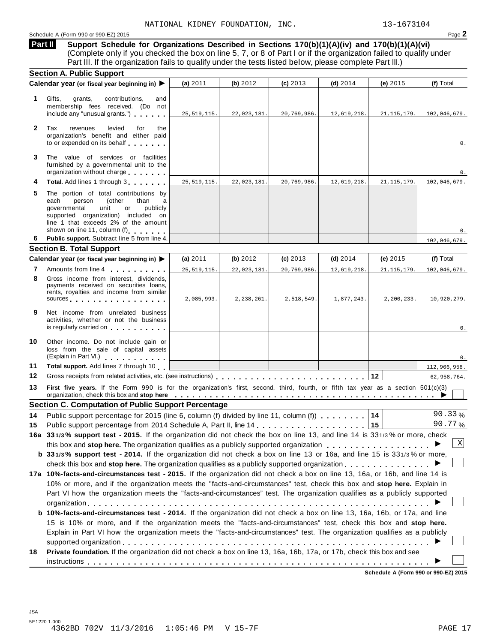# Schedule <sup>A</sup> (Form <sup>990</sup> or 990-EZ) <sup>2015</sup> Page **2**

**Support Schedule for Organizations Described in Sections 170(b)(1)(A)(iv) and 170(b)(1)(A)(vi)** (Complete only if you checked the box on line 5, 7, or 8 of Part I or if the organization failed to qualify under Part III. If the organization fails to qualify under the tests listed below, please complete Part III.) **Part II**

|              | <b>Section A. Public Support</b>                                                                                                                                                                                                                                                                                |               |             |             |             |               |                           |
|--------------|-----------------------------------------------------------------------------------------------------------------------------------------------------------------------------------------------------------------------------------------------------------------------------------------------------------------|---------------|-------------|-------------|-------------|---------------|---------------------------|
|              | Calendar year (or fiscal year beginning in) ▶                                                                                                                                                                                                                                                                   | (a) 2011      | (b) 2012    | $(c)$ 2013  | $(d)$ 2014  | (e) 2015      | (f) Total                 |
| 1            | contributions,<br>Gifts,<br>grants,<br>and<br>membership fees received. (Do not<br>include any "unusual grants.")                                                                                                                                                                                               | 25, 519, 115. | 22,023,181. | 20,769,986. | 12,619,218. | 21, 115, 179. | 102,046,679.              |
| $\mathbf{2}$ | Tax<br>revenues<br>levied<br>for<br>the<br>organization's benefit and either paid<br>to or expended on its behalf                                                                                                                                                                                               |               |             |             |             |               | 0.                        |
| 3            | The value of services or facilities<br>furnished by a governmental unit to the<br>organization without charge                                                                                                                                                                                                   |               |             |             |             |               | 0.                        |
| 4            | Total. Add lines 1 through 3                                                                                                                                                                                                                                                                                    | 25, 519, 115. | 22,023,181. | 20,769,986. | 12,619,218. | 21, 115, 179. | 102,046,679.              |
| 5            | The portion of total contributions by<br>each<br>person<br>(other<br>than<br>a<br>governmental<br>publicly<br>unit<br>or<br>supported organization) included on<br>line 1 that exceeds 2% of the amount<br>shown on line 11, column (f)                                                                         |               |             |             |             |               | 0.                        |
| 6.           | Public support. Subtract line 5 from line 4.                                                                                                                                                                                                                                                                    |               |             |             |             |               | 102,046,679.              |
|              | <b>Section B. Total Support</b>                                                                                                                                                                                                                                                                                 |               |             |             |             |               |                           |
|              | Calendar year (or fiscal year beginning in) ▶                                                                                                                                                                                                                                                                   | (a) 2011      | (b) 2012    | $(c)$ 2013  | $(d)$ 2014  | (e) 2015      | (f) Total                 |
| 7            | Amounts from line 4                                                                                                                                                                                                                                                                                             | 25, 519, 115. | 22,023,181. | 20,769,986. | 12,619,218. | 21, 115, 179. | 102,046,679.              |
| 8            | Gross income from interest. dividends.<br>payments received on securities loans,<br>rents, royalties and income from similar<br>sources                                                                                                                                                                         | 2,085,993.    | 2,238,261.  | 2,518,549.  | 1,877,243.  | 2,200,233.    | 10,920,279.               |
| 9            | Net income from unrelated business<br>activities, whether or not the business<br>is regularly carried on the control of the control of the control of the control of the control of the control of the control of the control of the control of the control of the control of the control of the control of the |               |             |             |             |               | 0.                        |
| 10           | Other income. Do not include gain or<br>loss from the sale of capital assets<br>(Explain in Part VI.) Carrier and Carrier and Carrier and                                                                                                                                                                       |               |             |             |             |               | 0.                        |
| 11           | Total support. Add lines 7 through 10                                                                                                                                                                                                                                                                           |               |             |             |             |               | 112,966,958.              |
| 12           |                                                                                                                                                                                                                                                                                                                 |               |             |             |             |               | 62,958,764.               |
| 13           | First five years. If the Form 990 is for the organization's first, second, third, fourth, or fifth tax year as a section 501(c)(3)<br>organization, check this box and stop here entirely service of the service of the service of the service of the service of $\blacktriangleright$                          |               |             |             |             |               |                           |
|              | <b>Section C. Computation of Public Support Percentage</b>                                                                                                                                                                                                                                                      |               |             |             |             |               |                           |
| 14           | Public support percentage for 2015 (line 6, column (f) divided by line 11, column (f)                                                                                                                                                                                                                           |               |             |             |             | 14            | 90.33%                    |
| 15           |                                                                                                                                                                                                                                                                                                                 |               |             |             |             | 15            | 90.77%                    |
|              | 16a 331/3% support test - 2015. If the organization did not check the box on line 13, and line 14 is 331/3% or more, check                                                                                                                                                                                      |               |             |             |             |               |                           |
|              |                                                                                                                                                                                                                                                                                                                 |               |             |             |             |               | $\boldsymbol{\mathrm{X}}$ |
|              | b 331/3% support test - 2014. If the organization did not check a box on line 13 or 16a, and line 15 is 331/3% or more,                                                                                                                                                                                         |               |             |             |             |               |                           |
|              | check this box and stop here. The organization qualifies as a publicly supported organization $\dots \dots \dots \dots$                                                                                                                                                                                         |               |             |             |             |               |                           |
|              | 17a 10%-facts-and-circumstances test - 2015. If the organization did not check a box on line 13, 16a, or 16b, and line 14 is                                                                                                                                                                                    |               |             |             |             |               |                           |
|              | 10% or more, and if the organization meets the "facts-and-circumstances" test, check this box and stop here. Explain in                                                                                                                                                                                         |               |             |             |             |               |                           |
|              | Part VI how the organization meets the "facts-and-circumstances" test. The organization qualifies as a publicly supported                                                                                                                                                                                       |               |             |             |             |               |                           |
|              |                                                                                                                                                                                                                                                                                                                 |               |             |             |             |               |                           |
|              | b 10%-facts-and-circumstances test - 2014. If the organization did not check a box on line 13, 16a, 16b, or 17a, and line                                                                                                                                                                                       |               |             |             |             |               |                           |
|              | 15 is 10% or more, and if the organization meets the "facts-and-circumstances" test, check this box and stop here.                                                                                                                                                                                              |               |             |             |             |               |                           |
|              | Explain in Part VI how the organization meets the "facts-and-circumstances" test. The organization qualifies as a publicly                                                                                                                                                                                      |               |             |             |             |               |                           |
|              |                                                                                                                                                                                                                                                                                                                 |               |             |             |             |               |                           |
| 18           | Private foundation. If the organization did not check a box on line 13, 16a, 16b, 17a, or 17b, check this box and see                                                                                                                                                                                           |               |             |             |             |               |                           |
|              |                                                                                                                                                                                                                                                                                                                 |               |             |             |             |               |                           |

**Schedule A (Form 990 or 990-EZ) 2015**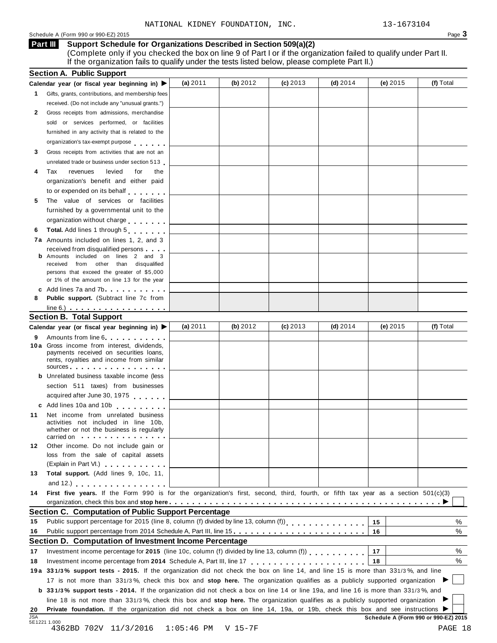#### Schedule <sup>A</sup> (Form <sup>990</sup> or 990-EZ) <sup>2015</sup> Page **3**

### **Support Schedule for Organizations Described in Section 509(a)(2) Part III**

(Complete only if you checked the box on line 9 of Part I or if the organization failed to qualify under Part II. If the organization fails to qualify under the tests listed below, please complete Part II.)

|                      | <b>Section A. Public Support</b>                                                                                                                                                                                                                                                                                                                                     |            |            |            |            |          |           |
|----------------------|----------------------------------------------------------------------------------------------------------------------------------------------------------------------------------------------------------------------------------------------------------------------------------------------------------------------------------------------------------------------|------------|------------|------------|------------|----------|-----------|
|                      | Calendar year (or fiscal year beginning in) ▶                                                                                                                                                                                                                                                                                                                        | (a) $2011$ | (b) $2012$ | $(c)$ 2013 | (d) $2014$ | (e) 2015 | (f) Total |
| 1.                   | Gifts, grants, contributions, and membership fees                                                                                                                                                                                                                                                                                                                    |            |            |            |            |          |           |
|                      | received. (Do not include any "unusual grants.")                                                                                                                                                                                                                                                                                                                     |            |            |            |            |          |           |
| 2                    | Gross receipts from admissions, merchandise                                                                                                                                                                                                                                                                                                                          |            |            |            |            |          |           |
|                      | sold or services performed, or facilities                                                                                                                                                                                                                                                                                                                            |            |            |            |            |          |           |
|                      | furnished in any activity that is related to the                                                                                                                                                                                                                                                                                                                     |            |            |            |            |          |           |
|                      | organization's tax-exempt purpose                                                                                                                                                                                                                                                                                                                                    |            |            |            |            |          |           |
| 3                    | Gross receipts from activities that are not an                                                                                                                                                                                                                                                                                                                       |            |            |            |            |          |           |
|                      | unrelated trade or business under section 513                                                                                                                                                                                                                                                                                                                        |            |            |            |            |          |           |
| 4                    | levied<br>Tax<br>revenues<br>for<br>the                                                                                                                                                                                                                                                                                                                              |            |            |            |            |          |           |
|                      | organization's benefit and either paid                                                                                                                                                                                                                                                                                                                               |            |            |            |            |          |           |
|                      | to or expended on its behalf                                                                                                                                                                                                                                                                                                                                         |            |            |            |            |          |           |
| 5                    | The value of services or facilities                                                                                                                                                                                                                                                                                                                                  |            |            |            |            |          |           |
|                      | furnished by a governmental unit to the                                                                                                                                                                                                                                                                                                                              |            |            |            |            |          |           |
|                      | organization without charge                                                                                                                                                                                                                                                                                                                                          |            |            |            |            |          |           |
| 6                    | Total. Add lines 1 through 5                                                                                                                                                                                                                                                                                                                                         |            |            |            |            |          |           |
|                      | <b>7a</b> Amounts included on lines 1, 2, and 3                                                                                                                                                                                                                                                                                                                      |            |            |            |            |          |           |
|                      | received from disqualified persons                                                                                                                                                                                                                                                                                                                                   |            |            |            |            |          |           |
|                      | <b>b</b> Amounts included on lines 2 and 3                                                                                                                                                                                                                                                                                                                           |            |            |            |            |          |           |
|                      | from other than disqualified<br>received                                                                                                                                                                                                                                                                                                                             |            |            |            |            |          |           |
|                      | persons that exceed the greater of \$5,000                                                                                                                                                                                                                                                                                                                           |            |            |            |            |          |           |
|                      | or 1% of the amount on line 13 for the year                                                                                                                                                                                                                                                                                                                          |            |            |            |            |          |           |
| 8                    | c Add lines 7a and 7b.<br>Public support. (Subtract line 7c from                                                                                                                                                                                                                                                                                                     |            |            |            |            |          |           |
|                      |                                                                                                                                                                                                                                                                                                                                                                      |            |            |            |            |          |           |
|                      | $line 6.)$<br><b>Section B. Total Support</b>                                                                                                                                                                                                                                                                                                                        |            |            |            |            |          |           |
|                      |                                                                                                                                                                                                                                                                                                                                                                      | (a) $2011$ | (b) $2012$ | $(c)$ 2013 | (d) $2014$ | (e) 2015 | (f) Total |
|                      | Calendar year (or fiscal year beginning in) ▶                                                                                                                                                                                                                                                                                                                        |            |            |            |            |          |           |
| 9                    | Amounts from line 6<br>10 a Gross income from interest, dividends,                                                                                                                                                                                                                                                                                                   |            |            |            |            |          |           |
|                      | payments received on securities loans,                                                                                                                                                                                                                                                                                                                               |            |            |            |            |          |           |
|                      | rents, royalties and income from similar                                                                                                                                                                                                                                                                                                                             |            |            |            |            |          |           |
|                      | sources                                                                                                                                                                                                                                                                                                                                                              |            |            |            |            |          |           |
|                      | <b>b</b> Unrelated business taxable income (less                                                                                                                                                                                                                                                                                                                     |            |            |            |            |          |           |
|                      | section 511 taxes) from businesses                                                                                                                                                                                                                                                                                                                                   |            |            |            |            |          |           |
|                      | acquired after June 30, 1975                                                                                                                                                                                                                                                                                                                                         |            |            |            |            |          |           |
|                      | c Add lines 10a and 10b                                                                                                                                                                                                                                                                                                                                              |            |            |            |            |          |           |
| 11                   | Net income from unrelated business                                                                                                                                                                                                                                                                                                                                   |            |            |            |            |          |           |
|                      | activities not included in line 10b,<br>whether or not the business is regularly                                                                                                                                                                                                                                                                                     |            |            |            |            |          |           |
|                      | carried on the carried on the contract of the care of the contract of the contract of the contract of the contract of the contract of the contract of the contract of the contract of the contract of the contract of the cont                                                                                                                                       |            |            |            |            |          |           |
| 12                   | Other income. Do not include gain or                                                                                                                                                                                                                                                                                                                                 |            |            |            |            |          |           |
|                      | loss from the sale of capital assets                                                                                                                                                                                                                                                                                                                                 |            |            |            |            |          |           |
|                      | (Explain in Part VI.) <b>Container and Containers</b>                                                                                                                                                                                                                                                                                                                |            |            |            |            |          |           |
| 13                   | Total support. (Add lines 9, 10c, 11,                                                                                                                                                                                                                                                                                                                                |            |            |            |            |          |           |
|                      | and $12$ .) $\qquad \qquad \qquad$ $\qquad \qquad$ $\qquad \qquad$ $\qquad \qquad$ $\qquad \qquad$ $\qquad \qquad$ $\qquad \qquad$ $\qquad \qquad$ $\qquad \qquad$ $\qquad \qquad$ $\qquad$ $\qquad \qquad$ $\qquad$ $\qquad$ $\qquad$ $\qquad$ $\qquad$ $\qquad$ $\qquad$ $\qquad$ $\qquad$ $\qquad$ $\qquad$ $\qquad$ $\qquad$ $\qquad$ $\qquad$ $\qquad$ $\qquad$ |            |            |            |            |          |           |
| 14                   | First five years. If the Form 990 is for the organization's first, second, third, fourth, or fifth tax year as a section 501(c)(3)                                                                                                                                                                                                                                   |            |            |            |            |          |           |
|                      |                                                                                                                                                                                                                                                                                                                                                                      |            |            |            |            |          |           |
|                      | Section C. Computation of Public Support Percentage                                                                                                                                                                                                                                                                                                                  |            |            |            |            |          |           |
| 15                   | Public support percentage for 2015 (line 8, column (f) divided by line 13, column (f))<br>[11]                                                                                                                                                                                                                                                                       |            |            |            |            | 15       | ℅         |
|                      |                                                                                                                                                                                                                                                                                                                                                                      |            |            |            |            | 16       | %         |
|                      | Public support percentage from 2014 Schedule A, Part III, line 15.                                                                                                                                                                                                                                                                                                   |            |            |            |            |          |           |
|                      |                                                                                                                                                                                                                                                                                                                                                                      |            |            |            |            |          |           |
|                      | Section D. Computation of Investment Income Percentage                                                                                                                                                                                                                                                                                                               |            |            |            |            | 17       | %         |
|                      |                                                                                                                                                                                                                                                                                                                                                                      |            |            |            |            | 18       | $\%$      |
|                      |                                                                                                                                                                                                                                                                                                                                                                      |            |            |            |            |          |           |
|                      | 19a 331/3% support tests - 2015. If the organization did not check the box on line 14, and line 15 is more than 331/3%, and line                                                                                                                                                                                                                                     |            |            |            |            |          |           |
|                      | 17 is not more than 331/3%, check this box and stop here. The organization qualifies as a publicly supported organization                                                                                                                                                                                                                                            |            |            |            |            |          |           |
|                      | <b>b</b> 331/3% support tests - 2014. If the organization did not check a box on line 14 or line 19a, and line 16 is more than 331/3%, and                                                                                                                                                                                                                           |            |            |            |            |          |           |
| 16<br>17<br>18<br>20 | line 18 is not more than 331/3%, check this box and stop here. The organization qualifies as a publicly supported organization<br>Private foundation. If the organization did not check a box on line 14, 19a, or 19b, check this box and see instructions ▶                                                                                                         |            |            |            |            |          |           |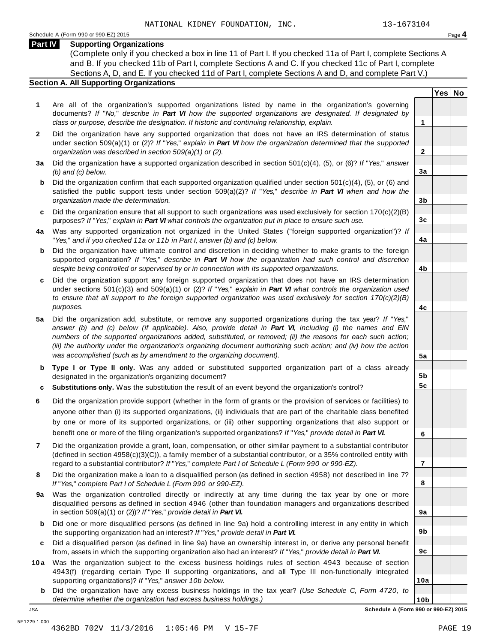**Yes No**

**2**

**3a**

**3b**

**3c**

**4a**

**4b**

**4c**

**5a**

**5b 5c**

**6**

**7**

**8**

**9a**

**9b**

**9c**

**10a**

# **Part IV Supporting Organizations**

(Complete only if you checked a box in line 11 of Part I. If you checked 11a of Part I, complete Sections A and B. If you checked 11b of Part I, complete Sections A and C. If you checked 11c of Part I, complete Sections A, D, and E. If you checked 11d of Part I, complete Sections A and D, and complete Part V.)

# **Section A. All Supporting Organizations**

- **1** Are all of the organization's supported organizations listed by name in the organization's governing documents? *If* "*No,*" *describe in Part VI how the supported organizations are designated. If designated by class or purpose, describe the designation. If historic and continuing relationship, explain.* **1**
- **2** Did the organization have any supported organization that does not have an IRS determination of status under section 509(a)(1) or (2)? *If*"*Yes,*" *explain in Part VI how the organization determined that the supported organization was described in section 509(a)(1) or (2).*
- **3 a** Did the organization have a supported organization described in section 501(c)(4), (5), or (6)? *If* "*Yes,*" *answer (b) and (c) below.*
- **b** Did the organization confirm that each supported organization qualified under section 501(c)(4), (5), or (6) and | satisfied the public support tests under section 509(a)(2)? *If* "*Yes,*" *describe in Part VI when and how the organization made the determination.*
- **c** Did the organization ensure that all support to such organizations was used exclusively for section 170(c)(2)(B) purposes? *If*"*Yes,*" *explain in Part VI what controls the organization put in place to ensure such use.*
- **4 a** Was any supported organization not organized in the United States ("foreign supported organization")? *If* "*Yes,*" *and if you checked 11a or 11b in Part I, answer (b) and (c) below.*
- **b** Did the organization have ultimate control and discretion in deciding whether to make grants to the foreign | supported organization? *If* "*Yes,*" *describe in Part VI how the organization had such control and discretion despite being controlled or supervised by or in connection with its supported organizations.*
- **c** Did the organization support any foreign supported organization that does not have an IRS determination | under sections 501(c)(3) and 509(a)(1) or (2)? *If* "*Yes,*" *explain in Part VI what controls the organization used to ensure that all support to the foreign supported organization was used exclusively for section 170(c)(2)(B) purposes.*
- **5 a** Did the organization add, substitute, or remove any supported organizations during the tax year? *If* "*Yes,*" answer (b) and (c) below (if applicable). Also, provide detail in Part VI, including (i) the names and EIN *numbers of the supported organizations added, substituted, or removed; (ii) the reasons for each such action;* (iii) the authority under the organization's organizing document authorizing such action; and (iv) how the action *was accomplished (such as by amendment to the organizing document).*
- **b** Type I or Type II only. Was any added or substituted supported organization part of a class already | designated in the organization's organizing document?
- **c Substitutions only.** Was the substitution the result of an event beyond the organization's control?
- **6** Did the organization provide support (whether in the form of grants or the provision of services or facilities) to anyone other than (i) its supported organizations, (ii) individuals that are part of the charitable class benefited by one or more of its supported organizations, or (iii) other supporting organizations that also support or benefit one or more of the filing organization's supported organizations? *If*"*Yes,*" *provide detail in Part VI.*
- **7** Did the organization provide a grant, loan, compensation, or other similar payment to a substantial contributor (defined in section 4958(c)(3)(C)), a family member of a substantial contributor, or a 35% controlled entity with regard to a substantial contributor? *If*"*Yes,*" *complete Part I of Schedule L (Form 990 or 990-EZ).*
- **8** Did the organization make a loan to a disqualified person (as defined in section 4958) not described in line 7? *If* "*Yes,*" *complete Part I of Schedule L (Form 990 or 990-EZ).*
- **a** Was the organization controlled directly or indirectly at any time during the tax year by one or more | **9** disqualified persons as defined in section 4946 (other than foundation managers and organizations described in section 509(a)(1) or (2))? *If*"*Yes,*" *provide detail in Part VI.*
- **b** Did one or more disqualified persons (as defined in line 9a) hold a controlling interest in any entity in which | the supporting organization had an interest? *If*"*Yes,*" *provide detail in Part VI.*
- **c** Did a disqualified person (as defined in line 9a) have an ownership interest in, or derive any personal benefit from, assets in which the supporting organization also had an interest? *If*"*Yes,*" *provide detail in Part VI.*
- **10a** Was the organization subject to the excess business holdings rules of section 4943 because of section | 4943(f) (regarding certain Type II supporting organizations, and all Type III non-functionally integrated supporting organizations)? *If*"*Yes,*" *answer 10b below.*
	- **b** Did the organization have any excess business holdings in the tax year? *(Use Schedule C, Form 4720, to determine whether the organization had excess business holdings.)*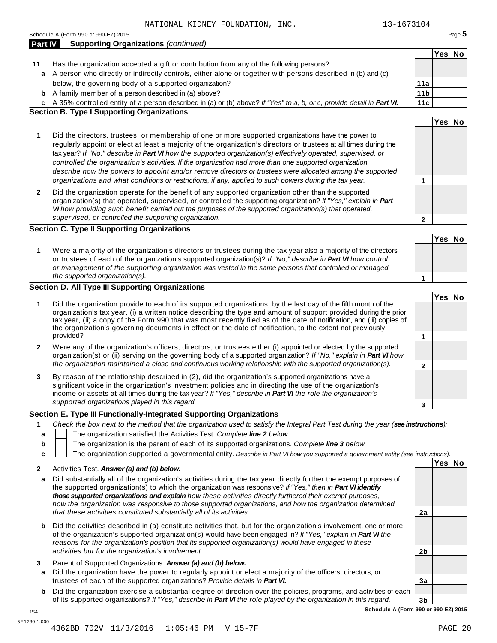|                | TOMAN KIDNSI LOOMDAIION,<br>Schedule A (Form 990 or 990-EZ) 2015                                                                                                                                                                                                                                                                                                                                                                                                                                                                                                                                                                                                             |                 |        | Page 5 |
|----------------|------------------------------------------------------------------------------------------------------------------------------------------------------------------------------------------------------------------------------------------------------------------------------------------------------------------------------------------------------------------------------------------------------------------------------------------------------------------------------------------------------------------------------------------------------------------------------------------------------------------------------------------------------------------------------|-----------------|--------|--------|
| <b>Part IV</b> | <b>Supporting Organizations (continued)</b>                                                                                                                                                                                                                                                                                                                                                                                                                                                                                                                                                                                                                                  |                 |        |        |
|                |                                                                                                                                                                                                                                                                                                                                                                                                                                                                                                                                                                                                                                                                              |                 | Yes No |        |
| 11             | Has the organization accepted a gift or contribution from any of the following persons?                                                                                                                                                                                                                                                                                                                                                                                                                                                                                                                                                                                      |                 |        |        |
| a              | A person who directly or indirectly controls, either alone or together with persons described in (b) and (c)                                                                                                                                                                                                                                                                                                                                                                                                                                                                                                                                                                 |                 |        |        |
|                | below, the governing body of a supported organization?                                                                                                                                                                                                                                                                                                                                                                                                                                                                                                                                                                                                                       | 11a             |        |        |
| b              | A family member of a person described in (a) above?                                                                                                                                                                                                                                                                                                                                                                                                                                                                                                                                                                                                                          | 11 <sub>b</sub> |        |        |
|                | c A 35% controlled entity of a person described in (a) or (b) above? If "Yes" to a, b, or c, provide detail in Part VI.                                                                                                                                                                                                                                                                                                                                                                                                                                                                                                                                                      | 11c             |        |        |
|                | <b>Section B. Type I Supporting Organizations</b>                                                                                                                                                                                                                                                                                                                                                                                                                                                                                                                                                                                                                            |                 |        |        |
|                |                                                                                                                                                                                                                                                                                                                                                                                                                                                                                                                                                                                                                                                                              |                 | Yes No |        |
| 1              | Did the directors, trustees, or membership of one or more supported organizations have the power to<br>regularly appoint or elect at least a majority of the organization's directors or trustees at all times during the<br>tax year? If "No," describe in Part VI how the supported organization(s) effectively operated, supervised, or<br>controlled the organization's activities. If the organization had more than one supported organization,<br>describe how the powers to appoint and/or remove directors or trustees were allocated among the supported<br>organizations and what conditions or restrictions, if any, applied to such powers during the tax year. | 1               |        |        |
| $\mathbf{2}$   | Did the organization operate for the benefit of any supported organization other than the supported<br>organization(s) that operated, supervised, or controlled the supporting organization? If "Yes," explain in Part<br>VI how providing such benefit carried out the purposes of the supported organization(s) that operated,<br>supervised, or controlled the supporting organization.                                                                                                                                                                                                                                                                                   | $\mathbf{2}$    |        |        |
|                | <b>Section C. Type II Supporting Organizations</b>                                                                                                                                                                                                                                                                                                                                                                                                                                                                                                                                                                                                                           |                 |        |        |
|                |                                                                                                                                                                                                                                                                                                                                                                                                                                                                                                                                                                                                                                                                              |                 | Yes No |        |
| 1              | Were a majority of the organization's directors or trustees during the tax year also a majority of the directors<br>or trustees of each of the organization's supported organization(s)? If "No," describe in Part VI how control<br>or management of the supporting organization was vested in the same persons that controlled or managed                                                                                                                                                                                                                                                                                                                                  |                 |        |        |
|                | the supported organization(s).                                                                                                                                                                                                                                                                                                                                                                                                                                                                                                                                                                                                                                               | 1               |        |        |
|                | <b>Section D. All Type III Supporting Organizations</b>                                                                                                                                                                                                                                                                                                                                                                                                                                                                                                                                                                                                                      |                 |        |        |
|                |                                                                                                                                                                                                                                                                                                                                                                                                                                                                                                                                                                                                                                                                              |                 | Yes No |        |
| 1              | Did the organization provide to each of its supported organizations, by the last day of the fifth month of the<br>organization's tax year, (i) a written notice describing the type and amount of support provided during the prior<br>tax year, (ii) a copy of the Form 990 that was most recently filed as of the date of notification, and (iii) copies of<br>the organization's governing documents in effect on the date of notification, to the extent not previously<br>provided?                                                                                                                                                                                     | 1               |        |        |
|                |                                                                                                                                                                                                                                                                                                                                                                                                                                                                                                                                                                                                                                                                              |                 |        |        |
| $\mathbf{2}$   | Were any of the organization's officers, directors, or trustees either (i) appointed or elected by the supported<br>organization(s) or (ii) serving on the governing body of a supported organization? If "No," explain in Part VI how<br>the organization maintained a close and continuous working relationship with the supported organization(s).                                                                                                                                                                                                                                                                                                                        | $\mathbf{2}$    |        |        |
| 3              | By reason of the relationship described in (2), did the organization's supported organizations have a<br>significant voice in the organization's investment policies and in directing the use of the organization's<br>income or assets at all times during the tax year? If "Yes," describe in Part VI the role the organization's<br>supported organizations played in this regard.                                                                                                                                                                                                                                                                                        | 3               |        |        |
|                | Section E. Type III Functionally-Integrated Supporting Organizations                                                                                                                                                                                                                                                                                                                                                                                                                                                                                                                                                                                                         |                 |        |        |
| 1              | Check the box next to the method that the organization used to satisfy the Integral Part Test during the year (see instructions):                                                                                                                                                                                                                                                                                                                                                                                                                                                                                                                                            |                 |        |        |
| а              | The organization satisfied the Activities Test. Complete line 2 below.                                                                                                                                                                                                                                                                                                                                                                                                                                                                                                                                                                                                       |                 |        |        |
| b              | The organization is the parent of each of its supported organizations. Complete line 3 below.                                                                                                                                                                                                                                                                                                                                                                                                                                                                                                                                                                                |                 |        |        |
| c              | The organization supported a governmental entity. Describe in Part VI how you supported a government entity (see instructions).                                                                                                                                                                                                                                                                                                                                                                                                                                                                                                                                              |                 |        |        |
|                |                                                                                                                                                                                                                                                                                                                                                                                                                                                                                                                                                                                                                                                                              |                 | Yes No |        |
| $\mathbf{2}$   | Activities Test. Answer (a) and (b) below.                                                                                                                                                                                                                                                                                                                                                                                                                                                                                                                                                                                                                                   |                 |        |        |
| a              | Did substantially all of the organization's activities during the tax year directly further the exempt purposes of<br>the supported organization(s) to which the organization was responsive? If "Yes," then in Part VI identify<br>those supported organizations and explain how these activities directly furthered their exempt purposes,<br>how the organization was responsive to those supported organizations, and how the organization determined                                                                                                                                                                                                                    |                 |        |        |
|                | that these activities constituted substantially all of its activities.                                                                                                                                                                                                                                                                                                                                                                                                                                                                                                                                                                                                       | 2a              |        |        |
| b              | Did the activities described in (a) constitute activities that, but for the organization's involvement, one or more<br>of the organization's supported organization(s) would have been engaged in? If "Yes," explain in Part VI the<br>reasons for the organization's position that its supported organization(s) would have engaged in these                                                                                                                                                                                                                                                                                                                                |                 |        |        |
|                | activities but for the organization's involvement.                                                                                                                                                                                                                                                                                                                                                                                                                                                                                                                                                                                                                           | 2 <sub>b</sub>  |        |        |
| 3              | Parent of Supported Organizations. Answer (a) and (b) below.                                                                                                                                                                                                                                                                                                                                                                                                                                                                                                                                                                                                                 |                 |        |        |
| a              | Did the organization have the power to regularly appoint or elect a majority of the officers, directors, or                                                                                                                                                                                                                                                                                                                                                                                                                                                                                                                                                                  |                 |        |        |
|                | trustees of each of the supported organizations? Provide details in Part VI.                                                                                                                                                                                                                                                                                                                                                                                                                                                                                                                                                                                                 | 3a              |        |        |
| b              | Did the organization exercise a substantial degree of direction over the policies, programs, and activities of each                                                                                                                                                                                                                                                                                                                                                                                                                                                                                                                                                          |                 |        |        |
|                | of its supported organizations? If "Yes," describe in Part VI the role played by the organization in this regard.                                                                                                                                                                                                                                                                                                                                                                                                                                                                                                                                                            | 3 <sub>b</sub>  |        |        |

**Schedule A (Form 990 or 990-EZ) 2015**

JSA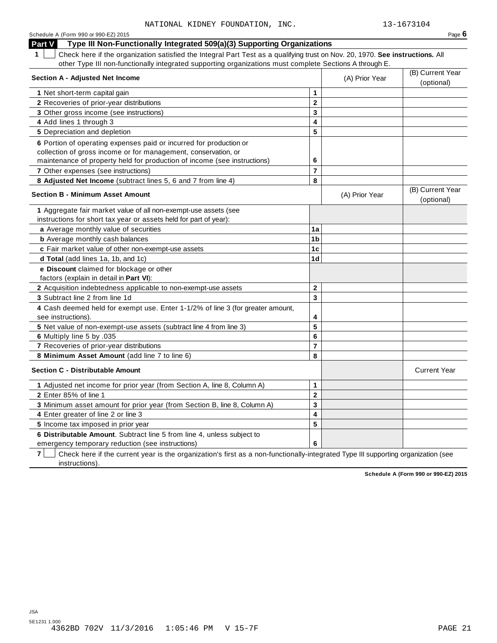| Schedule A (Form 990 or 990-EZ) 2015                                                                                               |                |                | Page $6$                       |
|------------------------------------------------------------------------------------------------------------------------------------|----------------|----------------|--------------------------------|
| Type III Non-Functionally Integrated 509(a)(3) Supporting Organizations<br><b>Part V</b>                                           |                |                |                                |
| 1<br>Check here if the organization satisfied the Integral Part Test as a qualifying trust on Nov. 20, 1970. See instructions. All |                |                |                                |
| other Type III non-functionally integrated supporting organizations must complete Sections A through E.                            |                |                |                                |
| <b>Section A - Adjusted Net Income</b>                                                                                             |                | (A) Prior Year | (B) Current Year               |
|                                                                                                                                    |                |                | (optional)                     |
| 1 Net short-term capital gain                                                                                                      | $\mathbf{1}$   |                |                                |
| 2 Recoveries of prior-year distributions                                                                                           | $\mathbf{2}$   |                |                                |
| 3 Other gross income (see instructions)                                                                                            | 3              |                |                                |
| 4 Add lines 1 through 3                                                                                                            | 4              |                |                                |
| 5 Depreciation and depletion                                                                                                       | 5              |                |                                |
| 6 Portion of operating expenses paid or incurred for production or                                                                 |                |                |                                |
| collection of gross income or for management, conservation, or                                                                     |                |                |                                |
| maintenance of property held for production of income (see instructions)                                                           | 6              |                |                                |
| 7 Other expenses (see instructions)                                                                                                | $\overline{7}$ |                |                                |
| 8 Adjusted Net Income (subtract lines 5, 6 and 7 from line 4)                                                                      | 8              |                |                                |
| <b>Section B - Minimum Asset Amount</b>                                                                                            |                | (A) Prior Year | (B) Current Year<br>(optional) |
| 1 Aggregate fair market value of all non-exempt-use assets (see                                                                    |                |                |                                |
| instructions for short tax year or assets held for part of year):                                                                  |                |                |                                |
| a Average monthly value of securities                                                                                              | 1a             |                |                                |
| <b>b</b> Average monthly cash balances                                                                                             | 1 <sub>b</sub> |                |                                |
| c Fair market value of other non-exempt-use assets                                                                                 | 1 <sub>c</sub> |                |                                |
| d Total (add lines 1a, 1b, and 1c)                                                                                                 | 1 <sub>d</sub> |                |                                |
| e Discount claimed for blockage or other<br>factors (explain in detail in Part VI):                                                |                |                |                                |
| <b>2</b> Acquisition indebtedness applicable to non-exempt-use assets                                                              | $\mathbf{2}$   |                |                                |
| 3 Subtract line 2 from line 1d                                                                                                     | 3              |                |                                |
| 4 Cash deemed held for exempt use. Enter 1-1/2% of line 3 (for greater amount,<br>see instructions).                               | 4              |                |                                |
| 5 Net value of non-exempt-use assets (subtract line 4 from line 3)                                                                 | 5              |                |                                |
| 6 Multiply line 5 by .035                                                                                                          | 6              |                |                                |
| 7 Recoveries of prior-year distributions                                                                                           | $\overline{7}$ |                |                                |
| 8 Minimum Asset Amount (add line 7 to line 6)                                                                                      | 8              |                |                                |
| <b>Section C - Distributable Amount</b>                                                                                            |                |                | <b>Current Year</b>            |
| 1 Adjusted net income for prior year (from Section A, line 8, Column A)                                                            | 1              |                |                                |
| 2 Enter 85% of line 1                                                                                                              | $\mathbf{2}$   |                |                                |
| 3 Minimum asset amount for prior year (from Section B, line 8, Column A)                                                           | 3              |                |                                |
| 4 Enter greater of line 2 or line 3                                                                                                | 4              |                |                                |
| 5 Income tax imposed in prior year                                                                                                 | 5              |                |                                |
| 6 Distributable Amount. Subtract line 5 from line 4, unless subject to                                                             |                |                |                                |
| emergency temporary reduction (see instructions)                                                                                   | 6              |                |                                |

**7** Check here if the current year is the organization's first as a non-functionally-integrated Type III supporting organization (see instructions).

**Schedule A (Form 990 or 990-EZ) 2015**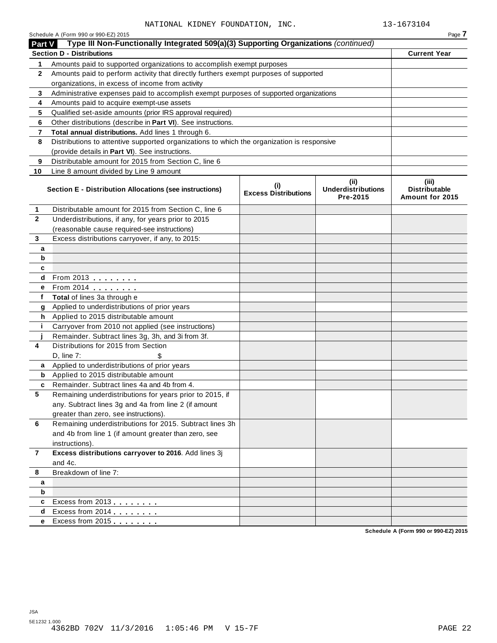|                | Schedule A (Form 990 or 990-EZ) 2015                                                       |                                    |                                               | Page 7                                             |
|----------------|--------------------------------------------------------------------------------------------|------------------------------------|-----------------------------------------------|----------------------------------------------------|
| <b>Part V</b>  | Type III Non-Functionally Integrated 509(a)(3) Supporting Organizations (continued)        |                                    |                                               |                                                    |
|                | <b>Section D - Distributions</b>                                                           |                                    |                                               | <b>Current Year</b>                                |
| 1              | Amounts paid to supported organizations to accomplish exempt purposes                      |                                    |                                               |                                                    |
| 2              | Amounts paid to perform activity that directly furthers exempt purposes of supported       |                                    |                                               |                                                    |
|                | organizations, in excess of income from activity                                           |                                    |                                               |                                                    |
| 3              | Administrative expenses paid to accomplish exempt purposes of supported organizations      |                                    |                                               |                                                    |
| 4              | Amounts paid to acquire exempt-use assets                                                  |                                    |                                               |                                                    |
| 5              | Qualified set-aside amounts (prior IRS approval required)                                  |                                    |                                               |                                                    |
| 6              | Other distributions (describe in Part VI). See instructions.                               |                                    |                                               |                                                    |
| 7              | Total annual distributions. Add lines 1 through 6.                                         |                                    |                                               |                                                    |
| 8              | Distributions to attentive supported organizations to which the organization is responsive |                                    |                                               |                                                    |
|                | (provide details in Part VI). See instructions.                                            |                                    |                                               |                                                    |
| 9              | Distributable amount for 2015 from Section C, line 6                                       |                                    |                                               |                                                    |
| 10             | Line 8 amount divided by Line 9 amount                                                     |                                    |                                               |                                                    |
|                | Section E - Distribution Allocations (see instructions)                                    | (i)<br><b>Excess Distributions</b> | (ii)<br><b>Underdistributions</b><br>Pre-2015 | (iii)<br><b>Distributable</b><br>Amount for 2015   |
| 1              | Distributable amount for 2015 from Section C, line 6                                       |                                    |                                               |                                                    |
| $\mathbf{2}$   | Underdistributions, if any, for years prior to 2015                                        |                                    |                                               |                                                    |
|                | (reasonable cause required-see instructions)                                               |                                    |                                               |                                                    |
| 3              | Excess distributions carryover, if any, to 2015:                                           |                                    |                                               |                                                    |
| а              |                                                                                            |                                    |                                               |                                                    |
| b              |                                                                                            |                                    |                                               |                                                    |
| c              |                                                                                            |                                    |                                               |                                                    |
| d              | From 2013                                                                                  |                                    |                                               |                                                    |
| е              | From 2014 <b>Figure 1.1 Figure 1.1</b>                                                     |                                    |                                               |                                                    |
| f              | Total of lines 3a through e                                                                |                                    |                                               |                                                    |
| g              | Applied to underdistributions of prior years                                               |                                    |                                               |                                                    |
| h              | Applied to 2015 distributable amount                                                       |                                    |                                               |                                                    |
| j.             | Carryover from 2010 not applied (see instructions)                                         |                                    |                                               |                                                    |
|                | Remainder. Subtract lines 3g, 3h, and 3i from 3f.                                          |                                    |                                               |                                                    |
| 4              | Distributions for 2015 from Section                                                        |                                    |                                               |                                                    |
|                | $D$ , line $7$ :<br>\$                                                                     |                                    |                                               |                                                    |
| a              | Applied to underdistributions of prior years                                               |                                    |                                               |                                                    |
| b              | Applied to 2015 distributable amount                                                       |                                    |                                               |                                                    |
| c              | Remainder. Subtract lines 4a and 4b from 4.                                                |                                    |                                               |                                                    |
| 5.             | Remaining underdistributions for years prior to 2015, if                                   |                                    |                                               |                                                    |
|                | any. Subtract lines 3g and 4a from line 2 (if amount                                       |                                    |                                               |                                                    |
|                | greater than zero, see instructions).                                                      |                                    |                                               |                                                    |
| 6              | Remaining underdistributions for 2015. Subtract lines 3h                                   |                                    |                                               |                                                    |
|                | and 4b from line 1 (if amount greater than zero, see                                       |                                    |                                               |                                                    |
|                | instructions).                                                                             |                                    |                                               |                                                    |
| $\overline{7}$ | Excess distributions carryover to 2016. Add lines 3j                                       |                                    |                                               |                                                    |
|                | and 4c.                                                                                    |                                    |                                               |                                                    |
| 8              | Breakdown of line 7:                                                                       |                                    |                                               |                                                    |
| a              |                                                                                            |                                    |                                               |                                                    |
| b              |                                                                                            |                                    |                                               |                                                    |
| c              | Excess from 2013                                                                           |                                    |                                               |                                                    |
| d              | Excess from 2014                                                                           |                                    |                                               |                                                    |
| е              | Excess from 2015                                                                           |                                    |                                               |                                                    |
|                |                                                                                            |                                    |                                               | $A$ $(T_{\text{max}}$ 000 $\approx$ 000 $T$ 7) 004 |

**Schedule A (Form 990 or 990-EZ) 2015**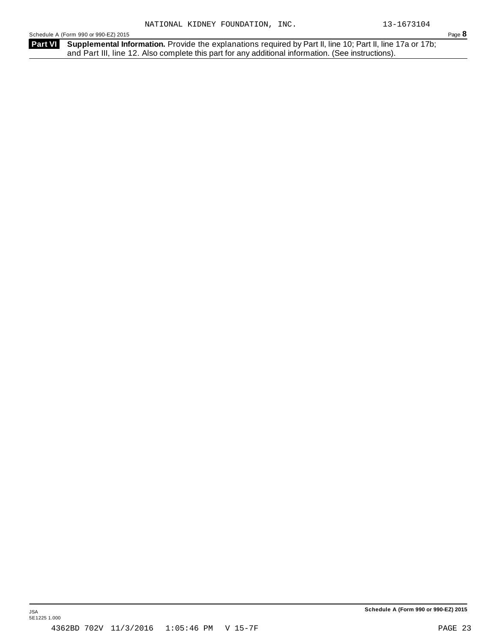Schedule <sup>A</sup> (Form <sup>990</sup> or 990-EZ) <sup>2015</sup> Page **8**

Part VI Supplemental Information. Provide the explanations required by Part II, line 10; Part II, line 17a or 17b; and Part III, line 12. Also complete this part for any additional information. (See instructions).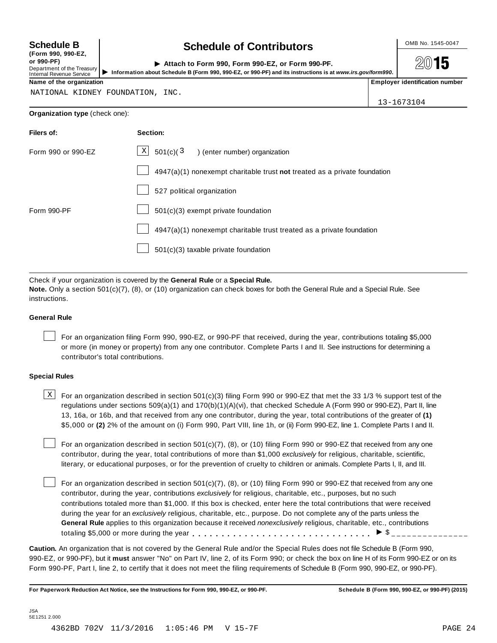| <b>Schedule B</b> |  |
|-------------------|--|
|-------------------|--|

**(Form 990, 990-EZ, or 990-PF)** Department of the Treasury<br>Internal Revenue Service **D** Information

# **Schedule B chedule of Contributors**

| ( FUI III  990, 990 EL,<br>or 990-PF).<br>Department of the Treasury  <br>Internal Revenue Service | Attach to Form 990, Form 990-EZ, or Form 990-PF.<br>Information about Schedule B (Form 990, 990-EZ, or 990-PF) and its instructions is at www.irs.gov/form990. | 2015                             |
|----------------------------------------------------------------------------------------------------|----------------------------------------------------------------------------------------------------------------------------------------------------------------|----------------------------------|
| Name of the organization                                                                           |                                                                                                                                                                | l Emplover identification number |

NATIONAL KIDNEY FOUNDATION, INC.

13-1673104

# **Organization type** (check one):

| Filers of:         | Section:                                                                    |
|--------------------|-----------------------------------------------------------------------------|
| Form 990 or 990-EZ | $\mathbf{X}$<br>501(c)(3)<br>) (enter number) organization                  |
|                    | $4947(a)(1)$ nonexempt charitable trust not treated as a private foundation |
|                    | 527 political organization                                                  |
| Form 990-PF        | 501(c)(3) exempt private foundation                                         |
|                    | $4947(a)(1)$ nonexempt charitable trust treated as a private foundation     |
|                    | 501(c)(3) taxable private foundation                                        |
|                    |                                                                             |

Check if your organization is covered by the **General Rule** or a **Special Rule.**

**Note.** Only a section 501(c)(7), (8), or (10) organization can check boxes for both the General Rule and a Special Rule. See instructions.

## **General Rule**

For an organization filing Form 990, 990-EZ, or 990-PF that received, during the year, contributions totaling \$5,000 or more (in money or property) from any one contributor. Complete Parts I and II. See instructions for determining a contributor's total contributions.

# **Special Rules**

 $\text{X}$  For an organization described in section 501(c)(3) filing Form 990 or 990-EZ that met the 33 1/3 % support test of the regulations under sections 509(a)(1) and 170(b)(1)(A)(vi), that checked Schedule A (Form 990 or 990-EZ), Part II, line 13, 16a, or 16b, and that received from any one contributor, during the year, total contributions of the greater of **(1)** \$5,000 or **(2)** 2% of the amount on (i) Form 990, Part VIII, line 1h, or (ii) Form 990-EZ, line 1. Complete Parts I and II.

For an organization described in section 501(c)(7), (8), or (10) filing Form 990 or 990-EZ that received from any one contributor, during the year, total contributions of more than \$1,000 *exclusively* for religious, charitable, scientific, literary, or educational purposes, or for the prevention of cruelty to children or animals. Complete Parts I, II, and III.

For an organization described in section 501(c)(7), (8), or (10) filing Form 990 or 990-EZ that received from any one contributor, during the year, contributions *exclusively* for religious, charitable, etc., purposes, but no such contributions totaled more than \$1,000. If this box is checked, enter here the total contributions that were received during the year for an *exclusively* religious, charitable, etc., purpose. Do not complete any of the parts unless the **General Rule** applies to this organization because it received *nonexclusively* religious, charitable, etc., contributions totaling \$5,000 or more during the year m m m m m m m m m m m m m m m m m m m m m m m m m m m m m m m I \$

**Caution.** An organization that is not covered by the General Rule and/or the Special Rules does not file Schedule B (Form 990, 990-EZ, or 990-PF), but it **must** answer "No" on Part IV, line 2, of its Form 990; or check the box on line H of its Form 990-EZ or on its Form 990-PF, Part I, line 2, to certify that it does not meet the filing requirements of Schedule B (Form 990, 990-EZ, or 990-PF).

For Paperwork Reduction Act Notice, see the Instructions for Form 990, 990-EZ, or 990-PF. Schedule B (Form 990, 990-EZ, or 990-PF) (2015)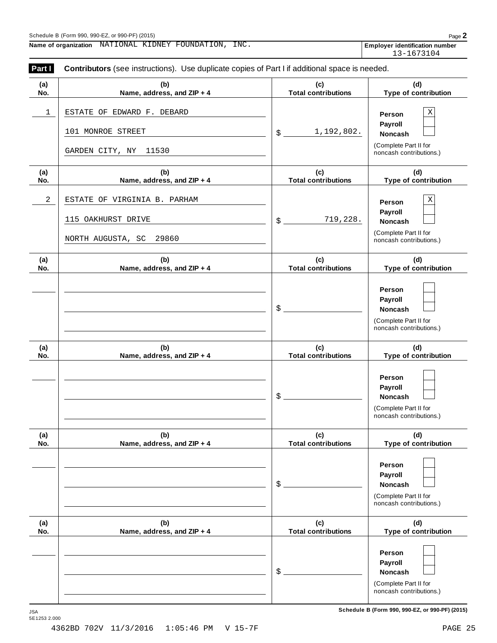**Name of organization Employer identification number** NATIONAL KIDNEY FOUNDATION, INC.

13-1673104

| Part I     | Contributors (see instructions). Use duplicate copies of Part I if additional space is needed. |                                   |                                                                                                 |  |  |  |
|------------|------------------------------------------------------------------------------------------------|-----------------------------------|-------------------------------------------------------------------------------------------------|--|--|--|
| (a)<br>No. | (b)<br>Name, address, and ZIP + 4                                                              | (c)<br><b>Total contributions</b> | (d)<br>Type of contribution                                                                     |  |  |  |
| 1          | ESTATE OF EDWARD F. DEBARD<br>101 MONROE STREET<br>GARDEN CITY, NY<br>11530                    | 1,192,802.<br>$\frac{1}{2}$       | $\mathbf X$<br>Person<br>Payroll<br>Noncash<br>(Complete Part II for<br>noncash contributions.) |  |  |  |
| (a)<br>No. | (b)<br>Name, address, and ZIP + 4                                                              | (c)<br><b>Total contributions</b> | (d)<br>Type of contribution                                                                     |  |  |  |
| $\sqrt{2}$ | ESTATE OF VIRGINIA B. PARHAM<br>115 OAKHURST DRIVE<br>29860<br>NORTH AUGUSTA, SC               | 719,228.<br>$\frac{1}{2}$         | $\mathbf X$<br>Person<br>Payroll<br>Noncash<br>(Complete Part II for<br>noncash contributions.) |  |  |  |
| (a)<br>No. | (b)<br>Name, address, and ZIP + 4                                                              | (c)<br><b>Total contributions</b> | (d)<br>Type of contribution                                                                     |  |  |  |
|            |                                                                                                | \$                                | Person<br>Payroll<br>Noncash<br>(Complete Part II for<br>noncash contributions.)                |  |  |  |
| (a)<br>No. | (b)<br>Name, address, and ZIP + 4                                                              | (c)<br><b>Total contributions</b> | (d)<br>Type of contribution                                                                     |  |  |  |
|            |                                                                                                | \$                                | Person<br>Payroll<br>Noncash<br>(Complete Part II for<br>noncash contributions.)                |  |  |  |
| (a)<br>No. | (b)<br>Name, address, and ZIP + 4                                                              | (c)<br><b>Total contributions</b> | (d)<br>Type of contribution                                                                     |  |  |  |
|            |                                                                                                | \$                                | Person<br>Payroll<br><b>Noncash</b><br>(Complete Part II for<br>noncash contributions.)         |  |  |  |
| (a)<br>No. | (b)<br>Name, address, and ZIP + 4                                                              | (c)<br><b>Total contributions</b> | (d)<br>Type of contribution                                                                     |  |  |  |
|            |                                                                                                | \$                                | Person<br>Payroll<br>Noncash<br>(Complete Part II for<br>noncash contributions.)                |  |  |  |

 $S$ chedule B (Form 990, 990-EZ, or 990-PF) (2015)

JSA<br>5E1253 2.000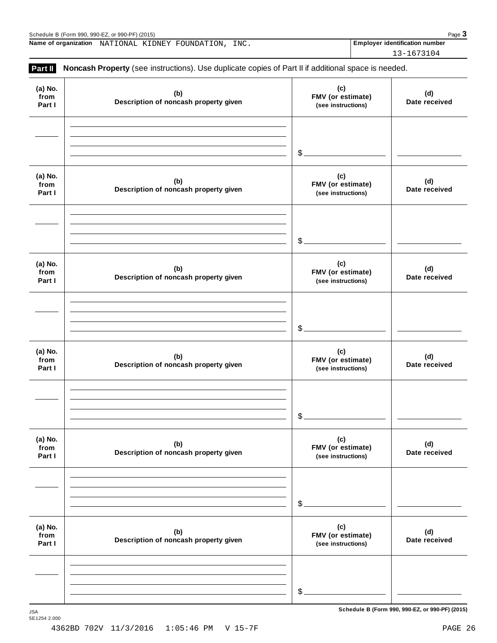$S$ chedule B (Form 990, 990-EZ, or 990-PF) (2015)

**Name of organization** NATIONAL KIDNEY FOUNDATION, INC. Employer identification number

13-1673104

| (a) No.<br>from<br>Part I | (b)<br>Description of noncash property given | (c)<br>FMV (or estimate)<br>(see instructions) | (d)<br>Date received |
|---------------------------|----------------------------------------------|------------------------------------------------|----------------------|
|                           |                                              | \$                                             |                      |
| (a) No.<br>from<br>Part I | (b)<br>Description of noncash property given | (c)<br>FMV (or estimate)<br>(see instructions) | (d)<br>Date received |
|                           |                                              | \$                                             |                      |
| (a) No.<br>from<br>Part I | (b)<br>Description of noncash property given | (c)<br>FMV (or estimate)<br>(see instructions) | (d)<br>Date received |
|                           |                                              | \$                                             |                      |
| (a) No.<br>from<br>Part I | (b)<br>Description of noncash property given | (c)<br>FMV (or estimate)<br>(see instructions) | (d)<br>Date received |
|                           |                                              | \$                                             |                      |
| (a) No.<br>from<br>Part I | (b)<br>Description of noncash property given | (c)<br>FMV (or estimate)<br>(see instructions) | (d)<br>Date received |
|                           |                                              | \$                                             |                      |
| (a) No.<br>from<br>Part I | (b)<br>Description of noncash property given | (c)<br>FMV (or estimate)<br>(see instructions) | (d)<br>Date received |
|                           |                                              | \$                                             |                      |

4362BD 702V 11/3/2016 1:05:46 PM V 15-7F PAGE 26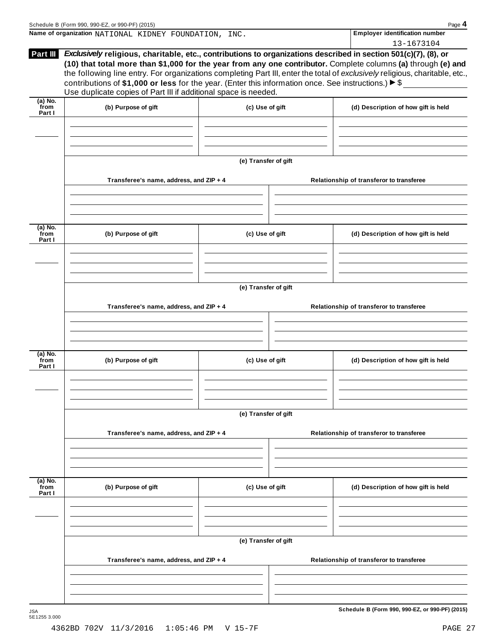|                             | Name of organization NATIONAL KIDNEY FOUNDATION, INC.                                                                                                                                                                                                                                                                                                                                                                                   |                      | <b>Employer identification number</b>           |
|-----------------------------|-----------------------------------------------------------------------------------------------------------------------------------------------------------------------------------------------------------------------------------------------------------------------------------------------------------------------------------------------------------------------------------------------------------------------------------------|----------------------|-------------------------------------------------|
|                             | Part III Exclusively religious, charitable, etc., contributions to organizations described in section 501(c)(7), (8), or                                                                                                                                                                                                                                                                                                                |                      | 13-1673104                                      |
|                             | (10) that total more than \$1,000 for the year from any one contributor. Complete columns (a) through (e) and<br>the following line entry. For organizations completing Part III, enter the total of exclusively religious, charitable, etc.,<br>contributions of \$1,000 or less for the year. (Enter this information once. See instructions.) $\triangleright$ \$<br>Use duplicate copies of Part III if additional space is needed. |                      |                                                 |
| (a) No.<br>from<br>Part I   | (b) Purpose of gift                                                                                                                                                                                                                                                                                                                                                                                                                     | (c) Use of gift      | (d) Description of how gift is held             |
|                             |                                                                                                                                                                                                                                                                                                                                                                                                                                         |                      |                                                 |
|                             |                                                                                                                                                                                                                                                                                                                                                                                                                                         | (e) Transfer of gift |                                                 |
|                             | Transferee's name, address, and ZIP + 4                                                                                                                                                                                                                                                                                                                                                                                                 |                      | Relationship of transferor to transferee        |
| (a) No.<br>from<br>Part I   | (b) Purpose of gift                                                                                                                                                                                                                                                                                                                                                                                                                     | (c) Use of gift      | (d) Description of how gift is held             |
|                             |                                                                                                                                                                                                                                                                                                                                                                                                                                         |                      |                                                 |
|                             |                                                                                                                                                                                                                                                                                                                                                                                                                                         | (e) Transfer of gift |                                                 |
|                             | Transferee's name, address, and ZIP + 4                                                                                                                                                                                                                                                                                                                                                                                                 |                      | Relationship of transferor to transferee        |
| $(a)$ No.<br>from<br>Part I | (b) Purpose of gift                                                                                                                                                                                                                                                                                                                                                                                                                     | (c) Use of gift      | (d) Description of how gift is held             |
|                             |                                                                                                                                                                                                                                                                                                                                                                                                                                         |                      |                                                 |
|                             | Transferee's name, address, and ZIP + 4                                                                                                                                                                                                                                                                                                                                                                                                 | (e) Transfer of gift | Relationship of transferor to transferee        |
|                             |                                                                                                                                                                                                                                                                                                                                                                                                                                         |                      |                                                 |
| $(a)$ No.<br>from<br>Part I | (b) Purpose of gift                                                                                                                                                                                                                                                                                                                                                                                                                     | (c) Use of gift      | (d) Description of how gift is held             |
|                             |                                                                                                                                                                                                                                                                                                                                                                                                                                         |                      |                                                 |
|                             |                                                                                                                                                                                                                                                                                                                                                                                                                                         | (e) Transfer of gift |                                                 |
|                             | Transferee's name, address, and ZIP + 4                                                                                                                                                                                                                                                                                                                                                                                                 |                      | Relationship of transferor to transferee        |
|                             |                                                                                                                                                                                                                                                                                                                                                                                                                                         |                      |                                                 |
| <b>JSA</b>                  |                                                                                                                                                                                                                                                                                                                                                                                                                                         |                      | Schedule B (Form 990, 990-EZ, or 990-PF) (2015) |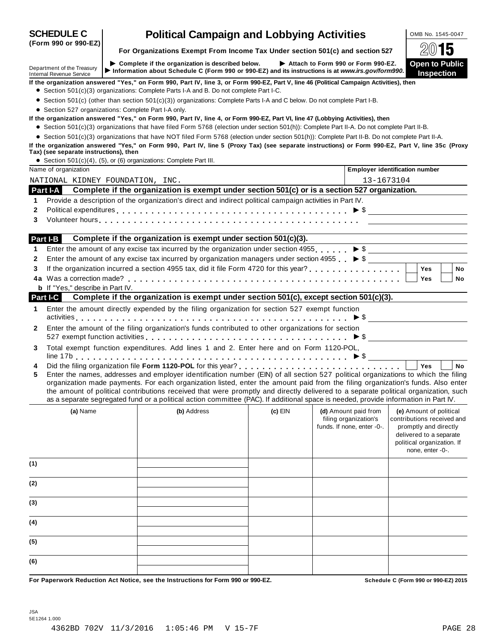| <b>SCHEDULE C</b>                                             | <b>Political Campaign and Lobbying Activities</b>                                                                                                                                                                                                                                                                                                                                                                                                                                                                                                    |           |                                                                             | OMB No. 1545-0047                                                                                                                                           |           |
|---------------------------------------------------------------|------------------------------------------------------------------------------------------------------------------------------------------------------------------------------------------------------------------------------------------------------------------------------------------------------------------------------------------------------------------------------------------------------------------------------------------------------------------------------------------------------------------------------------------------------|-----------|-----------------------------------------------------------------------------|-------------------------------------------------------------------------------------------------------------------------------------------------------------|-----------|
| (Form 990 or 990-EZ)                                          | For Organizations Exempt From Income Tax Under section 501(c) and section 527                                                                                                                                                                                                                                                                                                                                                                                                                                                                        |           |                                                                             |                                                                                                                                                             | 15        |
| Department of the Treasury<br><b>Internal Revenue Service</b> | Complete if the organization is described below.<br>Information about Schedule C (Form 990 or 990-EZ) and its instructions is at www.irs.gov/form990.                                                                                                                                                                                                                                                                                                                                                                                                |           | Attach to Form 990 or Form 990-EZ.                                          | <b>Open to Public</b><br><b>Inspection</b>                                                                                                                  |           |
| • Section 527 organizations: Complete Part I-A only.          | If the organization answered "Yes," on Form 990, Part IV, line 3, or Form 990-EZ, Part V, line 46 (Political Campaign Activities), then<br>• Section 501(c)(3) organizations: Complete Parts I-A and B. Do not complete Part I-C.<br>• Section 501(c) (other than section 501(c)(3)) organizations: Complete Parts I-A and C below. Do not complete Part I-B.                                                                                                                                                                                        |           |                                                                             |                                                                                                                                                             |           |
|                                                               | If the organization answered "Yes," on Form 990, Part IV, line 4, or Form 990-EZ, Part VI, line 47 (Lobbying Activities), then<br>• Section 501(c)(3) organizations that have filed Form 5768 (election under section 501(h)): Complete Part II-A. Do not complete Part II-B.<br>• Section 501(c)(3) organizations that have NOT filed Form 5768 (election under section 501(h)): Complete Part II-B. Do not complete Part II-A.                                                                                                                     |           |                                                                             |                                                                                                                                                             |           |
| Tax) (see separate instructions), then                        | If the organization answered "Yes," on Form 990, Part IV, line 5 (Proxy Tax) (see separate instructions) or Form 990-EZ, Part V, line 35c (Proxy                                                                                                                                                                                                                                                                                                                                                                                                     |           |                                                                             |                                                                                                                                                             |           |
| Name of organization                                          | • Section 501(c)(4), (5), or (6) organizations: Complete Part III.                                                                                                                                                                                                                                                                                                                                                                                                                                                                                   |           | <b>Employer identification number</b>                                       |                                                                                                                                                             |           |
| NATIONAL KIDNEY FOUNDATION, INC.                              |                                                                                                                                                                                                                                                                                                                                                                                                                                                                                                                                                      |           | 13-1673104                                                                  |                                                                                                                                                             |           |
|                                                               | Part I-A Complete if the organization is exempt under section 501(c) or is a section 527 organization.                                                                                                                                                                                                                                                                                                                                                                                                                                               |           |                                                                             |                                                                                                                                                             |           |
| 1                                                             | Provide a description of the organization's direct and indirect political campaign activities in Part IV.                                                                                                                                                                                                                                                                                                                                                                                                                                            |           |                                                                             |                                                                                                                                                             |           |
| 2                                                             | Political expenditures $\ldots$ $\ldots$ $\ldots$ $\ldots$ $\ldots$ $\ldots$ $\ldots$ $\ldots$ $\ldots$ $\ldots$ $\ldots$ $\ldots$ $\ldots$ $\blacktriangleright$ \$                                                                                                                                                                                                                                                                                                                                                                                 |           |                                                                             |                                                                                                                                                             |           |
| 3                                                             | Volunteer hours enterprise and the contract of the contract of the contract of the contract of the contract of                                                                                                                                                                                                                                                                                                                                                                                                                                       |           |                                                                             |                                                                                                                                                             |           |
|                                                               |                                                                                                                                                                                                                                                                                                                                                                                                                                                                                                                                                      |           |                                                                             |                                                                                                                                                             |           |
| Part I-B                                                      | Complete if the organization is exempt under section 501(c)(3).                                                                                                                                                                                                                                                                                                                                                                                                                                                                                      |           |                                                                             |                                                                                                                                                             |           |
| 1                                                             | Enter the amount of any excise tax incurred by the organization under section 4955. $\triangleright$ \$                                                                                                                                                                                                                                                                                                                                                                                                                                              |           |                                                                             |                                                                                                                                                             |           |
| $\mathbf{2}$                                                  | Enter the amount of any excise tax incurred by organization managers under section 4955 $\triangleright$ \$                                                                                                                                                                                                                                                                                                                                                                                                                                          |           |                                                                             |                                                                                                                                                             |           |
| 3                                                             |                                                                                                                                                                                                                                                                                                                                                                                                                                                                                                                                                      |           |                                                                             | <b>Yes</b>                                                                                                                                                  | <b>No</b> |
|                                                               |                                                                                                                                                                                                                                                                                                                                                                                                                                                                                                                                                      |           |                                                                             | <b>Yes</b>                                                                                                                                                  | No        |
| <b>b</b> If "Yes," describe in Part IV.                       |                                                                                                                                                                                                                                                                                                                                                                                                                                                                                                                                                      |           |                                                                             |                                                                                                                                                             |           |
| <b>Part I-C</b>                                               | Complete if the organization is exempt under section 501(c), except section 501(c)(3).                                                                                                                                                                                                                                                                                                                                                                                                                                                               |           |                                                                             |                                                                                                                                                             |           |
| 1.                                                            | Enter the amount directly expended by the filing organization for section 527 exempt function                                                                                                                                                                                                                                                                                                                                                                                                                                                        |           |                                                                             |                                                                                                                                                             |           |
| $\mathbf{2}$                                                  | Enter the amount of the filing organization's funds contributed to other organizations for section<br>527 exempt function activities $\ldots \ldots \ldots \ldots \ldots \ldots \ldots \ldots \ldots \ldots \ldots \blacktriangleright \$                                                                                                                                                                                                                                                                                                            |           |                                                                             |                                                                                                                                                             |           |
| 3                                                             | Total exempt function expenditures. Add lines 1 and 2. Enter here and on Form 1120-POL,                                                                                                                                                                                                                                                                                                                                                                                                                                                              |           |                                                                             |                                                                                                                                                             |           |
| 4<br>5                                                        | Enter the names, addresses and employer identification number (EIN) of all section 527 political organizations to which the filing<br>organization made payments. For each organization listed, enter the amount paid from the filing organization's funds. Also enter<br>the amount of political contributions received that were promptly and directly delivered to a separate political organization, such<br>as a separate segregated fund or a political action committee (PAC). If additional space is needed, provide information in Part IV. |           |                                                                             | <b>Yes</b>                                                                                                                                                  | <b>No</b> |
| (a) Name                                                      | (b) Address                                                                                                                                                                                                                                                                                                                                                                                                                                                                                                                                          | $(c)$ EIN | (d) Amount paid from<br>filing organization's<br>funds. If none, enter -0-. | (e) Amount of political<br>contributions received and<br>promptly and directly<br>delivered to a separate<br>political organization. If<br>none, enter -0-. |           |
| (1)                                                           |                                                                                                                                                                                                                                                                                                                                                                                                                                                                                                                                                      |           |                                                                             |                                                                                                                                                             |           |
| (2)                                                           |                                                                                                                                                                                                                                                                                                                                                                                                                                                                                                                                                      |           |                                                                             |                                                                                                                                                             |           |
| (3)                                                           |                                                                                                                                                                                                                                                                                                                                                                                                                                                                                                                                                      |           |                                                                             |                                                                                                                                                             |           |
| (4)                                                           |                                                                                                                                                                                                                                                                                                                                                                                                                                                                                                                                                      |           |                                                                             |                                                                                                                                                             |           |
| (5)                                                           |                                                                                                                                                                                                                                                                                                                                                                                                                                                                                                                                                      |           |                                                                             |                                                                                                                                                             |           |
| (6)                                                           |                                                                                                                                                                                                                                                                                                                                                                                                                                                                                                                                                      |           |                                                                             |                                                                                                                                                             |           |
|                                                               | For Paperwork Reduction Act Notice, see the Instructions for Form 990 or 990-EZ.                                                                                                                                                                                                                                                                                                                                                                                                                                                                     |           |                                                                             | Schedule C (Form 990 or 990-EZ) 2015                                                                                                                        |           |

JSA 5E1264 1.000 4362BD 702V 11/3/2016 1:05:46 PM V 15-7F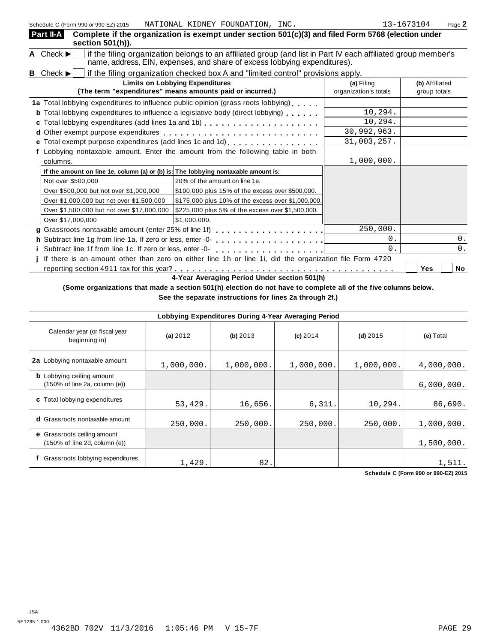| Schedule C (Form 990 or 990-EZ) 2015                                               | NATIONAL KIDNEY FOUNDATION, INC.                                                                                                                                                           |                                     | 13-1673104<br>Page 2           |
|------------------------------------------------------------------------------------|--------------------------------------------------------------------------------------------------------------------------------------------------------------------------------------------|-------------------------------------|--------------------------------|
| Part II-A<br>section 501(h)).                                                      | Complete if the organization is exempt under section 501(c)(3) and filed Form 5768 (election under                                                                                         |                                     |                                |
| A Check $\blacktriangleright$                                                      | if the filing organization belongs to an affiliated group (and list in Part IV each affiliated group member's<br>name, address, EIN, expenses, and share of excess lobbying expenditures). |                                     |                                |
| <b>B</b> Check $\blacktriangleright$                                               | if the filing organization checked box A and "limited control" provisions apply.                                                                                                           |                                     |                                |
|                                                                                    | <b>Limits on Lobbying Expenditures</b><br>(The term "expenditures" means amounts paid or incurred.)                                                                                        | (a) Filing<br>organization's totals | (b) Affiliated<br>group totals |
|                                                                                    | 1a Total lobbying expenditures to influence public opinion (grass roots lobbying)                                                                                                          |                                     |                                |
|                                                                                    | <b>b</b> Total lobbying expenditures to influence a legislative body (direct lobbying)                                                                                                     | 10, 294.                            |                                |
|                                                                                    | c Total lobbying expenditures (add lines 1a and 1b)                                                                                                                                        | 10,294.                             |                                |
|                                                                                    |                                                                                                                                                                                            | 30,992,963.                         |                                |
|                                                                                    | e Total exempt purpose expenditures (add lines 1c and 1d)                                                                                                                                  | 31,003,257.                         |                                |
|                                                                                    | Lobbying nontaxable amount. Enter the amount from the following table in both                                                                                                              |                                     |                                |
| columns.                                                                           |                                                                                                                                                                                            | 1,000,000.                          |                                |
| If the amount on line 1e, column (a) or (b) is: The lobbying nontaxable amount is: |                                                                                                                                                                                            |                                     |                                |
| Not over \$500,000                                                                 | 20% of the amount on line 1e.                                                                                                                                                              |                                     |                                |
| Over \$500,000 but not over \$1,000,000                                            | \$100,000 plus 15% of the excess over \$500,000.                                                                                                                                           |                                     |                                |
| Over \$1,000,000 but not over \$1,500,000                                          | \$175,000 plus 10% of the excess over \$1,000,000.                                                                                                                                         |                                     |                                |
| Over \$1,500,000 but not over \$17,000,000                                         | \$225,000 plus 5% of the excess over \$1,500,000.                                                                                                                                          |                                     |                                |
| Over \$17,000,000                                                                  | \$1,000,000.                                                                                                                                                                               |                                     |                                |
| g Grassroots nontaxable amount (enter 25% of line 1f)                              |                                                                                                                                                                                            | 250,000.                            |                                |
|                                                                                    |                                                                                                                                                                                            | $0$ .                               | 0.                             |
| i Subtract line 1f from line 1c. If zero or less, enter -0-                        |                                                                                                                                                                                            | 0.                                  | 0.                             |
|                                                                                    | j If there is an amount other than zero on either line 1h or line 1i, did the organization file Form 4720                                                                                  |                                     |                                |
|                                                                                    |                                                                                                                                                                                            |                                     | No<br>Yes                      |

**4-Year Averaging Period Under section 501(h)**

(Some organizations that made a section 501(h) election do not have to complete all of the five columns below.

**See the separate instructions for lines 2a through 2f.)**

|                                                                     |            |            | Lobbying Expenditures During 4-Year Averaging Period |            |            |
|---------------------------------------------------------------------|------------|------------|------------------------------------------------------|------------|------------|
| Calendar year (or fiscal year<br>beginning in)                      | (a) 2012   | (b) 2013   | $(c)$ 2014                                           | $(d)$ 2015 | (e) Total  |
| 2a Lobbying nontaxable amount                                       | 1,000,000. | 1,000,000. | 1,000,000.                                           | 1,000,000. | 4,000,000. |
| <b>b</b> Lobbying ceiling amount<br>(150% of line 2a, column (e))   |            |            |                                                      |            | 6,000,000. |
| <b>c</b> Total lobbying expenditures                                | 53,429.    | 16,656.    | 6,311.                                               | 10,294.    | 86,690.    |
| <b>d</b> Grassroots nontaxable amount                               | 250,000.   | 250,000.   | 250,000.                                             | 250,000.   | 1,000,000. |
| <b>e</b> Grassroots ceiling amount<br>(150% of line 2d, column (e)) |            |            |                                                      |            | 1,500,000. |
| Grassroots lobbying expenditures                                    | 1,429.     | 82.        |                                                      |            | 1,511.     |

**Schedule C (Form 990 or 990-EZ) 2015**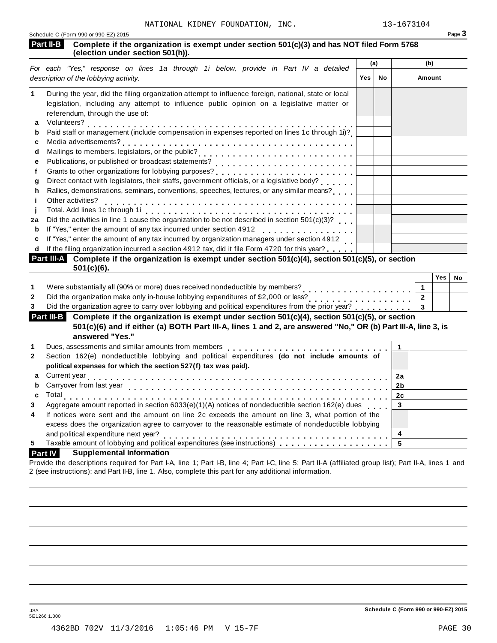|                            | NATIONAL KIDNEY FOUNDATION, INC.                                                                                                                                                                                                                                               |     |     | 13-1673104   |                |                  |        |
|----------------------------|--------------------------------------------------------------------------------------------------------------------------------------------------------------------------------------------------------------------------------------------------------------------------------|-----|-----|--------------|----------------|------------------|--------|
| <b>Part II-B</b>           | Schedule C (Form 990 or 990-EZ) 2015<br>Complete if the organization is exempt under section 501(c)(3) and has NOT filed Form 5768<br>(election under section 501(h)).                                                                                                         |     |     |              |                |                  | Page 3 |
|                            |                                                                                                                                                                                                                                                                                |     | (a) |              | (b)            |                  |        |
|                            | For each "Yes," response on lines 1a through 1i below, provide in Part IV a detailed<br>description of the lobbying activity.                                                                                                                                                  | Yes | No  |              | Amount         |                  |        |
|                            |                                                                                                                                                                                                                                                                                |     |     |              |                |                  |        |
| 1                          | During the year, did the filing organization attempt to influence foreign, national, state or local<br>legislation, including any attempt to influence public opinion on a legislative matter or<br>referendum, through the use of:                                            |     |     |              |                |                  |        |
| a<br>b                     | Volunteers?<br>Paid staff or management (include compensation in expenses reported on lines 1c through 1i)?                                                                                                                                                                    |     |     |              |                |                  |        |
| c                          |                                                                                                                                                                                                                                                                                |     |     |              |                |                  |        |
| d<br>e                     |                                                                                                                                                                                                                                                                                |     |     |              |                |                  |        |
| f                          |                                                                                                                                                                                                                                                                                |     |     |              |                |                  |        |
| g                          |                                                                                                                                                                                                                                                                                |     |     |              |                |                  |        |
| h                          | Rallies, demonstrations, seminars, conventions, speeches, lectures, or any similar means?                                                                                                                                                                                      |     |     |              |                |                  |        |
| j                          | Other activities?                                                                                                                                                                                                                                                              |     |     |              |                |                  |        |
|                            |                                                                                                                                                                                                                                                                                |     |     |              |                |                  |        |
| 2a                         | Did the activities in line 1 cause the organization to be not described in section 501(c)(3)?                                                                                                                                                                                  |     |     |              |                |                  |        |
| b<br>c                     | If "Yes," enter the amount of any tax incurred under section 4912<br>If "Yes," enter the amount of any tax incurred by organization managers under section 4912                                                                                                                |     |     |              |                |                  |        |
|                            | If the filing organization incurred a section 4912 tax, did it file Form 4720 for this year?                                                                                                                                                                                   |     |     |              |                |                  |        |
|                            | Part III-A Complete if the organization is exempt under section 501(c)(4), section 501(c)(5), or section                                                                                                                                                                       |     |     |              |                |                  |        |
|                            | $501(c)(6)$ .                                                                                                                                                                                                                                                                  |     |     |              |                |                  |        |
|                            |                                                                                                                                                                                                                                                                                |     |     |              |                | Yes <sub>1</sub> | No     |
| 1                          | Were substantially all (90% or more) dues received nondeductible by members?<br>.                                                                                                                                                                                              |     |     |              | $\mathbf 1$    |                  |        |
| 2                          |                                                                                                                                                                                                                                                                                |     |     |              | $\overline{2}$ |                  |        |
|                            | Did the organization agree to carry over lobbying and political expenditures from the prior year?                                                                                                                                                                              |     |     |              |                |                  |        |
|                            |                                                                                                                                                                                                                                                                                |     |     |              | $\overline{3}$ |                  |        |
|                            | Complete if the organization is exempt under section 501(c)(4), section 501(c)(5), or section<br><b>Part III-B</b><br>501(c)(6) and if either (a) BOTH Part III-A, lines 1 and 2, are answered "No," OR (b) Part III-A, line 3, is<br>answered "Yes."                          |     |     |              |                |                  |        |
|                            | Dues, assessments and similar amounts from members [1] [1] [1] $\ldots$ [1] [1] $\ldots$ [1] $\ldots$ [1] $\ldots$ [1] $\ldots$ [1] $\ldots$ [1] $\ldots$ [1] $\ldots$ [1] $\ldots$ [1] $\ldots$ [1] $\ldots$ [1] $\ldots$ [1] $\ldots$ [1] $\ldots$ [1] $\ldots$ [1] $\ldots$ |     |     | $\mathbf{1}$ |                |                  |        |
|                            | Section 162(e) nondeductible lobbying and political expenditures (do not include amounts of<br>political expenses for which the section 527(f) tax was paid).                                                                                                                  |     |     |              |                |                  |        |
|                            |                                                                                                                                                                                                                                                                                |     |     | 2a           |                |                  |        |
|                            | Carryover from last year                                                                                                                                                                                                                                                       |     |     | 2b           |                |                  |        |
|                            | Total<br>.                                                                                                                                                                                                                                                                     |     |     | 2c           |                |                  |        |
|                            | Aggregate amount reported in section 6033(e)(1)(A) notices of nondeductible section 162(e) dues                                                                                                                                                                                |     |     | 3            |                |                  |        |
| b                          | If notices were sent and the amount on line 2c exceeds the amount on line 3, what portion of the                                                                                                                                                                               |     |     |              |                |                  |        |
| a<br>C                     | excess does the organization agree to carryover to the reasonable estimate of nondeductible lobbying                                                                                                                                                                           |     |     |              |                |                  |        |
| 3<br>1<br>2<br>3<br>4<br>5 | and political expenditure next year?                                                                                                                                                                                                                                           |     |     | 4<br>5       |                |                  |        |

Provide the descriptions required for Part I-A, line 1; Part I-B, line 4; Part I-C, line 5; Part II-A (affiliated group list); Part II-A, lines 1 and 2 (see instructions); and Part II-B, line 1. Also, complete this part for any additional information.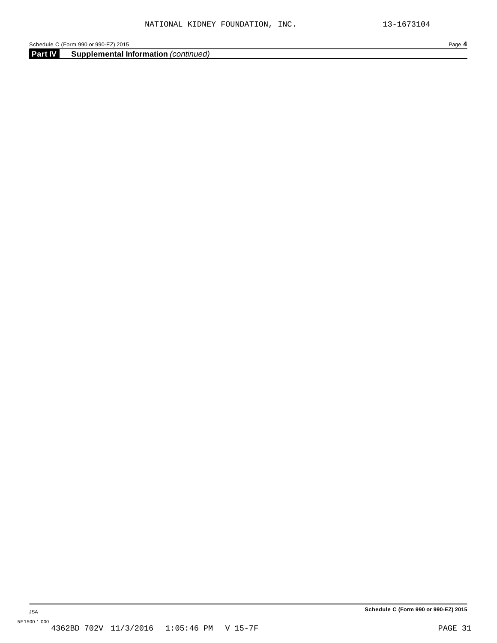**Part IV Supplemental Information** *(continued)*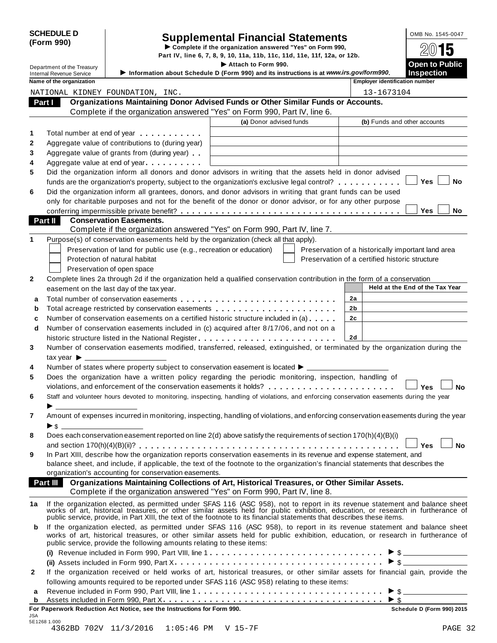| <b>SCHEDULE D</b> |  |
|-------------------|--|
| (Form 990)        |  |

# Supplemental Financial Statements<br>  $\triangleright$  Complete if the organization answered "Yes" on Form 990,<br>
Part IV, line 6, 7, 8, 9, 10, 11a, 11b, 11c, 11d, 11e, 11f, 12a, or 12b.

Department of the Treasury **I act is a compart of the Treasury** I **Attach Example 2011 C Public Public Example 2012 Consumer to Public Consumer to Public Consumer to Public Consumer to Public Consumer t** Internal Revenue Service I**Information about Schedule <sup>D</sup> (Form 990) and its instructions is at** *www.irs.gov/form990***. Inspection Name of the organization intervalse the control of the control of the control of the control of the control of the control of the control of the control of the control of the control of the control of the control of the Organizations Maintaining Donor Advised Funds or Other Similar Funds or Accounts. Part I** Crganizations Maintaining Donor Advised Funds or Other Similar Funds<br>Complete if the organization answered "Yes" on Form 990, Part IV, line 6. **(a)** Donor advised funds **(b)** Funds and other accounts **1 2 3 4 5 6** Total number at end of year  $\dots\dots\dots\dots$ Aggregate value of contributions to (during year) Aggregate value of contributions to (during year)<br>Aggregate value of grants from (during year) Aggregate value of grants from (during year)<br>Aggregate value at end of year Did the organization inform all donors and donor advisors in writing that the assets held in donor advised funds are the organization's property, subject to the organization's exclusive legal control? **manual manual m m**  $\blacksquare$  Yes  $\blacksquare$  No Did the organization inform all grantees, donors, and donor advisors in writing that grant funds can be used only for charitable purposes and not for the benefit of the donor or donor advisor, or for any other purpose **conferring impermissible private benefit?** metals are metals and more matured more metals of  $\blacksquare$  The  $\blacksquare$  Noor **Conservation Easements. Part II** Conservation Easements.<br>Complete if the organization answered "Yes" on Form 990, Part IV, line 7. **1** Purpose(s) of conservation easements held by the organization (check all that apply). Preservation of land for public use (e.g., recreation or education) Protection of natural habitat Preservation of open space Preservation of a historically important land area Preservation of a certified historic structure **2** Complete lines 2a through 2d if the organization held a qualified conservation contribution in the form of a conservation easement on the last day of the tax year. **Held at the End** of the Tax Year **2a 2b 2c 2d a** Total number of conservation easements m m m m m m m m m m m m m m m m m m m m m m m m m m m **a** Total number of conservation easements ............................<br>**b** Total acreage restricted by conservation easements ..................... **b** Total acreage restricted by conservation easements<br>**c** Number of conservation easements on a certified historic structure included in (a) . . . . . . **d** Number of conservation easements included in (c) acquired after 8/17/06, and not on a  $\mid$ historic structure listed in the National Register m m m m m m m m m m m m m m m m m m m m m m m m **3 4 5 6 7 8 9** Number of conservation easements modified, transferred, released, extinguished, or terminated by the organization during the tax vear  $\blacktriangleright$ Number of states where property subject to conservation easement is located  $\blacktriangleright$ . Does the organization have a written policy regarding the periodic monitoring, inspection, handling of violations, and enforcement of the conservation easements it holds? musical manager mann m m m m **y** es  $\Box$  No Staff and volunteer hours devoted to monitoring, inspecting, handling of violations, and enforcing conservation easements during the year Amount of expenses incurred in monitoring, inspecting, handling of violations, and enforcing conservation easements during the year I \$ Does each conservation easement reported on line 2(d) above satisfy the requirements of section 170(h)(4)(B)(i) and section 170(h)(4)(B)(ii)? m m m m m m m m m m m m m m m m m m m m m m m m m m m m m m m m m m m m m m m m m m m m m **Yes No** In Part XIII, describe how the organization reports conservation easements in its revenue and expense statement, and balance sheet, and include, if applicable, the text of the footnote to the organization's financial statements that describes the organization's accounting for conservation easements. **Organizations Maintaining Collections of Art, Historical Treasures, or Other Similar Assets. Part III Organizations Maintaining Collections of Art, Historical Treasures, or Organization answered "Yes" on Form 990, Part IV, line 8. 1a** If the organization elected, as permitted under SFAS 116 (ASC 958), not to report in its revenue statement and balance sheet works of art, historical treasures, or other similar assets held for public exhibition, education, or research in furtherance of public service, provide, in Part XIII, the text of the footnote to its financial statements that describes these items. **b** If the organization elected, as permitted under SFAS 116 (ASC 958), to report in its revenue statement and balance sheet works of art, historical treasures, or other similar assets held for public exhibition, education, or research in furtherance of public service, provide the following amounts relating to these items: **(i)** I Revenue included in Form 990, Part VIII, line 1 m m m m m m m m m m m m m m m m m m m m m m m m m m m m m m \$ **(ii)** Assets included in Form 990, Part X m m m m m m m m m m m m m m m m m m m m m m m m m m m m m m m m m m m m I \$ **2** If the organization received or held works of art, historical treasures, or other similar assets for financial gain, provide the following amounts required to be reported under SFAS 116 (ASC 958) relating to these items: following amounts required to be reported under SFAS 116 (ASC 958) relating to these items:<br>**a** Revenue included in Form 990, Part VIII, line 1 **a** a more contained in Form 200, Dart Y. Assets included in Form 990, Part X. **a** Revenue included in Form 990, Part VIII, line 1<br>**b** Assets included in Form 990, Part X. NATIONAL KIDNEY FOUNDATION, INC. 13-1673104

|              | i ui rapeiwuik Keuuchuli Act Nunce, see tile liistiuchulis lui l ullii 990. | <b>SCIIGULIS D</b> (FOITH 330) 2013      |  |         |
|--------------|-----------------------------------------------------------------------------|------------------------------------------|--|---------|
| JSA          |                                                                             |                                          |  |         |
| 5E1268 1.000 |                                                                             |                                          |  |         |
|              |                                                                             | 4362BD 702V 11/3/2016 1:05:46 PM V 15-7F |  | PAGE 32 |

**For Paperwork Reduction Act Notice, see the Instructions for Form 990. Schedule D (Form 990) 2015**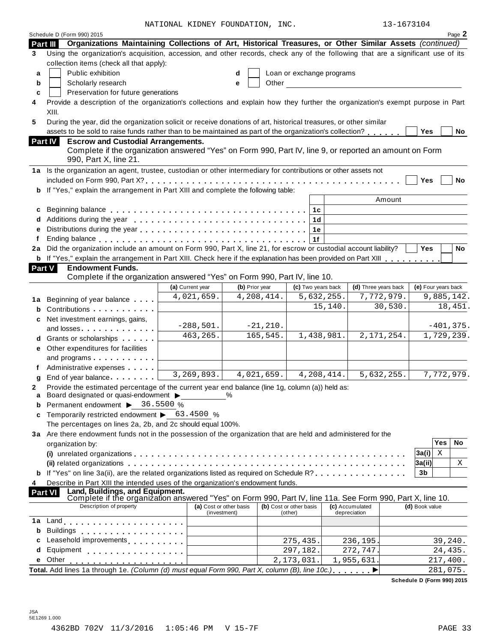NATIONAL KIDNEY FOUNDATION, INC. 13-1673104

|  | 13-1673104 |  |  |
|--|------------|--|--|
|  |            |  |  |

|          | Schedule D (Form 990) 2015                                                                                                                                                                                                     | NATIONAL KIDNEY FOUNDATION, INC. |                                         |             |                                    |                           |                                 | $13 - 1673104$ |                     |          | Page 2       |
|----------|--------------------------------------------------------------------------------------------------------------------------------------------------------------------------------------------------------------------------------|----------------------------------|-----------------------------------------|-------------|------------------------------------|---------------------------|---------------------------------|----------------|---------------------|----------|--------------|
| Part III | Organizations Maintaining Collections of Art, Historical Treasures, or Other Similar Assets (continued)                                                                                                                        |                                  |                                         |             |                                    |                           |                                 |                |                     |          |              |
| 3        | Using the organization's acquisition, accession, and other records, check any of the following that are a significant use of its                                                                                               |                                  |                                         |             |                                    |                           |                                 |                |                     |          |              |
|          | collection items (check all that apply):                                                                                                                                                                                       |                                  |                                         |             |                                    |                           |                                 |                |                     |          |              |
| a        | Public exhibition                                                                                                                                                                                                              |                                  | d                                       |             |                                    | Loan or exchange programs |                                 |                |                     |          |              |
| b        | Scholarly research                                                                                                                                                                                                             |                                  | е                                       | Other       |                                    |                           |                                 |                |                     |          |              |
| C        | Preservation for future generations                                                                                                                                                                                            |                                  |                                         |             |                                    |                           |                                 |                |                     |          |              |
| 4        | Provide a description of the organization's collections and explain how they further the organization's exempt purpose in Part                                                                                                 |                                  |                                         |             |                                    |                           |                                 |                |                     |          |              |
|          | XIII.                                                                                                                                                                                                                          |                                  |                                         |             |                                    |                           |                                 |                |                     |          |              |
| 5        | During the year, did the organization solicit or receive donations of art, historical treasures, or other similar                                                                                                              |                                  |                                         |             |                                    |                           |                                 |                |                     |          |              |
|          | assets to be sold to raise funds rather than to be maintained as part of the organization's collection?                                                                                                                        |                                  |                                         |             |                                    |                           |                                 |                | <b>Yes</b>          |          | No           |
|          | Part IV<br><b>Escrow and Custodial Arrangements.</b>                                                                                                                                                                           |                                  |                                         |             |                                    |                           |                                 |                |                     |          |              |
|          | Complete if the organization answered "Yes" on Form 990, Part IV, line 9, or reported an amount on Form<br>990, Part X, line 21.                                                                                               |                                  |                                         |             |                                    |                           |                                 |                |                     |          |              |
|          | 1a Is the organization an agent, trustee, custodian or other intermediary for contributions or other assets not                                                                                                                |                                  |                                         |             |                                    |                           |                                 |                |                     |          |              |
|          |                                                                                                                                                                                                                                |                                  |                                         |             |                                    |                           |                                 |                | Yes                 |          | <b>No</b>    |
| b        | If "Yes," explain the arrangement in Part XIII and complete the following table:                                                                                                                                               |                                  |                                         |             |                                    |                           |                                 |                |                     |          |              |
|          |                                                                                                                                                                                                                                |                                  |                                         |             |                                    |                           | Amount                          |                |                     |          |              |
| c        |                                                                                                                                                                                                                                |                                  |                                         |             | 1c                                 |                           |                                 |                |                     |          |              |
|          |                                                                                                                                                                                                                                |                                  |                                         |             |                                    | 1d                        |                                 |                |                     |          |              |
| e        |                                                                                                                                                                                                                                |                                  |                                         |             |                                    | 1e                        |                                 |                |                     |          |              |
|          |                                                                                                                                                                                                                                |                                  |                                         |             | 1f                                 |                           |                                 |                |                     |          |              |
| 2a       | Did the organization include an amount on Form 990, Part X, line 21, for escrow or custodial account liability?                                                                                                                |                                  |                                         |             |                                    |                           |                                 |                | <b>Yes</b>          |          | <b>No</b>    |
| b        | If "Yes," explain the arrangement in Part XIII. Check here if the explanation has been provided on Part XIII                                                                                                                   |                                  |                                         |             |                                    |                           |                                 |                |                     |          |              |
| Part V   | <b>Endowment Funds.</b>                                                                                                                                                                                                        |                                  |                                         |             |                                    |                           |                                 |                |                     |          |              |
|          | Complete if the organization answered "Yes" on Form 990, Part IV, line 10.                                                                                                                                                     |                                  |                                         |             |                                    |                           |                                 |                |                     |          |              |
|          |                                                                                                                                                                                                                                | (a) Current year                 | (b) Prior year                          |             |                                    | (c) Two years back        | (d) Three years back            |                | (e) Four years back |          |              |
| 1а       | Beginning of year balance                                                                                                                                                                                                      | 4,021,659.                       |                                         | 4,208,414.  |                                    | 5,632,255.                | 7,772,979.                      |                | 9,885,142.          |          |              |
| b        | Contributions                                                                                                                                                                                                                  |                                  |                                         |             |                                    | 15,140.                   | 30,530.                         |                |                     |          | 18,451.      |
| c        | Net investment earnings, gains,                                                                                                                                                                                                |                                  |                                         |             |                                    |                           |                                 |                |                     |          |              |
|          | and losses. The contract of the contract of the contract of the contract of the contract of the contract of the contract of the contract of the contract of the contract of the contract of the contract of the contract of th | $-288,501.$                      |                                         | $-21, 210.$ |                                    |                           |                                 |                |                     |          | $-401, 375.$ |
|          | d Grants or scholarships                                                                                                                                                                                                       | 463, 265.                        |                                         | 165,545.    |                                    | 1,438,981.                | 2, 171, 254.                    |                | 1,729,239.          |          |              |
| е        | Other expenditures for facilities                                                                                                                                                                                              |                                  |                                         |             |                                    |                           |                                 |                |                     |          |              |
|          | and programs                                                                                                                                                                                                                   |                                  |                                         |             |                                    |                           |                                 |                |                     |          |              |
|          | Administrative expenses                                                                                                                                                                                                        | 3, 269, 893.                     |                                         | 4,021,659.  |                                    | 4,208,414.                |                                 |                | 7,772,979.          |          |              |
|          | End of year balance                                                                                                                                                                                                            |                                  |                                         |             |                                    |                           | 5,632,255.                      |                |                     |          |              |
|          | Provide the estimated percentage of the current year end balance (line 1g, column (a)) held as:                                                                                                                                |                                  |                                         |             |                                    |                           |                                 |                |                     |          |              |
| a        | Board designated or quasi-endowment >                                                                                                                                                                                          |                                  |                                         |             |                                    |                           |                                 |                |                     |          |              |
|          | Permanent endowment > 36.5500 %<br>Temporarily restricted endowment > 63.4500 %                                                                                                                                                |                                  |                                         |             |                                    |                           |                                 |                |                     |          |              |
| c        | The percentages on lines 2a, 2b, and 2c should equal 100%.                                                                                                                                                                     |                                  |                                         |             |                                    |                           |                                 |                |                     |          |              |
|          | 3a Are there endowment funds not in the possession of the organization that are held and administered for the                                                                                                                  |                                  |                                         |             |                                    |                           |                                 |                |                     |          |              |
|          | organization by:                                                                                                                                                                                                               |                                  |                                         |             |                                    |                           |                                 |                |                     | Yes      | No           |
|          |                                                                                                                                                                                                                                |                                  |                                         |             |                                    |                           |                                 |                | 3a(i)               | Χ        |              |
|          |                                                                                                                                                                                                                                |                                  |                                         |             |                                    |                           |                                 |                | 3a(ii)              |          | Χ            |
| b        | If "Yes" on line 3a(ii), are the related organizations listed as required on Schedule R?, , , , ,                                                                                                                              |                                  |                                         |             |                                    |                           |                                 |                | 3b                  |          |              |
| 4        | Describe in Part XIII the intended uses of the organization's endowment funds.                                                                                                                                                 |                                  |                                         |             |                                    |                           |                                 |                |                     |          |              |
|          | Land, Buildings, and Equipment.<br>Part VI                                                                                                                                                                                     |                                  |                                         |             |                                    |                           |                                 |                |                     |          |              |
|          | Complete if the organization answered "Yes" on Form 990, Part IV, line 11a. See Form 990, Part X, line 10.                                                                                                                     |                                  |                                         |             |                                    |                           |                                 |                |                     |          |              |
|          | Description of property                                                                                                                                                                                                        |                                  | (a) Cost or other basis<br>(investment) |             | (b) Cost or other basis<br>(other) |                           | (c) Accumulated<br>depreciation |                | (d) Book value      |          |              |
| 1a       |                                                                                                                                                                                                                                |                                  |                                         |             |                                    |                           |                                 |                |                     |          |              |
|          | <b>Buildings</b><br>.                                                                                                                                                                                                          |                                  |                                         |             |                                    |                           |                                 |                |                     |          |              |
| c        | Leasehold improvements [1, 1, 1, 1, 1, 1]                                                                                                                                                                                      |                                  |                                         |             | 275,435.                           |                           | 236,195.                        |                |                     | 39,240.  |              |
| d        | Equipment                                                                                                                                                                                                                      |                                  |                                         |             | 297,182.                           |                           | 272,747.                        |                |                     | 24,435.  |              |
| е        | Other                                                                                                                                                                                                                          |                                  |                                         |             | 2,173,031.                         |                           | 1,955,631.                      |                |                     | 217,400. |              |
|          | Total. Add lines 1a through 1e. (Column (d) must equal Form 990, Part X, column (B), line 10c.)                                                                                                                                |                                  |                                         |             |                                    |                           |                                 |                |                     | 281,075. |              |
|          |                                                                                                                                                                                                                                |                                  |                                         |             |                                    |                           |                                 |                |                     |          |              |

**Schedule D (Form 990) 2015**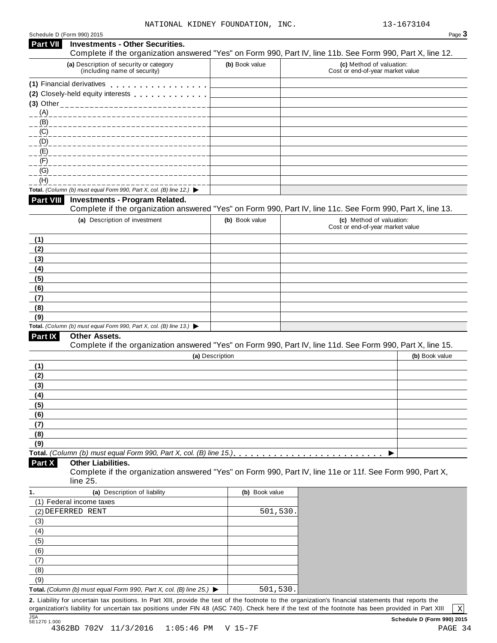|                                               | Schedule D (Form 990) 2015                                                                                                        |                 | Page 3                                                                                                     |
|-----------------------------------------------|-----------------------------------------------------------------------------------------------------------------------------------|-----------------|------------------------------------------------------------------------------------------------------------|
| <b>Part VII</b>                               | <b>Investments - Other Securities.</b>                                                                                            |                 | Complete if the organization answered "Yes" on Form 990, Part IV, line 11b. See Form 990, Part X, line 12. |
|                                               | (a) Description of security or category<br>(including name of security)                                                           | (b) Book value  | (c) Method of valuation:<br>Cost or end-of-year market value                                               |
|                                               | (1) Financial derivatives                                                                                                         |                 |                                                                                                            |
|                                               | (2) Closely-held equity interests                                                                                                 |                 |                                                                                                            |
|                                               |                                                                                                                                   |                 |                                                                                                            |
| (A)                                           |                                                                                                                                   |                 |                                                                                                            |
| (B)                                           |                                                                                                                                   |                 |                                                                                                            |
| $\underline{(C)}$                             |                                                                                                                                   |                 |                                                                                                            |
| (D)                                           |                                                                                                                                   |                 |                                                                                                            |
| (E)                                           |                                                                                                                                   |                 |                                                                                                            |
| (F)                                           |                                                                                                                                   |                 |                                                                                                            |
| $\underline{(G)}$                             |                                                                                                                                   |                 |                                                                                                            |
| (H)                                           |                                                                                                                                   |                 |                                                                                                            |
| <b>Part VIII</b>                              | Total. (Column (b) must equal Form 990, Part X, col. (B) line 12.) $\blacktriangleright$<br><b>Investments - Program Related.</b> |                 |                                                                                                            |
|                                               |                                                                                                                                   |                 | Complete if the organization answered "Yes" on Form 990, Part IV, line 11c. See Form 990, Part X, line 13. |
|                                               | (a) Description of investment                                                                                                     | (b) Book value  | (c) Method of valuation:<br>Cost or end-of-year market value                                               |
| (1)                                           |                                                                                                                                   |                 |                                                                                                            |
| (2)                                           |                                                                                                                                   |                 |                                                                                                            |
| (3)                                           |                                                                                                                                   |                 |                                                                                                            |
| (4)                                           |                                                                                                                                   |                 |                                                                                                            |
| (5)                                           |                                                                                                                                   |                 |                                                                                                            |
| (6)                                           |                                                                                                                                   |                 |                                                                                                            |
| (7)                                           |                                                                                                                                   |                 |                                                                                                            |
| (8)                                           |                                                                                                                                   |                 |                                                                                                            |
| (9)                                           |                                                                                                                                   |                 |                                                                                                            |
|                                               | Total. (Column (b) must equal Form 990, Part X, col. (B) line 13.) $\blacktriangleright$                                          |                 |                                                                                                            |
| <b>Part IX</b>                                | Other Assets.                                                                                                                     |                 |                                                                                                            |
|                                               |                                                                                                                                   |                 | Complete if the organization answered "Yes" on Form 990, Part IV, line 11d. See Form 990, Part X, line 15. |
|                                               |                                                                                                                                   | (a) Description | (b) Book value                                                                                             |
| (1)                                           |                                                                                                                                   |                 |                                                                                                            |
| (2)                                           |                                                                                                                                   |                 |                                                                                                            |
| (3)<br>(4)                                    |                                                                                                                                   |                 |                                                                                                            |
| (5)                                           |                                                                                                                                   |                 |                                                                                                            |
| (6)                                           |                                                                                                                                   |                 |                                                                                                            |
| (7)                                           |                                                                                                                                   |                 |                                                                                                            |
| (8)                                           |                                                                                                                                   |                 |                                                                                                            |
| (9)                                           |                                                                                                                                   |                 |                                                                                                            |
|                                               |                                                                                                                                   |                 | ▶                                                                                                          |
| Part X                                        | <b>Other Liabilities.</b>                                                                                                         |                 | Complete if the organization answered "Yes" on Form 990, Part IV, line 11e or 11f. See Form 990, Part X,   |
| 1.                                            | line 25.                                                                                                                          |                 |                                                                                                            |
|                                               | (a) Description of liability<br>(1) Federal income taxes                                                                          | (b) Book value  |                                                                                                            |
|                                               | (2) DEFERRED RENT                                                                                                                 | 501,530         |                                                                                                            |
|                                               |                                                                                                                                   |                 |                                                                                                            |
|                                               |                                                                                                                                   |                 |                                                                                                            |
|                                               |                                                                                                                                   |                 |                                                                                                            |
|                                               |                                                                                                                                   |                 |                                                                                                            |
|                                               |                                                                                                                                   |                 |                                                                                                            |
|                                               |                                                                                                                                   |                 |                                                                                                            |
|                                               |                                                                                                                                   |                 |                                                                                                            |
| (3)<br>(4)<br>(5)<br>(6)<br>(7)<br>(8)<br>(9) |                                                                                                                                   |                 |                                                                                                            |

organization's liability for uncertain tax positions under FIN 48 (ASC 740). Check here if the text of the footnote has been provided in Part XIII  $\; \mid \; \chi$ JSA<br>5E1270 1.000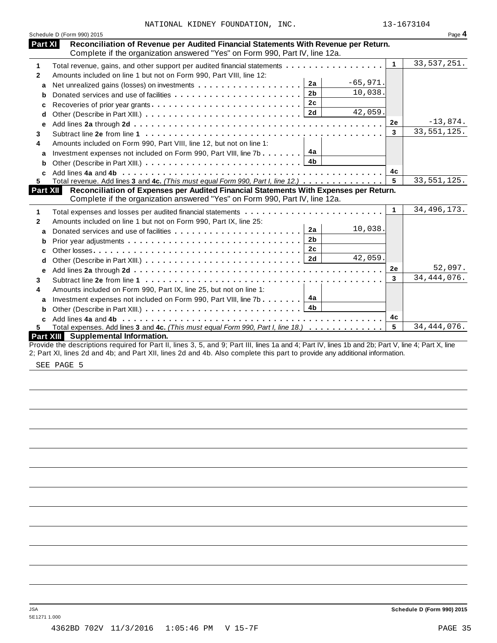|  |  | NATIONAL KIDNEY FOUNDATION, | INC |
|--|--|-----------------------------|-----|
|--|--|-----------------------------|-----|

|                | Schedule D (Form 990) 2015                                                                                                                                                       |              | Page 4        |
|----------------|----------------------------------------------------------------------------------------------------------------------------------------------------------------------------------|--------------|---------------|
| <b>Part XI</b> | Reconciliation of Revenue per Audited Financial Statements With Revenue per Return.<br>Complete if the organization answered "Yes" on Form 990, Part IV, line 12a.               |              |               |
| 1              | Total revenue, gains, and other support per audited financial statements                                                                                                         | $\mathbf{1}$ | 33, 537, 251. |
| $\mathbf{2}$   | Amounts included on line 1 but not on Form 990, Part VIII, line 12:                                                                                                              |              |               |
| a              | $-65,971.$<br>2a<br>Net unrealized gains (losses) on investments                                                                                                                 |              |               |
| b              | 10,038.<br>2 <sub>b</sub>                                                                                                                                                        |              |               |
| c              | 2c<br>Recoveries of prior year grants                                                                                                                                            |              |               |
| d              | 42,059.                                                                                                                                                                          |              |               |
| e              |                                                                                                                                                                                  | 2e           | $-13,874.$    |
|                |                                                                                                                                                                                  | 3            | 33, 551, 125. |
|                | Amounts included on Form 990, Part VIII, line 12, but not on line 1:                                                                                                             |              |               |
| a              | 4а<br>Investment expenses not included on Form 990, Part VIII, line 7b                                                                                                           |              |               |
| b              |                                                                                                                                                                                  |              |               |
| C              |                                                                                                                                                                                  | 4c           |               |
|                | Total revenue. Add lines 3 and 4c. (This must equal Form 990, Part I, line 12.)                                                                                                  | 5            | 33, 551, 125. |
|                | Reconciliation of Expenses per Audited Financial Statements With Expenses per Return.<br>Part XII<br>Complete if the organization answered "Yes" on Form 990, Part IV, line 12a. |              |               |
|                |                                                                                                                                                                                  | $\mathbf{1}$ | 34, 496, 173. |
|                | Amounts included on line 1 but not on Form 990, Part IX, line 25:                                                                                                                |              |               |
| a              | 10,038.<br>2a                                                                                                                                                                    |              |               |
| b              | 2 <sub>b</sub>                                                                                                                                                                   |              |               |
| c              | 2c                                                                                                                                                                               |              |               |
| d              | 42,059.                                                                                                                                                                          |              |               |
| е              |                                                                                                                                                                                  | 2e           | 52,097.       |
|                |                                                                                                                                                                                  | 3            | 34, 444, 076. |
|                | Amounts included on Form 990, Part IX, line 25, but not on line 1:                                                                                                               |              |               |
| a              | 4a<br>Investment expenses not included on Form 990, Part VIII, line 7b                                                                                                           |              |               |
| b              |                                                                                                                                                                                  |              |               |
|                |                                                                                                                                                                                  | 4с           |               |
|                |                                                                                                                                                                                  |              |               |
| c              | Total expenses. Add lines 3 and 4c. (This must equal Form 990, Part I, line 18.)                                                                                                 | 5            | 34, 444, 076. |

SEE PAGE 5

5E1271 1.000

JSA **Schedule D (Form 990) 2015**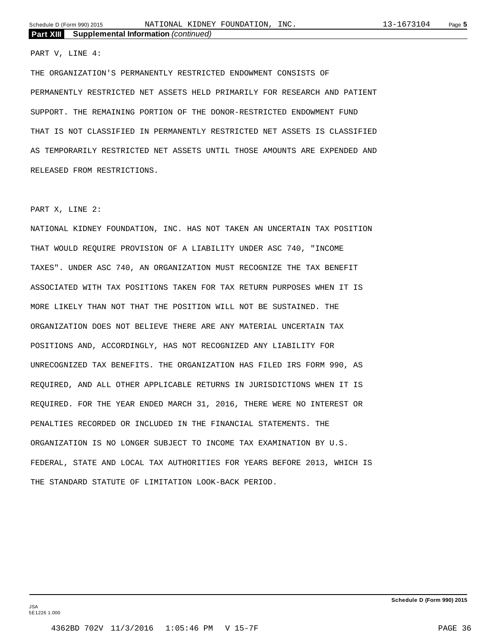PART V, LINE 4:

THE ORGANIZATION'S PERMANENTLY RESTRICTED ENDOWMENT CONSISTS OF PERMANENTLY RESTRICTED NET ASSETS HELD PRIMARILY FOR RESEARCH AND PATIENT SUPPORT. THE REMAINING PORTION OF THE DONOR-RESTRICTED ENDOWMENT FUND THAT IS NOT CLASSIFIED IN PERMANENTLY RESTRICTED NET ASSETS IS CLASSIFIED AS TEMPORARILY RESTRICTED NET ASSETS UNTIL THOSE AMOUNTS ARE EXPENDED AND RELEASED FROM RESTRICTIONS.

#### PART X, LINE 2:

NATIONAL KIDNEY FOUNDATION, INC. HAS NOT TAKEN AN UNCERTAIN TAX POSITION THAT WOULD REQUIRE PROVISION OF A LIABILITY UNDER ASC 740, "INCOME TAXES". UNDER ASC 740, AN ORGANIZATION MUST RECOGNIZE THE TAX BENEFIT ASSOCIATED WITH TAX POSITIONS TAKEN FOR TAX RETURN PURPOSES WHEN IT IS MORE LIKELY THAN NOT THAT THE POSITION WILL NOT BE SUSTAINED. THE ORGANIZATION DOES NOT BELIEVE THERE ARE ANY MATERIAL UNCERTAIN TAX POSITIONS AND, ACCORDINGLY, HAS NOT RECOGNIZED ANY LIABILITY FOR UNRECOGNIZED TAX BENEFITS. THE ORGANIZATION HAS FILED IRS FORM 990, AS REQUIRED, AND ALL OTHER APPLICABLE RETURNS IN JURISDICTIONS WHEN IT IS REQUIRED. FOR THE YEAR ENDED MARCH 31, 2016, THERE WERE NO INTEREST OR PENALTIES RECORDED OR INCLUDED IN THE FINANCIAL STATEMENTS. THE ORGANIZATION IS NO LONGER SUBJECT TO INCOME TAX EXAMINATION BY U.S. FEDERAL, STATE AND LOCAL TAX AUTHORITIES FOR YEARS BEFORE 2013, WHICH IS THE STANDARD STATUTE OF LIMITATION LOOK-BACK PERIOD.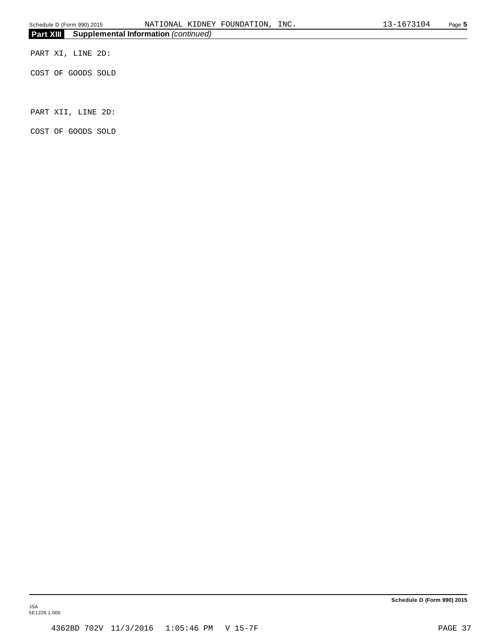PART XI, LINE 2D:

COST OF GOODS SOLD

PART XII, LINE 2D:

COST OF GOODS SOLD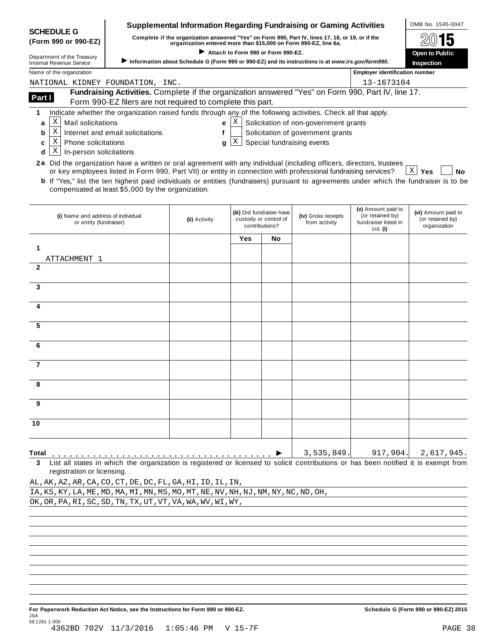|                                                                                                                                        |                                                                                                                                                                      | <b>Supplemental Information Regarding Fundraising or Gaming Activities</b> |            |                                                    |                                       |                                       | OMB No. 1545-0047                       |
|----------------------------------------------------------------------------------------------------------------------------------------|----------------------------------------------------------------------------------------------------------------------------------------------------------------------|----------------------------------------------------------------------------|------------|----------------------------------------------------|---------------------------------------|---------------------------------------|-----------------------------------------|
| <b>SCHEDULE G</b><br>(Form 990 or 990-EZ)                                                                                              | Complete if the organization answered "Yes" on Form 990, Part IV, lines 17, 18, or 19, or if the<br>organization entered more than \$15,000 on Form 990-EZ, line 6a. |                                                                            |            |                                                    |                                       |                                       |                                         |
| Attach to Form 990 or Form 990-EZ.                                                                                                     |                                                                                                                                                                      |                                                                            |            |                                                    |                                       |                                       | 15<br>Open to Public                    |
| Department of the Treasury<br><b>Internal Revenue Service</b>                                                                          | Information about Schedule G (Form 990 or 990-EZ) and its instructions is at www.irs.gov/form990.                                                                    | Inspection                                                                 |            |                                                    |                                       |                                       |                                         |
| Name of the organization                                                                                                               |                                                                                                                                                                      |                                                                            |            |                                                    |                                       | <b>Employer identification number</b> |                                         |
| NATIONAL KIDNEY FOUNDATION, INC.                                                                                                       |                                                                                                                                                                      |                                                                            |            |                                                    |                                       | 13-1673104                            |                                         |
| Part I                                                                                                                                 | Fundraising Activities. Complete if the organization answered "Yes" on Form 990, Part IV, line 17.                                                                   |                                                                            |            |                                                    |                                       |                                       |                                         |
|                                                                                                                                        | Form 990-EZ filers are not required to complete this part.                                                                                                           |                                                                            |            |                                                    |                                       |                                       |                                         |
| 1                                                                                                                                      | Indicate whether the organization raised funds through any of the following activities. Check all that apply.                                                        |                                                                            |            |                                                    |                                       |                                       |                                         |
| X<br>Mail solicitations<br>a                                                                                                           |                                                                                                                                                                      | e                                                                          | X          |                                                    | Solicitation of non-government grants |                                       |                                         |
| X<br>b                                                                                                                                 | Internet and email solicitations                                                                                                                                     | f                                                                          |            |                                                    | Solicitation of government grants     |                                       |                                         |
| Χ<br><b>Phone solicitations</b><br>c                                                                                                   |                                                                                                                                                                      | q                                                                          | X          |                                                    | Special fundraising events            |                                       |                                         |
| Χ<br>In-person solicitations<br>d                                                                                                      |                                                                                                                                                                      |                                                                            |            |                                                    |                                       |                                       |                                         |
| 2a Did the organization have a written or oral agreement with any individual (including officers, directors, trustees                  |                                                                                                                                                                      |                                                                            |            |                                                    |                                       |                                       |                                         |
|                                                                                                                                        | or key employees listed in Form 990, Part VII) or entity in connection with professional fundraising services?                                                       |                                                                            |            |                                                    |                                       |                                       | $ X $ Yes<br><b>No</b>                  |
| b If "Yes," list the ten highest paid individuals or entities (fundraisers) pursuant to agreements under which the fundraiser is to be | compensated at least \$5,000 by the organization.                                                                                                                    |                                                                            |            |                                                    |                                       |                                       |                                         |
|                                                                                                                                        |                                                                                                                                                                      |                                                                            |            |                                                    |                                       |                                       |                                         |
|                                                                                                                                        |                                                                                                                                                                      |                                                                            |            |                                                    |                                       | (v) Amount paid to                    |                                         |
| (i) Name and address of individual                                                                                                     |                                                                                                                                                                      | (ii) Activity                                                              |            | (iii) Did fundraiser have<br>custody or control of | (iv) Gross receipts                   | (or retained by)                      | (vi) Amount paid to<br>(or retained by) |
| or entity (fundraiser)                                                                                                                 |                                                                                                                                                                      |                                                                            |            | contributions?                                     | from activity                         | fundraiser listed in<br>col. (i)      | organization                            |
|                                                                                                                                        |                                                                                                                                                                      |                                                                            | <b>Yes</b> | No                                                 |                                       |                                       |                                         |
| 1                                                                                                                                      |                                                                                                                                                                      |                                                                            |            |                                                    |                                       |                                       |                                         |
| ATTACHMENT 1                                                                                                                           |                                                                                                                                                                      |                                                                            |            |                                                    |                                       |                                       |                                         |
| $\mathbf{2}$                                                                                                                           |                                                                                                                                                                      |                                                                            |            |                                                    |                                       |                                       |                                         |
|                                                                                                                                        |                                                                                                                                                                      |                                                                            |            |                                                    |                                       |                                       |                                         |
| 3                                                                                                                                      |                                                                                                                                                                      |                                                                            |            |                                                    |                                       |                                       |                                         |
|                                                                                                                                        |                                                                                                                                                                      |                                                                            |            |                                                    |                                       |                                       |                                         |
| 4                                                                                                                                      |                                                                                                                                                                      |                                                                            |            |                                                    |                                       |                                       |                                         |
|                                                                                                                                        |                                                                                                                                                                      |                                                                            |            |                                                    |                                       |                                       |                                         |
| 5                                                                                                                                      |                                                                                                                                                                      |                                                                            |            |                                                    |                                       |                                       |                                         |
| 6                                                                                                                                      |                                                                                                                                                                      |                                                                            |            |                                                    |                                       |                                       |                                         |
|                                                                                                                                        |                                                                                                                                                                      |                                                                            |            |                                                    |                                       |                                       |                                         |
| $\overline{7}$                                                                                                                         |                                                                                                                                                                      |                                                                            |            |                                                    |                                       |                                       |                                         |
|                                                                                                                                        |                                                                                                                                                                      |                                                                            |            |                                                    |                                       |                                       |                                         |
| я                                                                                                                                      |                                                                                                                                                                      |                                                                            |            |                                                    |                                       |                                       |                                         |
|                                                                                                                                        |                                                                                                                                                                      |                                                                            |            |                                                    |                                       |                                       |                                         |
| 9                                                                                                                                      |                                                                                                                                                                      |                                                                            |            |                                                    |                                       |                                       |                                         |
|                                                                                                                                        |                                                                                                                                                                      |                                                                            |            |                                                    |                                       |                                       |                                         |
| 10                                                                                                                                     |                                                                                                                                                                      |                                                                            |            |                                                    |                                       |                                       |                                         |
|                                                                                                                                        |                                                                                                                                                                      |                                                                            |            |                                                    |                                       |                                       |                                         |
|                                                                                                                                        |                                                                                                                                                                      |                                                                            |            |                                                    |                                       |                                       |                                         |
| Total                                                                                                                                  |                                                                                                                                                                      |                                                                            |            |                                                    | 3,535,849.                            | 917,904.                              | 2,617,945.                              |
| 3                                                                                                                                      | List all states in which the organization is registered or licensed to solicit contributions or has been notified it is exempt from                                  |                                                                            |            |                                                    |                                       |                                       |                                         |
| registration or licensing.                                                                                                             |                                                                                                                                                                      |                                                                            |            |                                                    |                                       |                                       |                                         |
| AL, AK, AZ, AR, CA, CO, CT, DE, DC, FL, GA, HI, ID, IL, IN,                                                                            |                                                                                                                                                                      |                                                                            |            |                                                    |                                       |                                       |                                         |
| IA, KS, KY, LA, ME, MD, MA, MI, MN, MS, MO, MT, NE, NV, NH, NJ, NM, NY, NC, ND, OH,                                                    |                                                                                                                                                                      |                                                                            |            |                                                    |                                       |                                       |                                         |

OK,OR,PA,RI,SC,SD,TN,TX,UT,VT,VA,WA,WV,WI,WY,

 $\cdot$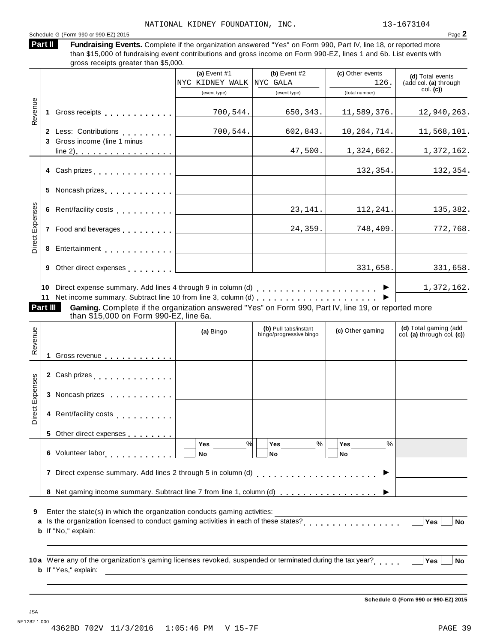Schedule <sup>G</sup> (Form <sup>990</sup> or 990-EZ) <sup>2015</sup> Page **2**

Fundraising Events. Complete if the organization answered "Yes" on Form 990, Part IV, line 18, or reported more than \$15,000 of fundraising event contributions and gross income on Form 990-EZ, lines 1 and 6b. List events with gross receipts greater than \$5,000. **Part II**

|                 |          |                                                                                                                                                                                              | (a) Event $#1$<br>NYC KIDNEY WALK                               | (b) Event $#2$<br>NYC GALA                       | (c) Other events<br>126.          | (d) Total events<br>(add col. (a) through<br>col. (c) |
|-----------------|----------|----------------------------------------------------------------------------------------------------------------------------------------------------------------------------------------------|-----------------------------------------------------------------|--------------------------------------------------|-----------------------------------|-------------------------------------------------------|
|                 |          |                                                                                                                                                                                              | (event type)                                                    | (event type)                                     | (total number)                    |                                                       |
| Revenue         |          |                                                                                                                                                                                              | 700, 544.<br>$\mathbb{R}^n$ . The set of $\mathbb{R}^n$         | 650,343.                                         | 11,589,376.                       | 12,940,263.                                           |
|                 |          | 2 Less: Contributions [1999]<br>3 Gross income (line 1 minus                                                                                                                                 | 700, 544.                                                       | 602,843.                                         | 10, 264, 714.                     | 11,568,101.                                           |
|                 |          |                                                                                                                                                                                              | <u> 1989 - Johann Barn, mars an t-Amerikaansk kommunister (</u> | 47,500.                                          | 1,324,662.                        | 1,372,162.                                            |
|                 |          | 4 Cash prizes                                                                                                                                                                                | the control of the control of the control of the                |                                                  | 132, 354.                         | 132,354.                                              |
|                 |          | 5 Noncash prizes                                                                                                                                                                             |                                                                 |                                                  |                                   |                                                       |
|                 |          |                                                                                                                                                                                              |                                                                 | 23, 141.                                         | 112, 241.                         | 135,382.                                              |
| Direct Expenses |          |                                                                                                                                                                                              |                                                                 | 24,359.                                          | 748, 409.                         | 772,768.                                              |
|                 |          |                                                                                                                                                                                              |                                                                 |                                                  |                                   |                                                       |
|                 |          | 9 Other direct expenses <u>  _ _ _ _ _ _ _ _ _ _ _ _ _ _ _ _ _</u>                                                                                                                           |                                                                 |                                                  | 331,658.                          | 331,658.                                              |
|                 |          |                                                                                                                                                                                              |                                                                 |                                                  |                                   | 1,372,162.                                            |
|                 | Part III | Gaming. Complete if the organization answered "Yes" on Form 990, Part IV, line 19, or reported more<br>than \$15,000 on Form 990-EZ, line 6a.                                                |                                                                 |                                                  |                                   |                                                       |
| Revenue         |          |                                                                                                                                                                                              | (a) Bingo                                                       | (b) Pull tabs/instant<br>bingo/progressive bingo | (c) Other gaming                  | (d) Total gaming (add<br>col. (a) through col. $(c)$  |
|                 |          | 1 Gross revenue                                                                                                                                                                              |                                                                 |                                                  |                                   |                                                       |
|                 |          |                                                                                                                                                                                              |                                                                 |                                                  |                                   |                                                       |
|                 |          | 3 Noncash prizes <u>  _ _ _ _ _ _ _ _ _</u> _ _ _ _                                                                                                                                          |                                                                 |                                                  |                                   |                                                       |
| Direct Expenses |          |                                                                                                                                                                                              |                                                                 |                                                  |                                   |                                                       |
|                 |          | 5 Other direct expenses                                                                                                                                                                      |                                                                 |                                                  |                                   |                                                       |
|                 |          | 6 Volunteer labor en avec la province                                                                                                                                                        | %<br>Yes<br>No                                                  | $\%$<br>Yes<br>No                                | $\frac{0}{0}$<br>Yes<br><b>No</b> |                                                       |
|                 |          | 7 Direct expense summary. Add lines 2 through 5 in column (d)                                                                                                                                |                                                                 | .                                                |                                   |                                                       |
|                 |          | 8 Net gaming income summary. Subtract line 7 from line 1, column (d)                                                                                                                         |                                                                 |                                                  |                                   |                                                       |
| 9<br>a          |          | Enter the state(s) in which the organization conducts gaming activities:<br>Is the organization licensed to conduct gaming activities in each of these states?<br><b>b</b> If "No," explain: |                                                                 |                                                  |                                   | Yes<br>No                                             |
|                 |          | 10a Were any of the organization's gaming licenses revoked, suspended or terminated during the tax year?<br><b>b</b> If "Yes," explain:                                                      |                                                                 |                                                  |                                   | <b>Yes</b><br>No                                      |

**Schedule G (Form 990 or 990-EZ) 2015**

JSA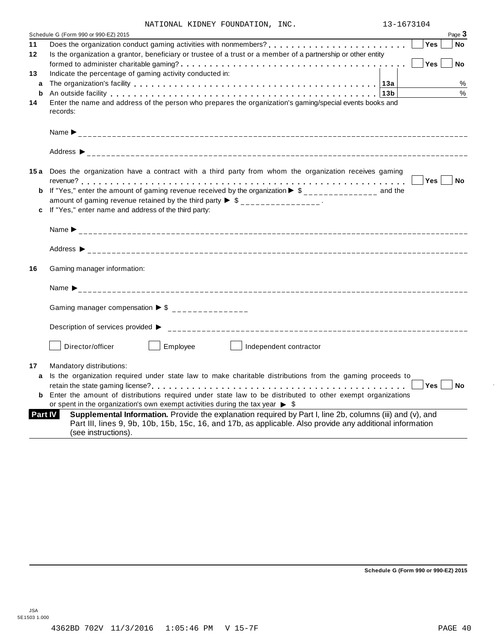| NATIONAL KIDNEY FOUNDATION, |  |  |  | INC. |
|-----------------------------|--|--|--|------|
|-----------------------------|--|--|--|------|

|                | NATIONAL KIDNEY FOUNDATION, INC.                                                                                                                                                                                               | 13-1673104                                                                                                                                        |            |        |
|----------------|--------------------------------------------------------------------------------------------------------------------------------------------------------------------------------------------------------------------------------|---------------------------------------------------------------------------------------------------------------------------------------------------|------------|--------|
|                | Schedule G (Form 990 or 990-EZ) 2015                                                                                                                                                                                           |                                                                                                                                                   |            | Page 3 |
| 11             |                                                                                                                                                                                                                                |                                                                                                                                                   | <b>Yes</b> | No     |
| 12             | Is the organization a grantor, beneficiary or trustee of a trust or a member of a partnership or other entity                                                                                                                  |                                                                                                                                                   |            |        |
|                |                                                                                                                                                                                                                                |                                                                                                                                                   | Yes        | No     |
| 13             | Indicate the percentage of gaming activity conducted in:                                                                                                                                                                       |                                                                                                                                                   |            |        |
| a              |                                                                                                                                                                                                                                |                                                                                                                                                   |            | $\%$   |
| b              | An outside facility enterpreteration of the control of the control of the control of the control of the control of the control of the control of the control of the control of the control of the control of the control of th |                                                                                                                                                   |            | $\%$   |
| 14             | Enter the name and address of the person who prepares the organization's gaming/special events books and                                                                                                                       |                                                                                                                                                   |            |        |
|                | records:                                                                                                                                                                                                                       |                                                                                                                                                   |            |        |
|                |                                                                                                                                                                                                                                |                                                                                                                                                   |            |        |
|                |                                                                                                                                                                                                                                |                                                                                                                                                   |            |        |
|                |                                                                                                                                                                                                                                |                                                                                                                                                   |            |        |
|                | 15a Does the organization have a contract with a third party from whom the organization receives gaming                                                                                                                        |                                                                                                                                                   |            |        |
|                |                                                                                                                                                                                                                                |                                                                                                                                                   | $Yes \mid$ | No     |
|                | <b>b</b> If "Yes," enter the amount of gaming revenue received by the organization $\triangleright$ \$______________ and the                                                                                                   |                                                                                                                                                   |            |        |
|                | amount of gaming revenue retained by the third party $\triangleright$ \$ _______________.                                                                                                                                      |                                                                                                                                                   |            |        |
| c              | If "Yes," enter name and address of the third party:                                                                                                                                                                           |                                                                                                                                                   |            |        |
|                |                                                                                                                                                                                                                                |                                                                                                                                                   |            |        |
|                |                                                                                                                                                                                                                                |                                                                                                                                                   |            |        |
|                |                                                                                                                                                                                                                                |                                                                                                                                                   |            |        |
| 16             | Gaming manager information:                                                                                                                                                                                                    |                                                                                                                                                   |            |        |
|                |                                                                                                                                                                                                                                |                                                                                                                                                   |            |        |
|                | Name $\sum_{-1}^{1}$                                                                                                                                                                                                           |                                                                                                                                                   |            |        |
|                |                                                                                                                                                                                                                                |                                                                                                                                                   |            |        |
|                | Gaming manager compensation $\triangleright$ \$ _______________                                                                                                                                                                |                                                                                                                                                   |            |        |
|                |                                                                                                                                                                                                                                |                                                                                                                                                   |            |        |
|                |                                                                                                                                                                                                                                |                                                                                                                                                   |            |        |
|                | Director/officer<br>Employee<br>Independent contractor                                                                                                                                                                         |                                                                                                                                                   |            |        |
|                |                                                                                                                                                                                                                                |                                                                                                                                                   |            |        |
| 17             | Mandatory distributions:                                                                                                                                                                                                       |                                                                                                                                                   |            |        |
| a              | Is the organization required under state law to make charitable distributions from the gaming proceeds to                                                                                                                      |                                                                                                                                                   |            |        |
|                |                                                                                                                                                                                                                                | $\begin{array}{c} \begin{array}{c} \end{array} \end{array}$ $\begin{array}{c} \begin{array}{c} \end{array}$ Yes $\begin{array}{c} \end{array}$ No |            |        |
|                | <b>b</b> Enter the amount of distributions required under state law to be distributed to other exempt organizations                                                                                                            |                                                                                                                                                   |            |        |
|                | or spent in the organization's own exempt activities during the tax year $\triangleright$ \$                                                                                                                                   |                                                                                                                                                   |            |        |
| <b>Part IV</b> | Supplemental Information. Provide the explanation required by Part I, line 2b, columns (iii) and (v), and                                                                                                                      |                                                                                                                                                   |            |        |
|                | Part III, lines 9, 9b, 10b, 15b, 15c, 16, and 17b, as applicable. Also provide any additional information<br>(see instructions).                                                                                               |                                                                                                                                                   |            |        |
|                |                                                                                                                                                                                                                                |                                                                                                                                                   |            |        |

**Schedule G (Form 990 or 990-EZ) 2015**

÷,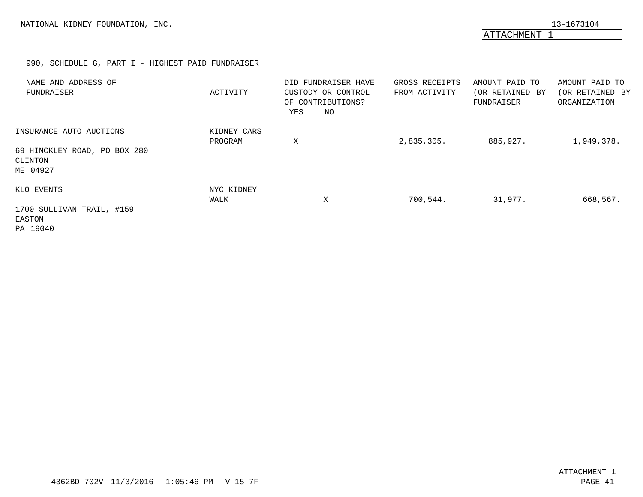ATTACHMENT 1

# 990, SCHEDULE G, PART I - HIGHEST PAID FUNDRAISER

<span id="page-39-0"></span>

| NAME AND ADDRESS OF<br>FUNDRAISER                   | ACTIVITY               | DID FUNDRAISER HAVE<br>CUSTODY OR CONTROL<br>OF CONTRIBUTIONS?<br>NO<br>YES | GROSS RECEIPTS<br>FROM ACTIVITY | AMOUNT PAID TO<br>(OR RETAINED BY<br>FUNDRAISER | AMOUNT PAID TO<br>(OR RETAINED BY<br>ORGANIZATION |
|-----------------------------------------------------|------------------------|-----------------------------------------------------------------------------|---------------------------------|-------------------------------------------------|---------------------------------------------------|
| INSURANCE AUTO AUCTIONS                             | KIDNEY CARS<br>PROGRAM | Χ                                                                           | 2,835,305.                      | 885,927.                                        | 1,949,378.                                        |
| 69 HINCKLEY ROAD, PO BOX 280<br>CLINTON<br>ME 04927 |                        |                                                                             |                                 |                                                 |                                                   |
| KLO EVENTS                                          | NYC KIDNEY<br>WALK     | Χ                                                                           | 700,544.                        | 31,977.                                         | 668,567.                                          |
| 1700 SULLIVAN TRAIL, #159<br>EASTON<br>PA 19040     |                        |                                                                             |                                 |                                                 |                                                   |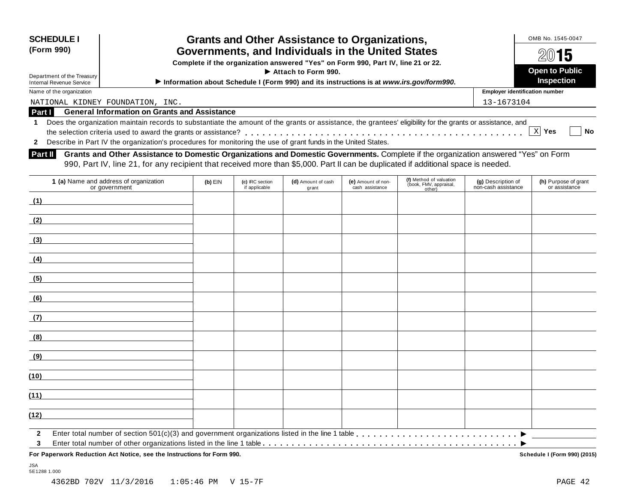| <b>SCHEDULE I</b><br>(Form 990)<br>Department of the Treasury<br>Internal Revenue Service | <b>Grants and Other Assistance to Organizations,</b><br>Governments, and Individuals in the United States<br>Complete if the organization answered "Yes" on Form 990, Part IV, line 21 or 22.<br>$\blacktriangleright$ Attach to Form 990.<br>Information about Schedule I (Form 990) and its instructions is at www.irs.gov/form990. |            | OMB No. 1545-0047<br>2015<br><b>Open to Public</b><br><b>Inspection</b> |
|-------------------------------------------------------------------------------------------|---------------------------------------------------------------------------------------------------------------------------------------------------------------------------------------------------------------------------------------------------------------------------------------------------------------------------------------|------------|-------------------------------------------------------------------------|
| Name of the organization                                                                  |                                                                                                                                                                                                                                                                                                                                       |            | <b>Employer identification number</b>                                   |
| NATIONAL KIDNEY FOUNDATION, INC.                                                          |                                                                                                                                                                                                                                                                                                                                       | 13-1673104 |                                                                         |
| Part I                                                                                    | <b>General Information on Grants and Assistance</b>                                                                                                                                                                                                                                                                                   |            |                                                                         |
|                                                                                           | Does the organization maintain records to substantiate the amount of the grants or assistance, the grantees' eligibility for the grants or assistance, and                                                                                                                                                                            |            |                                                                         |

**2** the selection criteria used to award the grants or assistance? Describe in Part IV the organization's procedures for monitoring the use of grant funds in the United States. nount of the grants or assistance, the grantees' eligibility for the grants or assistance, and  $\boxed{\text{X}}$  Yes  $\boxed{\boxed{\text{N}}}$  No

**Grants and Other Assistance to Domestic Organizations and Domestic Governments.** Complete if the organization answered "Yes" on Form **Part II** Grants and Other Assistance to Domestic Organizations and Domestic Governments. Complete if the organization answere 990, Part IV, line 21, for any recipient that received more than \$5,000. Part II can be duplica

| 1 (a) Name and address of organization<br>or government            | $(b)$ EIN | (c) IRC section<br>if applicable | (d) Amount of cash<br>grant | (e) Amount of non-<br>cash assistance | (f) Method of valuation<br>(book, FMV, appraisal,<br>other) | (g) Description of<br>non-cash assistance | (h) Purpose of grant<br>or assistance |
|--------------------------------------------------------------------|-----------|----------------------------------|-----------------------------|---------------------------------------|-------------------------------------------------------------|-------------------------------------------|---------------------------------------|
| (1)<br>the control of the control of the control of the            |           |                                  |                             |                                       |                                                             |                                           |                                       |
| (2)                                                                |           |                                  |                             |                                       |                                                             |                                           |                                       |
| (3)                                                                |           |                                  |                             |                                       |                                                             |                                           |                                       |
| (4)                                                                |           |                                  |                             |                                       |                                                             |                                           |                                       |
| (5)                                                                |           |                                  |                             |                                       |                                                             |                                           |                                       |
| (6)<br><u> 1980 - Andrea Station, amerikansk politik (d. 1980)</u> |           |                                  |                             |                                       |                                                             |                                           |                                       |
| (7)                                                                |           |                                  |                             |                                       |                                                             |                                           |                                       |
| (8)                                                                |           |                                  |                             |                                       |                                                             |                                           |                                       |
| (9)                                                                |           |                                  |                             |                                       |                                                             |                                           |                                       |
| (10)                                                               |           |                                  |                             |                                       |                                                             |                                           |                                       |
| (11)                                                               |           |                                  |                             |                                       |                                                             |                                           |                                       |
| (12)                                                               |           |                                  |                             |                                       |                                                             |                                           |                                       |
| $\overline{2}$<br>3                                                |           |                                  |                             |                                       |                                                             |                                           |                                       |

**For Paperwork Reduction Act Notice, see the Instructions for Form 990. Schedule I (Form 990) (2015)**

 $\boxed{\mathbf{X}}$  Yes

JSA 5E1288 1.000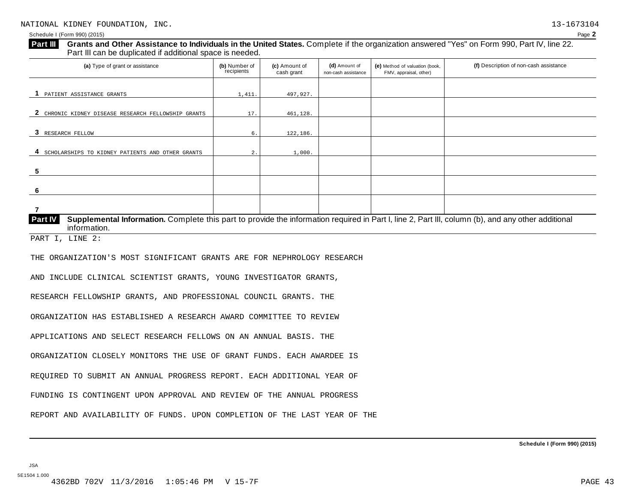| 1,411<br>497,927.<br>17.<br>461,128<br>6.<br>122,186.<br>$\overline{2}$ .<br>1,000<br>Supplemental Information. Complete this part to provide the information required in Part I, line 2, Part III, column (b), and any other additional<br>information.                                                                                                                                                                                                                                                                                                                                                          | (a) Type of grant or assistance                     | (b) Number of<br>recipients | (c) Amount of<br>cash grant | (d) Amount of<br>non-cash assistance | (e) Method of valuation (book,<br>FMV, appraisal, other) | (f) Description of non-cash assistance |
|-------------------------------------------------------------------------------------------------------------------------------------------------------------------------------------------------------------------------------------------------------------------------------------------------------------------------------------------------------------------------------------------------------------------------------------------------------------------------------------------------------------------------------------------------------------------------------------------------------------------|-----------------------------------------------------|-----------------------------|-----------------------------|--------------------------------------|----------------------------------------------------------|----------------------------------------|
|                                                                                                                                                                                                                                                                                                                                                                                                                                                                                                                                                                                                                   | 1 PATIENT ASSISTANCE GRANTS                         |                             |                             |                                      |                                                          |                                        |
|                                                                                                                                                                                                                                                                                                                                                                                                                                                                                                                                                                                                                   | 2 CHRONIC KIDNEY DISEASE RESEARCH FELLOWSHIP GRANTS |                             |                             |                                      |                                                          |                                        |
|                                                                                                                                                                                                                                                                                                                                                                                                                                                                                                                                                                                                                   | 3 RESEARCH FELLOW                                   |                             |                             |                                      |                                                          |                                        |
| 5                                                                                                                                                                                                                                                                                                                                                                                                                                                                                                                                                                                                                 | 4 SCHOLARSHIPS TO KIDNEY PATIENTS AND OTHER GRANTS  |                             |                             |                                      |                                                          |                                        |
|                                                                                                                                                                                                                                                                                                                                                                                                                                                                                                                                                                                                                   |                                                     |                             |                             |                                      |                                                          |                                        |
|                                                                                                                                                                                                                                                                                                                                                                                                                                                                                                                                                                                                                   | 6                                                   |                             |                             |                                      |                                                          |                                        |
| Part IV<br>PART I, LINE 2:<br>THE ORGANIZATION'S MOST SIGNIFICANT GRANTS ARE FOR NEPHROLOGY RESEARCH<br>AND INCLUDE CLINICAL SCIENTIST GRANTS, YOUNG INVESTIGATOR GRANTS,<br>RESEARCH FELLOWSHIP GRANTS, AND PROFESSIONAL COUNCIL GRANTS. THE<br>ORGANIZATION HAS ESTABLISHED A RESEARCH AWARD COMMITTEE TO REVIEW<br>APPLICATIONS AND SELECT RESEARCH FELLOWS ON AN ANNUAL BASIS. THE<br>ORGANIZATION CLOSELY MONITORS THE USE OF GRANT FUNDS. EACH AWARDEE IS<br>REQUIRED TO SUBMIT AN ANNUAL PROGRESS REPORT. EACH ADDITIONAL YEAR OF<br>FUNDING IS CONTINGENT UPON APPROVAL AND REVIEW OF THE ANNUAL PROGRESS | $\overline{7}$                                      |                             |                             |                                      |                                                          |                                        |
|                                                                                                                                                                                                                                                                                                                                                                                                                                                                                                                                                                                                                   |                                                     |                             |                             |                                      |                                                          |                                        |
|                                                                                                                                                                                                                                                                                                                                                                                                                                                                                                                                                                                                                   |                                                     |                             |                             |                                      |                                                          |                                        |
|                                                                                                                                                                                                                                                                                                                                                                                                                                                                                                                                                                                                                   |                                                     |                             |                             |                                      |                                                          |                                        |
|                                                                                                                                                                                                                                                                                                                                                                                                                                                                                                                                                                                                                   |                                                     |                             |                             |                                      |                                                          |                                        |
|                                                                                                                                                                                                                                                                                                                                                                                                                                                                                                                                                                                                                   |                                                     |                             |                             |                                      |                                                          |                                        |
|                                                                                                                                                                                                                                                                                                                                                                                                                                                                                                                                                                                                                   |                                                     |                             |                             |                                      |                                                          |                                        |
|                                                                                                                                                                                                                                                                                                                                                                                                                                                                                                                                                                                                                   |                                                     |                             |                             |                                      |                                                          |                                        |
|                                                                                                                                                                                                                                                                                                                                                                                                                                                                                                                                                                                                                   |                                                     |                             |                             |                                      |                                                          |                                        |
|                                                                                                                                                                                                                                                                                                                                                                                                                                                                                                                                                                                                                   |                                                     |                             |                             |                                      |                                                          |                                        |
|                                                                                                                                                                                                                                                                                                                                                                                                                                                                                                                                                                                                                   |                                                     |                             |                             |                                      |                                                          |                                        |
| REPORT AND AVAILABILITY OF FUNDS. UPON COMPLETION OF THE LAST YEAR OF THE                                                                                                                                                                                                                                                                                                                                                                                                                                                                                                                                         |                                                     |                             |                             |                                      |                                                          |                                        |

**Schedule I (Form 990) (2015)**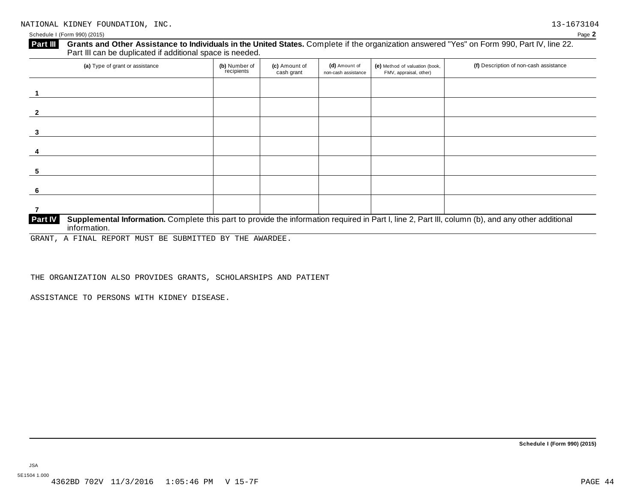#### Schedule I (Form 990) (2015) Page **2**

# **Grants and Other Assistance to Individuals in the United States.** Complete ifthe organization answered "Yes" on Form 990, Part IV, line 22. **Part III** Grants and Other Assistance to Individuals in the Unit Part III can be duplicated if additional space is needed.

| (b) Number of<br>recipients | (c) Amount of<br>cash grant | (d) Amount of<br>non-cash assistance | (e) Method of valuation (book,<br>FMV, appraisal, other) | (f) Description of non-cash assistance |
|-----------------------------|-----------------------------|--------------------------------------|----------------------------------------------------------|----------------------------------------|
|                             |                             |                                      |                                                          |                                        |
|                             |                             |                                      |                                                          |                                        |
|                             |                             |                                      |                                                          |                                        |
|                             |                             |                                      |                                                          |                                        |
|                             |                             |                                      |                                                          |                                        |
|                             |                             |                                      |                                                          |                                        |
|                             |                             |                                      |                                                          |                                        |
|                             |                             |                                      |                                                          |                                        |

GRANT, A FINAL REPORT MUST BE SUBMITTED BY THE AWARDEE.

THE ORGANIZATION ALSO PROVIDES GRANTS, SCHOLARSHIPS AND PATIENT

ASSISTANCE TO PERSONS WITH KIDNEY DISEASE.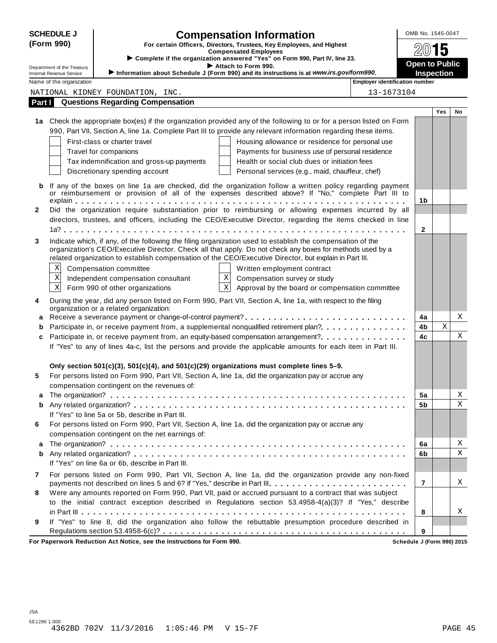|              | <b>SCHEDULE J</b>                                           | <b>Compensation Information</b>                                                                                                                                                                                       |                                                 |                                       | OMB No. 1545-0047     |            |    |
|--------------|-------------------------------------------------------------|-----------------------------------------------------------------------------------------------------------------------------------------------------------------------------------------------------------------------|-------------------------------------------------|---------------------------------------|-----------------------|------------|----|
|              | (Form 990)                                                  | For certain Officers, Directors, Trustees, Key Employees, and Highest                                                                                                                                                 |                                                 |                                       |                       |            |    |
|              |                                                             | <b>Compensated Employees</b><br>Complete if the organization answered "Yes" on Form 990, Part IV, line 23.                                                                                                            |                                                 |                                       |                       | 5          |    |
|              | Department of the Treasury                                  | Attach to Form 990.                                                                                                                                                                                                   |                                                 |                                       | <b>Open to Public</b> |            |    |
|              | <b>Internal Revenue Service</b><br>Name of the organization | Information about Schedule J (Form 990) and its instructions is at www.irs.gov/form990.                                                                                                                               |                                                 | <b>Employer identification number</b> | <b>Inspection</b>     |            |    |
|              |                                                             | NATIONAL KIDNEY FOUNDATION, INC.                                                                                                                                                                                      |                                                 | 13-1673104                            |                       |            |    |
| Part I       |                                                             | <b>Questions Regarding Compensation</b>                                                                                                                                                                               |                                                 |                                       |                       |            |    |
|              |                                                             |                                                                                                                                                                                                                       |                                                 |                                       |                       | <b>Yes</b> | No |
|              |                                                             | 1a Check the appropriate box(es) if the organization provided any of the following to or for a person listed on Form                                                                                                  |                                                 |                                       |                       |            |    |
|              |                                                             | 990, Part VII, Section A, line 1a. Complete Part III to provide any relevant information regarding these items.                                                                                                       |                                                 |                                       |                       |            |    |
|              |                                                             | First-class or charter travel                                                                                                                                                                                         | Housing allowance or residence for personal use |                                       |                       |            |    |
|              |                                                             | Travel for companions                                                                                                                                                                                                 | Payments for business use of personal residence |                                       |                       |            |    |
|              |                                                             | Tax indemnification and gross-up payments                                                                                                                                                                             | Health or social club dues or initiation fees   |                                       |                       |            |    |
|              |                                                             | Discretionary spending account                                                                                                                                                                                        | Personal services (e.g., maid, chauffeur, chef) |                                       |                       |            |    |
| b            |                                                             | If any of the boxes on line 1a are checked, did the organization follow a written policy regarding payment                                                                                                            |                                                 |                                       |                       |            |    |
|              |                                                             | or reimbursement or provision of all of the expenses described above? If "No," complete Part III to                                                                                                                   |                                                 |                                       |                       |            |    |
|              |                                                             |                                                                                                                                                                                                                       |                                                 |                                       | 1 <sub>b</sub>        |            |    |
| $\mathbf{2}$ |                                                             | Did the organization require substantiation prior to reimbursing or allowing expenses incurred by all<br>directors, trustees, and officers, including the CEO/Executive Director, regarding the items checked in line |                                                 |                                       |                       |            |    |
|              |                                                             |                                                                                                                                                                                                                       |                                                 |                                       | $\mathbf{2}$          |            |    |
| 3            |                                                             | Indicate which, if any, of the following the filing organization used to establish the compensation of the                                                                                                            |                                                 |                                       |                       |            |    |
|              |                                                             | organization's CEO/Executive Director. Check all that apply. Do not check any boxes for methods used by a                                                                                                             |                                                 |                                       |                       |            |    |
|              |                                                             | related organization to establish compensation of the CEO/Executive Director, but explain in Part III.                                                                                                                |                                                 |                                       |                       |            |    |
|              | Χ                                                           | Compensation committee                                                                                                                                                                                                | Written employment contract                     |                                       |                       |            |    |
|              | $\rm X$                                                     | $\mathbf X$<br>Independent compensation consultant                                                                                                                                                                    | Compensation survey or study                    |                                       |                       |            |    |
|              | $\mathbf X$                                                 | $\overline{\mathbf{x}}$<br>Form 990 of other organizations                                                                                                                                                            | Approval by the board or compensation committee |                                       |                       |            |    |
| 4            |                                                             | During the year, did any person listed on Form 990, Part VII, Section A, line 1a, with respect to the filing<br>organization or a related organization:                                                               |                                                 |                                       |                       |            |    |
| а            |                                                             |                                                                                                                                                                                                                       |                                                 |                                       | 4a                    |            | Χ  |
| b            |                                                             | Participate in, or receive payment from, a supplemental nonqualified retirement plan?.                                                                                                                                |                                                 |                                       | 4b                    | X          |    |
| c            |                                                             | Participate in, or receive payment from, an equity-based compensation arrangement?                                                                                                                                    |                                                 |                                       | 4c                    |            | X  |
|              |                                                             | If "Yes" to any of lines 4a-c, list the persons and provide the applicable amounts for each item in Part III.                                                                                                         |                                                 |                                       |                       |            |    |
|              |                                                             |                                                                                                                                                                                                                       |                                                 |                                       |                       |            |    |
|              |                                                             | Only section 501(c)(3), 501(c)(4), and 501(c)(29) organizations must complete lines 5-9.                                                                                                                              |                                                 |                                       |                       |            |    |
| 5            |                                                             | For persons listed on Form 990, Part VII, Section A, line 1a, did the organization pay or accrue any                                                                                                                  |                                                 |                                       |                       |            |    |
|              |                                                             | compensation contingent on the revenues of:                                                                                                                                                                           |                                                 |                                       | 5a                    |            | Χ  |
| а<br>b       |                                                             |                                                                                                                                                                                                                       |                                                 |                                       | 5b                    |            | Χ  |
|              |                                                             | If "Yes" to line 5a or 5b, describe in Part III.                                                                                                                                                                      |                                                 |                                       |                       |            |    |
| 6            |                                                             | For persons listed on Form 990, Part VII, Section A, line 1a, did the organization pay or accrue any                                                                                                                  |                                                 |                                       |                       |            |    |
|              |                                                             | compensation contingent on the net earnings of:                                                                                                                                                                       |                                                 |                                       |                       |            |    |
| а            |                                                             |                                                                                                                                                                                                                       |                                                 |                                       | 6a                    |            | Χ  |
| b            |                                                             |                                                                                                                                                                                                                       |                                                 |                                       | 6b                    |            | Χ  |
|              |                                                             | If "Yes" on line 6a or 6b, describe in Part III.                                                                                                                                                                      |                                                 |                                       |                       |            |    |
| 7            |                                                             | For persons listed on Form 990, Part VII, Section A, line 1a, did the organization provide any non-fixed                                                                                                              |                                                 |                                       |                       |            |    |
|              |                                                             | payments not described on lines 5 and 6? If "Yes," describe in Part III.                                                                                                                                              |                                                 |                                       | 7                     |            | X  |
| 8            |                                                             | Were any amounts reported on Form 990, Part VII, paid or accrued pursuant to a contract that was subject                                                                                                              |                                                 |                                       |                       |            |    |
|              |                                                             | to the initial contract exception described in Regulations section 53.4958-4(a)(3)? If "Yes," describe                                                                                                                |                                                 |                                       | 8                     |            | X  |
| 9            |                                                             | If "Yes" to line 8, did the organization also follow the rebuttable presumption procedure described in                                                                                                                |                                                 |                                       |                       |            |    |
|              |                                                             |                                                                                                                                                                                                                       |                                                 |                                       | 9                     |            |    |
|              |                                                             |                                                                                                                                                                                                                       |                                                 |                                       |                       |            |    |

**For Paperwork Reduction Act Notice, see the Instructions for Form 990. Schedule J (Form 990) 2015**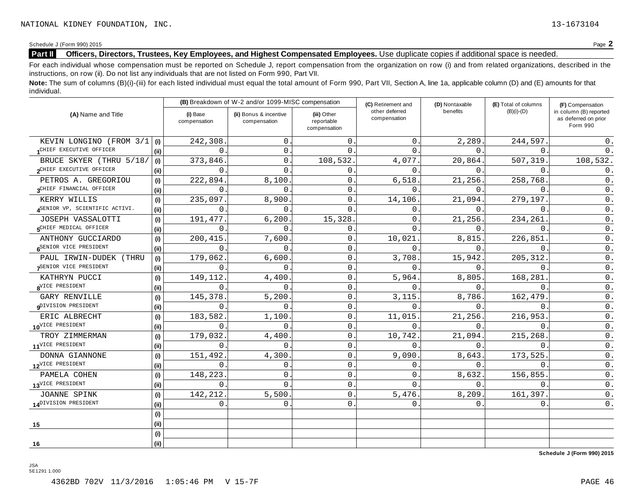Schedule <sup>J</sup> (Form 990) <sup>2015</sup> Page **2**

# **Part II Officers, Directors, Trustees, Key Employees, and Highest Compensated Employees.** Use duplicate copies ifadditional space is needed.

For each individual whose compensation must be reported on Schedule J, report compensation from the organization on row (i) and from related organizations, described in the instructions, on row (ii). Do not list any individuals that are not listed on Form 990, Part VII.

Note: The sum of columns (B)(i)-(iii) for each listed individual must equal the total amount of Form 990, Part VII, Section A, line 1a, applicable column (D) and (E) amounts for that individual.

| (A) Name and Title               |      |                          | (B) Breakdown of W-2 and/or 1099-MISC compensation |                                           | (C) Retirement and             | (D) Nontaxable | (E) Total of columns | (F) Compensation<br>in column (B) reported<br>as deferred on prior<br>Form 990 |  |
|----------------------------------|------|--------------------------|----------------------------------------------------|-------------------------------------------|--------------------------------|----------------|----------------------|--------------------------------------------------------------------------------|--|
|                                  |      | (i) Base<br>compensation | (ii) Bonus & incentive<br>compensation             | (iii) Other<br>reportable<br>compensation | other deferred<br>compensation | benefits       | $(B)(i)-(D)$         |                                                                                |  |
| KEVIN LONGINO (FROM 3/1          | (i)  | 242,308                  | $\mathsf{O}$                                       | 0                                         | $\Omega$                       | 2,289.         | 244,597              | 0.                                                                             |  |
| CHIEF EXECUTIVE OFFICER          | (ii) | $\Omega$                 | 0.                                                 | $\Omega$                                  | $\Omega$                       | $\Omega$ .     | $\Omega$             | 0.                                                                             |  |
| BRUCE SKYER (THRU 5/18/          | (i)  | 373,846                  | $\mathbf{0}$ .                                     | 108,532                                   | 4,077                          | 20,864.        | 507,319.             | 108,532.                                                                       |  |
| 2CHIEF EXECUTIVE OFFICER         | (i)  | $\Omega$                 | $\Omega$                                           | 0                                         | 0                              | 0.             | $\Omega$             | 0.                                                                             |  |
| PETROS A. GREGORIOU              | (i)  | 222,894                  | 8,100.                                             | $\mathbf 0$                               | 6,518                          | 21,256.        | 258,768              | 0.                                                                             |  |
| 3CHIEF FINANCIAL OFFICER         | (ii) | $\Omega$                 | $\Omega$ .                                         | $\mathbf 0$                               | $\Omega$                       | 0.             | 0                    | 0.                                                                             |  |
| KERRY WILLIS                     | (i)  | 235,097                  | 8,900                                              | $\mathbf 0$                               | 14,106                         | 21,094.        | 279,197              | 0.                                                                             |  |
| ASENIOR VP, SCIENTIFIC ACTIVI.   | (ii) | $\mathbf 0$              | 0                                                  | $\Omega$                                  | 0                              | 0.             | $\Omega$             | $0$ .                                                                          |  |
| JOSEPH VASSALOTTI                | (i)  | 191,477                  | 6,200.                                             | 15,328                                    | 0                              | 21,256.        | 234,261              | 0.                                                                             |  |
| CHIEF MEDICAL OFFICER            | (ii) | 0                        | $\Omega$                                           | 0                                         | $\Omega$                       | $\Omega$ .     | $\Omega$ .           | $0$ .                                                                          |  |
| ANTHONY GUCCIARDO                | (i)  | 200,415                  | 7,600.                                             | 0                                         | 10,021                         | 8,815.         | 226,851              | $0$ .                                                                          |  |
| SENIOR VICE PRESIDENT            | (ii) | $\Omega$                 | $\Omega$                                           | 0                                         | $\Omega$                       | 0.             | $\mathbf{0}$ .       | $0$ .                                                                          |  |
| PAUL IRWIN-DUDEK (THRU           | (i)  | 179,062                  | 6,600.                                             | 0                                         | 3,708                          | 15,942.        | 205, 312.            | $0$ .                                                                          |  |
| SENIOR VICE PRESIDENT            | (ii) | $\Omega$                 | $\Omega$ .                                         | 0                                         | $\Omega$                       | 0.             | $\Omega$ .           | $0$ .                                                                          |  |
| KATHRYN PUCCI                    | (i)  | 149,112                  | 4,400.                                             | $\mathsf{O}$                              | 5,964                          | 8,805.         | 168,281              | $\mathsf{0}$ .                                                                 |  |
| 8VICE PRESIDENT                  | (ii) | $\Omega$                 | $\Omega$ .                                         | $\mathbf 0$                               | 0                              | 0.             | $\Omega$             | $0$ .                                                                          |  |
| <b>GARY RENVILLE</b>             | (i)  | 145,378                  | 5,200                                              | $\mathbf 0$                               | 3,115                          | 8,786.         | 162,479              | 0.                                                                             |  |
| QDIVISION PRESIDENT              | (i)  | $\Omega$                 | $\Omega$ .                                         | 0                                         | 0                              | $\Omega$ .     | $\Omega$             | $0$ .                                                                          |  |
| ERIC ALBRECHT                    | (i)  | 183,582                  | 1,100.                                             | 0                                         | 11,015                         | 21,256.        | 216,953              | 0.                                                                             |  |
| 10 <sup>VICE</sup> PRESIDENT     | (ii) | $\Omega$                 | $\Omega$ .                                         | $\mathbf 0$                               | $\Omega$ .                     | $\Omega$ .     | $\Omega$             | $0$ .                                                                          |  |
| TROY ZIMMERMAN                   | (i)  | 179,032                  | 4,400                                              | 0                                         | 10,742                         | 21,094.        | 215,268              | $0$ .                                                                          |  |
| 11 <sup>VICE</sup> PRESIDENT     | (ii) | $\Omega$                 | $\Omega$                                           | $\mathbf 0$                               | $\Omega$                       | 0.             | $\Omega$             | $0$ .                                                                          |  |
| DONNA GIANNONE                   | (i)  | 151,492                  | 4,300                                              | 0                                         | 9,090                          | 8,643.         | 173,525              | 0.                                                                             |  |
| 12 <sup>VICE</sup> PRESIDENT     | (ii) | 0                        | 0.                                                 | $\mathbf 0$                               | 0                              | 0.             | $\Omega$ .           | $0$ .                                                                          |  |
| PAMELA COHEN                     | (i)  | 148,223                  | 0                                                  | 0                                         | 0                              | 8,632.         | 156,855              | $0$ .                                                                          |  |
| 13 <sup>VICE</sup> PRESIDENT     | (ii) | 0                        | $\overline{0}$                                     | 0                                         | $\Omega$                       | 0.             | $\mathbf{0}$ .       | $0$ .                                                                          |  |
| JOANNE SPINK                     | (i)  | 142,212                  | 5,500.                                             | 0                                         | 5,476                          | 8,209          | 161,397              | $0$ .                                                                          |  |
| 14 <sup>DIVISION</sup> PRESIDENT | (ii) | 0                        | 0.                                                 | $\mathbf{0}$                              | 0.                             | 0.             | 0.                   | $0$ .                                                                          |  |
|                                  | (i)  |                          |                                                    |                                           |                                |                |                      |                                                                                |  |
| 15                               | (ii) |                          |                                                    |                                           |                                |                |                      |                                                                                |  |
|                                  | (i)  |                          |                                                    |                                           |                                |                |                      |                                                                                |  |
| 16                               | (ii) |                          |                                                    |                                           |                                |                |                      |                                                                                |  |

**Schedule J (Form 990) 2015**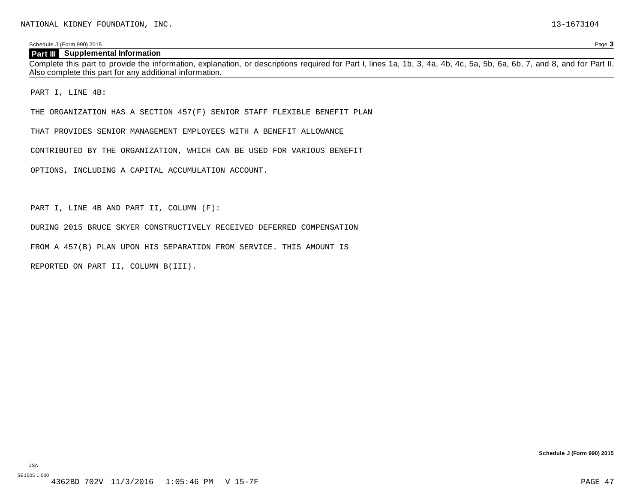#### Schedule J (Form 990) 2015 Page **3**

## **Part III Supplemental Information**

Complete this part to provide the information, explanation, or descriptions required for Part I, lines 1a, 1b, 3, 4a, 4b, 4c, 5a, 5b, 6a, 6b, 7, and 8, and for Part II. Also complete this part for any additional information.

PART I, LINE 4B:

THE ORGANIZATION HAS A SECTION 457(F) SENIOR STAFF FLEXIBLE BENEFIT PLAN

THAT PROVIDES SENIOR MANAGEMENT EMPLOYEES WITH A BENEFIT ALLOWANCE

CONTRIBUTED BY THE ORGANIZATION, WHICH CAN BE USED FOR VARIOUS BENEFIT

OPTIONS, INCLUDING A CAPITAL ACCUMULATION ACCOUNT.

PART I, LINE 4B AND PART II, COLUMN (F):

DURING 2015 BRUCE SKYER CONSTRUCTIVELY RECEIVED DEFERRED COMPENSATION

FROM A 457(B) PLAN UPON HIS SEPARATION FROM SERVICE. THIS AMOUNT IS

REPORTED ON PART II, COLUMN B(III).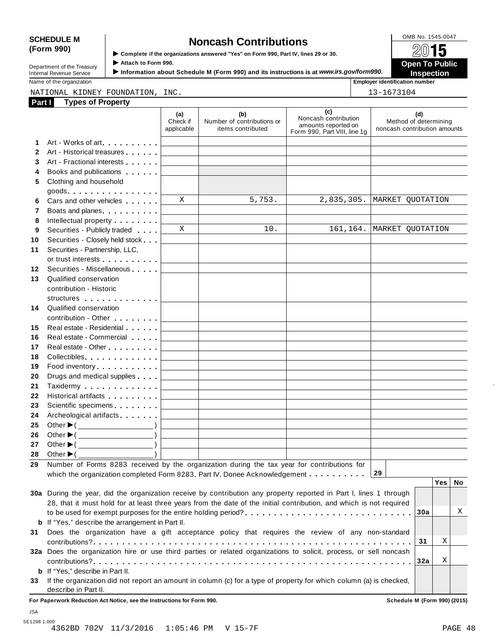# SCHEDULE M
<br> **SCHEDULE** M **SPECIES SPECIES SPECIES SPECIES SPECIES SPECIES SPECIES SPECIES SPECIES Complete** if the organizations answered "Yes" on Form 990, Part IV, lines 29 or 30.

|                            | NUNGSH OONN IDUNUSI                                                                                                                                                                                                                                                                                        |                       |
|----------------------------|------------------------------------------------------------------------------------------------------------------------------------------------------------------------------------------------------------------------------------------------------------------------------------------------------------|-----------------------|
| (Form 990)                 | Complete if the organizations answered "Yes" on Form 990, Part IV, lines 29 or 30.                                                                                                                                                                                                                         | 2015                  |
| Department of the Treasurv | Attach to Form 990.                                                                                                                                                                                                                                                                                        | <b>Open To Public</b> |
|                            | $\mathbf{r}$ , and $\mathbf{r}$ , and $\mathbf{r}$ and $\mathbf{r}$ , $\mathbf{r}$ , $\mathbf{r}$ , $\mathbf{r}$ , $\mathbf{r}$ , $\mathbf{r}$ , $\mathbf{r}$ , $\mathbf{r}$ , $\mathbf{r}$ , $\mathbf{r}$ , $\mathbf{r}$ , $\mathbf{r}$ , $\mathbf{r}$ , $\mathbf{r}$ , $\mathbf{r}$ , $\mathbf{r}$ , $\$ |                       |

**Internal Revenue Service** I<br>Information about Schedule M (Form 990) and its instructions is at *www.irs.gov/form990.* Inspection<br>Name of the organization

**Employer identification number** 

#### **Part 1 Types** of **Property** NATIONAL KIDNEY FOUNDATION, INC. 13-1673104

| <b>Fait</b> L | <b>I</b> ypes or Floperty                                                                                                                                                                                                     |                                            |                                                        |                                                                                    |                                                              |    |
|---------------|-------------------------------------------------------------------------------------------------------------------------------------------------------------------------------------------------------------------------------|--------------------------------------------|--------------------------------------------------------|------------------------------------------------------------------------------------|--------------------------------------------------------------|----|
|               |                                                                                                                                                                                                                               | (a)<br>Check if<br>applicable              | (b)<br>Number of contributions or<br>items contributed | (c)<br>Noncash contribution<br>amounts reported on<br>Form 990, Part VIII, line 1g | (d)<br>Method of determining<br>noncash contribution amounts |    |
| 1             | Art - Works of art.                                                                                                                                                                                                           |                                            |                                                        |                                                                                    |                                                              |    |
| $\mathbf{2}$  | Art - Historical treasures                                                                                                                                                                                                    |                                            |                                                        |                                                                                    |                                                              |    |
| 3             | Art - Fractional interests                                                                                                                                                                                                    |                                            |                                                        |                                                                                    |                                                              |    |
| 4             | Books and publications <b>Solutions</b>                                                                                                                                                                                       |                                            |                                                        |                                                                                    |                                                              |    |
| 5             | Clothing and household                                                                                                                                                                                                        |                                            |                                                        |                                                                                    |                                                              |    |
|               |                                                                                                                                                                                                                               |                                            |                                                        |                                                                                    |                                                              |    |
| 6             | Cars and other vehicles <b>Cars</b>                                                                                                                                                                                           | X                                          | 5,753.                                                 | 2,835,305.                                                                         | MARKET QUOTATION                                             |    |
| 7             | Boats and planes <b>Exercise 2</b>                                                                                                                                                                                            |                                            |                                                        |                                                                                    |                                                              |    |
| 8             | Intellectual property entering the set of the set of the set of the set of the set of the set of the set of the set of the set of the set of the set of the set of the set of the set of the set of the set of the set of the |                                            |                                                        |                                                                                    |                                                              |    |
| 9             | Securities - Publicly traded                                                                                                                                                                                                  | $\mathbf x$                                | 10.                                                    |                                                                                    | 161,164.   MARKET QUOTATION                                  |    |
| 10            | Securities - Closely held stock                                                                                                                                                                                               |                                            |                                                        |                                                                                    |                                                              |    |
| 11            | Securities - Partnership, LLC,                                                                                                                                                                                                |                                            |                                                        |                                                                                    |                                                              |    |
|               |                                                                                                                                                                                                                               |                                            |                                                        |                                                                                    |                                                              |    |
| 12            | Securities - Miscellaneous                                                                                                                                                                                                    |                                            |                                                        |                                                                                    |                                                              |    |
| 13            | Qualified conservation                                                                                                                                                                                                        |                                            |                                                        |                                                                                    |                                                              |    |
|               | contribution - Historic                                                                                                                                                                                                       |                                            |                                                        |                                                                                    |                                                              |    |
|               | structures experience and the structures                                                                                                                                                                                      |                                            |                                                        |                                                                                    |                                                              |    |
| 14            | Qualified conservation                                                                                                                                                                                                        |                                            |                                                        |                                                                                    |                                                              |    |
|               | contribution - Other [19]                                                                                                                                                                                                     |                                            |                                                        |                                                                                    |                                                              |    |
| 15            | Real estate - Residential                                                                                                                                                                                                     |                                            |                                                        |                                                                                    |                                                              |    |
| 16            | Real estate - Commercial                                                                                                                                                                                                      |                                            |                                                        |                                                                                    |                                                              |    |
| 17            | Real estate - Other [19]                                                                                                                                                                                                      |                                            | <u> 1980 - Johann Barbara, martxa a</u>                |                                                                                    |                                                              |    |
| 18            | Collectibles. [                                                                                                                                                                                                               | <b>Contract Contract Contract Contract</b> |                                                        |                                                                                    |                                                              |    |
| 19            |                                                                                                                                                                                                                               |                                            |                                                        |                                                                                    |                                                              |    |
| 20            | Drugs and medical supplies                                                                                                                                                                                                    |                                            |                                                        |                                                                                    |                                                              |    |
| 21            |                                                                                                                                                                                                                               |                                            |                                                        |                                                                                    |                                                              |    |
| 22            | Historical artifacts [1994]                                                                                                                                                                                                   | <b>Contract Contract Contract Contract</b> |                                                        |                                                                                    |                                                              |    |
| 23            | Scientific specimens [                                                                                                                                                                                                        |                                            |                                                        |                                                                                    |                                                              |    |
| 24            | Archeological artifacts                                                                                                                                                                                                       |                                            |                                                        |                                                                                    |                                                              |    |
| 25            |                                                                                                                                                                                                                               |                                            |                                                        |                                                                                    |                                                              |    |
| 26            | Other $\blacktriangleright$ ( $\_\_\_\_\_\_\_\_$ )                                                                                                                                                                            |                                            |                                                        |                                                                                    |                                                              |    |
| 27            | Other $\blacktriangleright$ ( $\_\_\_\_\_\_\_\_$ )                                                                                                                                                                            |                                            |                                                        |                                                                                    |                                                              |    |
| 28            | Other $\blacktriangleright$ ( $\_\_\_\_\_\_\_\_\_$ )                                                                                                                                                                          |                                            |                                                        |                                                                                    |                                                              |    |
| 29            | Number of Forms 8283 received by the organization during the tax year for contributions for                                                                                                                                   |                                            |                                                        |                                                                                    |                                                              |    |
|               | which the organization completed Form 8283, Part IV, Donee Acknowledgement                                                                                                                                                    |                                            |                                                        |                                                                                    | 29                                                           |    |
|               |                                                                                                                                                                                                                               |                                            |                                                        |                                                                                    | Yes                                                          | No |
|               | 30a During the year, did the organization receive by contribution any property reported in Part I, lines 1 through                                                                                                            |                                            |                                                        |                                                                                    |                                                              |    |
|               | 28, that it must hold for at least three years from the date of the initial contribution, and which is not required                                                                                                           |                                            |                                                        |                                                                                    |                                                              |    |
|               |                                                                                                                                                                                                                               |                                            |                                                        |                                                                                    | 30a                                                          | Χ  |
|               | <b>b</b> If "Yes," describe the arrangement in Part II.                                                                                                                                                                       |                                            |                                                        |                                                                                    |                                                              |    |
| 31            | Does the organization have a gift acceptance policy that requires the review of any non-standard                                                                                                                              |                                            |                                                        |                                                                                    | 31                                                           | Χ  |
|               | 32a Does the organization hire or use third parties or related organizations to solicit, process, or sell noncash                                                                                                             |                                            |                                                        |                                                                                    |                                                              |    |
|               |                                                                                                                                                                                                                               |                                            |                                                        |                                                                                    | 32a                                                          | Χ  |
| b             | If "Yes," describe in Part II.                                                                                                                                                                                                |                                            |                                                        |                                                                                    |                                                              |    |
| 33            | If the organization did not report an amount in column (c) for a type of property for which column (a) is checked,                                                                                                            |                                            |                                                        |                                                                                    |                                                              |    |
|               | describe in Part II.                                                                                                                                                                                                          |                                            |                                                        |                                                                                    |                                                              |    |
|               | For Paperwork Reduction Act Notice, see the Instructions for Form 990.                                                                                                                                                        |                                            |                                                        |                                                                                    | Schedule M (Form 990) (2015)                                 |    |

JSA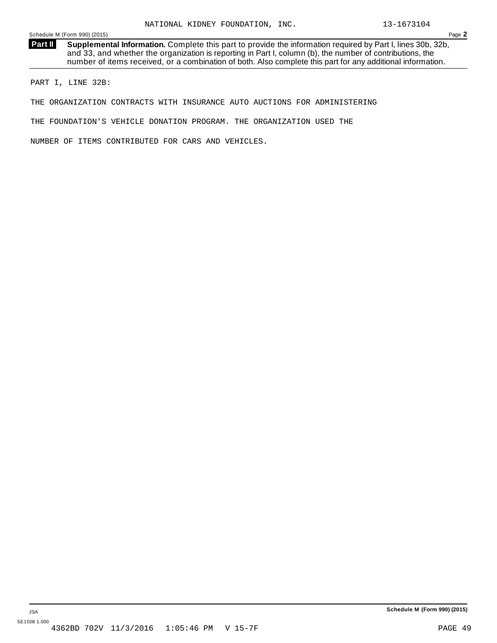**Supplemental Information.** Complete this part to provide the information required by Part I, lines 30b, 32b, and 33, and whether the organization is reporting in Part I, column (b), the number of contributions, the number of items received, or a combination of both. Also complete this part for any additional information. **Part II**

PART I, LINE 32B:

THE ORGANIZATION CONTRACTS WITH INSURANCE AUTO AUCTIONS FOR ADMINISTERING

THE FOUNDATION'S VEHICLE DONATION PROGRAM. THE ORGANIZATION USED THE

NUMBER OF ITEMS CONTRIBUTED FOR CARS AND VEHICLES.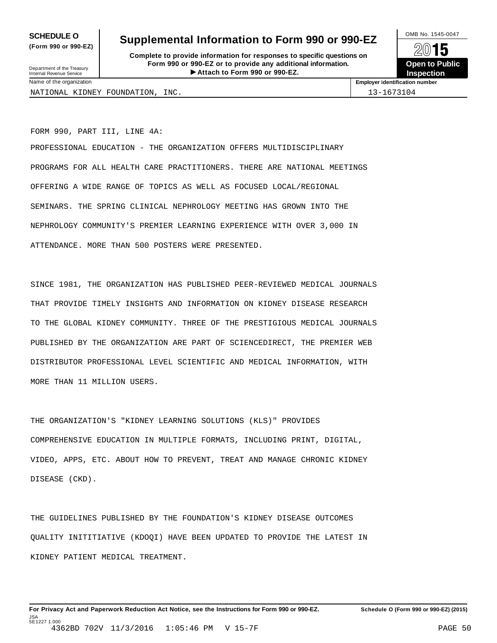**(Form 990 or 990-EZ)**

# **SCHEDULE O** Supplemental Information to Form 990 or 990-EZ  $\frac{100\text{dB No. }1545-0047}{\text{O}}$

**Complete to provide information for responses to specific questions on Form 990 or 990-EZ or to provide any additional information.** Fristen **Attach to Form 1990** or 990-EZ.<br>
Attach to Form 990 or 990-EZ.<br>
Attach to Form 990 or 990-EZ.<br> **Attach to Form 990 or 990-EZ.** Department of the Treasury Internal Revenue Service I



NATIONAL KIDNEY FOUNDATION, INC. 13-1673104

Name of the organization **Employer identification number**

FORM 990, PART III, LINE 4A: PROFESSIONAL EDUCATION - THE ORGANIZATION OFFERS MULTIDISCIPLINARY PROGRAMS FOR ALL HEALTH CARE PRACTITIONERS. THERE ARE NATIONAL MEETINGS OFFERING A WIDE RANGE OF TOPICS AS WELL AS FOCUSED LOCAL/REGIONAL SEMINARS. THE SPRING CLINICAL NEPHROLOGY MEETING HAS GROWN INTO THE NEPHROLOGY COMMUNITY'S PREMIER LEARNING EXPERIENCE WITH OVER 3,000 IN ATTENDANCE. MORE THAN 500 POSTERS WERE PRESENTED.

SINCE 1981, THE ORGANIZATION HAS PUBLISHED PEER-REVIEWED MEDICAL JOURNALS THAT PROVIDE TIMELY INSIGHTS AND INFORMATION ON KIDNEY DISEASE RESEARCH TO THE GLOBAL KIDNEY COMMUNITY. THREE OF THE PRESTIGIOUS MEDICAL JOURNALS PUBLISHED BY THE ORGANIZATION ARE PART OF SCIENCEDIRECT, THE PREMIER WEB DISTRIBUTOR PROFESSIONAL LEVEL SCIENTIFIC AND MEDICAL INFORMATION, WITH MORE THAN 11 MILLION USERS.

THE ORGANIZATION'S "KIDNEY LEARNING SOLUTIONS (KLS)" PROVIDES COMPREHENSIVE EDUCATION IN MULTIPLE FORMATS, INCLUDING PRINT, DIGITAL, VIDEO, APPS, ETC. ABOUT HOW TO PREVENT, TREAT AND MANAGE CHRONIC KIDNEY DISEASE (CKD).

THE GUIDELINES PUBLISHED BY THE FOUNDATION'S KIDNEY DISEASE OUTCOMES QUALITY INITITIATIVE (KDOQI) HAVE BEEN UPDATED TO PROVIDE THE LATEST IN KIDNEY PATIENT MEDICAL TREATMENT.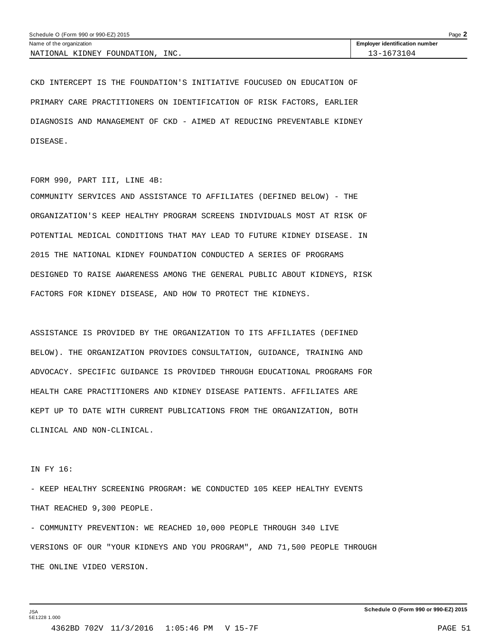| Page $\blacktriangle$<br>Schedule O (Form 990 or 990-EZ) 2015 |                                       |  |  |  |
|---------------------------------------------------------------|---------------------------------------|--|--|--|
| Name of the organization                                      | <b>Employer identification number</b> |  |  |  |
| INC.<br>NATIONAL KIDNEY FOUNDATION.                           | 13-1673104                            |  |  |  |

CKD INTERCEPT IS THE FOUNDATION'S INITIATIVE FOUCUSED ON EDUCATION OF PRIMARY CARE PRACTITIONERS ON IDENTIFICATION OF RISK FACTORS, EARLIER DIAGNOSIS AND MANAGEMENT OF CKD - AIMED AT REDUCING PREVENTABLE KIDNEY DISEASE.

#### FORM 990, PART III, LINE 4B:

COMMUNITY SERVICES AND ASSISTANCE TO AFFILIATES (DEFINED BELOW) - THE ORGANIZATION'S KEEP HEALTHY PROGRAM SCREENS INDIVIDUALS MOST AT RISK OF POTENTIAL MEDICAL CONDITIONS THAT MAY LEAD TO FUTURE KIDNEY DISEASE. IN 2015 THE NATIONAL KIDNEY FOUNDATION CONDUCTED A SERIES OF PROGRAMS DESIGNED TO RAISE AWARENESS AMONG THE GENERAL PUBLIC ABOUT KIDNEYS, RISK FACTORS FOR KIDNEY DISEASE, AND HOW TO PROTECT THE KIDNEYS.

ASSISTANCE IS PROVIDED BY THE ORGANIZATION TO ITS AFFILIATES (DEFINED BELOW). THE ORGANIZATION PROVIDES CONSULTATION, GUIDANCE, TRAINING AND ADVOCACY. SPECIFIC GUIDANCE IS PROVIDED THROUGH EDUCATIONAL PROGRAMS FOR HEALTH CARE PRACTITIONERS AND KIDNEY DISEASE PATIENTS. AFFILIATES ARE KEPT UP TO DATE WITH CURRENT PUBLICATIONS FROM THE ORGANIZATION, BOTH CLINICAL AND NON-CLINICAL.

## IN FY 16:

- KEEP HEALTHY SCREENING PROGRAM: WE CONDUCTED 105 KEEP HEALTHY EVENTS THAT REACHED 9,300 PEOPLE.

- COMMUNITY PREVENTION: WE REACHED 10,000 PEOPLE THROUGH 340 LIVE VERSIONS OF OUR "YOUR KIDNEYS AND YOU PROGRAM", AND 71,500 PEOPLE THROUGH THE ONLINE VIDEO VERSION.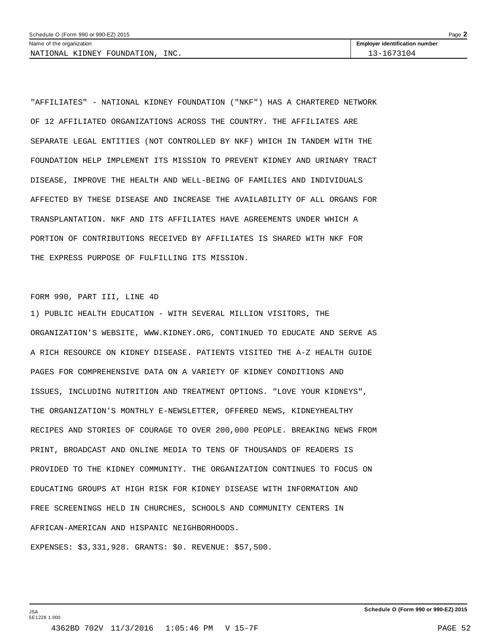NATIONAL KIDNEY FOUNDATION, INC. 13-1673104

"AFFILIATES" - NATIONAL KIDNEY FOUNDATION ("NKF") HAS A CHARTERED NETWORK OF 12 AFFILIATED ORGANIZATIONS ACROSS THE COUNTRY. THE AFFILIATES ARE SEPARATE LEGAL ENTITIES (NOT CONTROLLED BY NKF) WHICH IN TANDEM WITH THE FOUNDATION HELP IMPLEMENT ITS MISSION TO PREVENT KIDNEY AND URINARY TRACT DISEASE, IMPROVE THE HEALTH AND WELL-BEING OF FAMILIES AND INDIVIDUALS AFFECTED BY THESE DISEASE AND INCREASE THE AVAILABILITY OF ALL ORGANS FOR TRANSPLANTATION. NKF AND ITS AFFILIATES HAVE AGREEMENTS UNDER WHICH A PORTION OF CONTRIBUTIONS RECEIVED BY AFFILIATES IS SHARED WITH NKF FOR THE EXPRESS PURPOSE OF FULFILLING ITS MISSION.

### FORM 990, PART III, LINE 4D

1) PUBLIC HEALTH EDUCATION - WITH SEVERAL MILLION VISITORS, THE ORGANIZATION'S WEBSITE, WWW.KIDNEY.ORG, CONTINUED TO EDUCATE AND SERVE AS A RICH RESOURCE ON KIDNEY DISEASE. PATIENTS VISITED THE A-Z HEALTH GUIDE PAGES FOR COMPREHENSIVE DATA ON A VARIETY OF KIDNEY CONDITIONS AND ISSUES, INCLUDING NUTRITION AND TREATMENT OPTIONS. "LOVE YOUR KIDNEYS", THE ORGANIZATION'S MONTHLY E-NEWSLETTER, OFFERED NEWS, KIDNEYHEALTHY RECIPES AND STORIES OF COURAGE TO OVER 200,000 PEOPLE. BREAKING NEWS FROM PRINT, BROADCAST AND ONLINE MEDIA TO TENS OF THOUSANDS OF READERS IS PROVIDED TO THE KIDNEY COMMUNITY. THE ORGANIZATION CONTINUES TO FOCUS ON EDUCATING GROUPS AT HIGH RISK FOR KIDNEY DISEASE WITH INFORMATION AND FREE SCREENINGS HELD IN CHURCHES, SCHOOLS AND COMMUNITY CENTERS IN AFRICAN-AMERICAN AND HISPANIC NEIGHBORHOODS.

EXPENSES: \$3,331,928. GRANTS: \$0. REVENUE: \$57,500.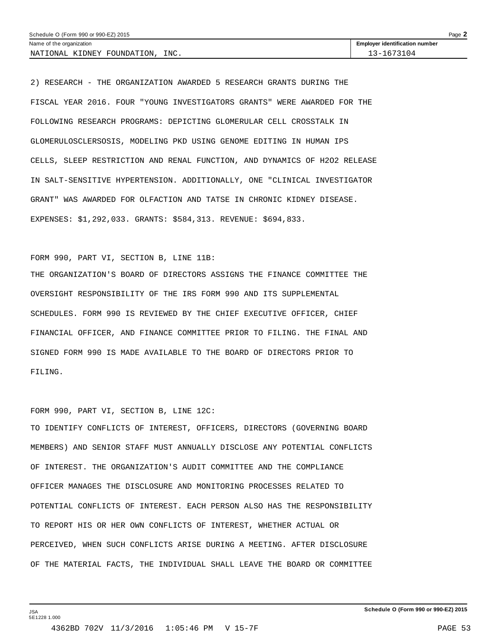| Schedule O (Form 990 or 990-EZ) 2015<br>Page $\blacktriangle$ |                                       |  |  |  |
|---------------------------------------------------------------|---------------------------------------|--|--|--|
| Name of the organization                                      | <b>Employer identification number</b> |  |  |  |
| INC.<br>NATIONAL KIDNEY FOUNDATION.                           | 3-1673104                             |  |  |  |

2) RESEARCH - THE ORGANIZATION AWARDED 5 RESEARCH GRANTS DURING THE FISCAL YEAR 2016. FOUR "YOUNG INVESTIGATORS GRANTS" WERE AWARDED FOR THE FOLLOWING RESEARCH PROGRAMS: DEPICTING GLOMERULAR CELL CROSSTALK IN GLOMERULOSCLERSOSIS, MODELING PKD USING GENOME EDITING IN HUMAN IPS CELLS, SLEEP RESTRICTION AND RENAL FUNCTION, AND DYNAMICS OF H2O2 RELEASE IN SALT-SENSITIVE HYPERTENSION. ADDITIONALLY, ONE "CLINICAL INVESTIGATOR GRANT" WAS AWARDED FOR OLFACTION AND TATSE IN CHRONIC KIDNEY DISEASE. EXPENSES: \$1,292,033. GRANTS: \$584,313. REVENUE: \$694,833.

## FORM 990, PART VI, SECTION B, LINE 11B:

THE ORGANIZATION'S BOARD OF DIRECTORS ASSIGNS THE FINANCE COMMITTEE THE OVERSIGHT RESPONSIBILITY OF THE IRS FORM 990 AND ITS SUPPLEMENTAL SCHEDULES. FORM 990 IS REVIEWED BY THE CHIEF EXECUTIVE OFFICER, CHIEF FINANCIAL OFFICER, AND FINANCE COMMITTEE PRIOR TO FILING. THE FINAL AND SIGNED FORM 990 IS MADE AVAILABLE TO THE BOARD OF DIRECTORS PRIOR TO FILING.

# FORM 990, PART VI, SECTION B, LINE 12C:

TO IDENTIFY CONFLICTS OF INTEREST, OFFICERS, DIRECTORS (GOVERNING BOARD MEMBERS) AND SENIOR STAFF MUST ANNUALLY DISCLOSE ANY POTENTIAL CONFLICTS OF INTEREST. THE ORGANIZATION'S AUDIT COMMITTEE AND THE COMPLIANCE OFFICER MANAGES THE DISCLOSURE AND MONITORING PROCESSES RELATED TO POTENTIAL CONFLICTS OF INTEREST. EACH PERSON ALSO HAS THE RESPONSIBILITY TO REPORT HIS OR HER OWN CONFLICTS OF INTEREST, WHETHER ACTUAL OR PERCEIVED, WHEN SUCH CONFLICTS ARISE DURING A MEETING. AFTER DISCLOSURE OF THE MATERIAL FACTS, THE INDIVIDUAL SHALL LEAVE THE BOARD OR COMMITTEE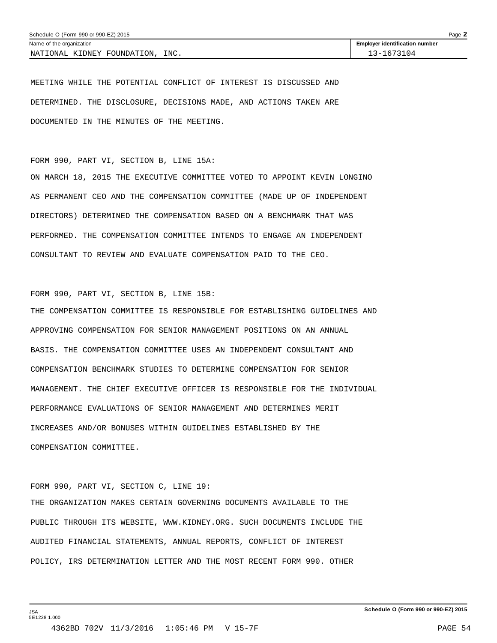| Schedule O (Form 990 or 990-EZ) 2015<br>Page $\angle$ |                                       |  |  |  |
|-------------------------------------------------------|---------------------------------------|--|--|--|
| Name of the organization                              | <b>Employer identification number</b> |  |  |  |
| INC.<br>NATIONAL KIDNEY FOUNDATION.                   | 13-1673104                            |  |  |  |

MEETING WHILE THE POTENTIAL CONFLICT OF INTEREST IS DISCUSSED AND DETERMINED. THE DISCLOSURE, DECISIONS MADE, AND ACTIONS TAKEN ARE DOCUMENTED IN THE MINUTES OF THE MEETING.

FORM 990, PART VI, SECTION B, LINE 15A:

ON MARCH 18, 2015 THE EXECUTIVE COMMITTEE VOTED TO APPOINT KEVIN LONGINO AS PERMANENT CEO AND THE COMPENSATION COMMITTEE (MADE UP OF INDEPENDENT DIRECTORS) DETERMINED THE COMPENSATION BASED ON A BENCHMARK THAT WAS PERFORMED. THE COMPENSATION COMMITTEE INTENDS TO ENGAGE AN INDEPENDENT CONSULTANT TO REVIEW AND EVALUATE COMPENSATION PAID TO THE CEO.

FORM 990, PART VI, SECTION B, LINE 15B:

THE COMPENSATION COMMITTEE IS RESPONSIBLE FOR ESTABLISHING GUIDELINES AND APPROVING COMPENSATION FOR SENIOR MANAGEMENT POSITIONS ON AN ANNUAL BASIS. THE COMPENSATION COMMITTEE USES AN INDEPENDENT CONSULTANT AND COMPENSATION BENCHMARK STUDIES TO DETERMINE COMPENSATION FOR SENIOR MANAGEMENT. THE CHIEF EXECUTIVE OFFICER IS RESPONSIBLE FOR THE INDIVIDUAL PERFORMANCE EVALUATIONS OF SENIOR MANAGEMENT AND DETERMINES MERIT INCREASES AND/OR BONUSES WITHIN GUIDELINES ESTABLISHED BY THE COMPENSATION COMMITTEE.

FORM 990, PART VI, SECTION C, LINE 19:

THE ORGANIZATION MAKES CERTAIN GOVERNING DOCUMENTS AVAILABLE TO THE PUBLIC THROUGH ITS WEBSITE, WWW.KIDNEY.ORG. SUCH DOCUMENTS INCLUDE THE AUDITED FINANCIAL STATEMENTS, ANNUAL REPORTS, CONFLICT OF INTEREST POLICY, IRS DETERMINATION LETTER AND THE MOST RECENT FORM 990. OTHER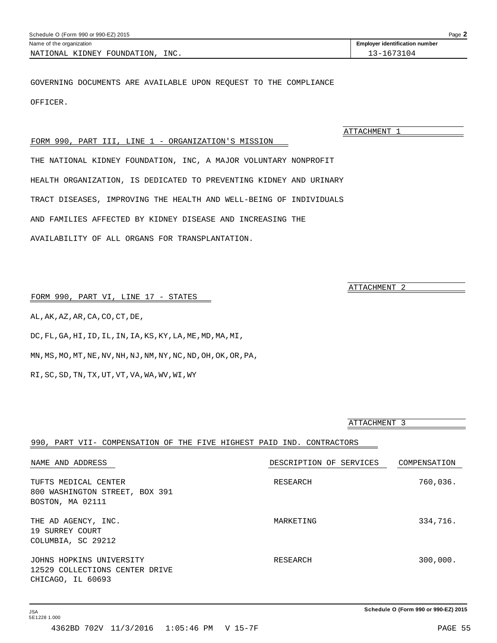<span id="page-53-0"></span>

| Schedule O (Form 990 or 990-EZ) 2015 |                                       |  |  |  |  |
|--------------------------------------|---------------------------------------|--|--|--|--|
| Name of the organization             | <b>Employer identification number</b> |  |  |  |  |
| INC.<br>NATIONAL KIDNEY FOUNDATION,  | 3-1673104                             |  |  |  |  |

GOVERNING DOCUMENTS ARE AVAILABLE UPON REQUEST TO THE COMPLIANCE OFFICER.

FORM 990, PART III, LINE 1 - ORGANIZATION'S MISSION

THE NATIONAL KIDNEY FOUNDATION, INC, A MAJOR VOLUNTARY NONPROFIT HEALTH ORGANIZATION, IS DEDICATED TO PREVENTING KIDNEY AND URINARY TRACT DISEASES, IMPROVING THE HEALTH AND WELL-BEING OF INDIVIDUALS AND FAMILIES AFFECTED BY KIDNEY DISEASE AND INCREASING THE AVAILABILITY OF ALL ORGANS FOR TRANSPLANTATION.

FORM 990, PART VI, LINE 17 - STATES

AL,AK,AZ,AR,CA,CO,CT,DE,

DC,FL,GA,HI,ID,IL,IN,IA,KS,KY,LA,ME,MD,MA,MI,

MN,MS,MO,MT,NE,NV,NH,NJ,NM,NY,NC,ND,OH,OK,OR,PA,

RI,SC,SD,TN,TX,UT,VT,VA,WA,WV,WI,WY

ATTACHMENT 3

| 990, PART VII- COMPENSATION OF THE FIVE HIGHEST PAID IND. CONTRACTORS           |                         |              |
|---------------------------------------------------------------------------------|-------------------------|--------------|
| NAME AND ADDRESS                                                                | DESCRIPTION OF SERVICES | COMPENSATION |
| TUFTS MEDICAL CENTER<br>800 WASHINGTON STREET, BOX 391<br>BOSTON, MA 02111      | RESEARCH                | 760,036.     |
| THE AD AGENCY, INC.<br>19 SURREY COURT<br>COLUMBIA, SC 29212                    | MARKETING               | 334,716.     |
| JOHNS HOPKINS UNIVERSITY<br>12529 COLLECTIONS CENTER DRIVE<br>CHICAGO, IL 60693 | RESEARCH                | 300,000.     |

ATTACHMENT 1

ATTACHMENT 2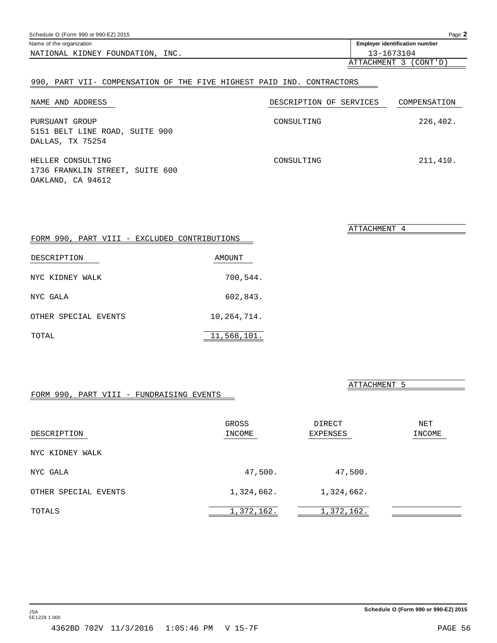# <span id="page-54-0"></span>Schedule O (Form 990 or 990-EZ) 2015 Page **2** Name of the organization **intervalse of the organization intervalse of the organization intervalse of the organization intervalse of the organization intervalse of the organization intervalse of the organization** NATIONAL KIDNEY FOUNDATION, INC. 13-1673104

# 990, PART VII- COMPENSATION OF THE FIVE HIGHEST PAID IND. CONTRACTORS

| NAME AND ADDRESS                                                          | DESCRIPTION OF SERVICES | COMPENSATION |
|---------------------------------------------------------------------------|-------------------------|--------------|
| PURSUANT GROUP<br>5151 BELT LINE ROAD, SUITE 900<br>DALLAS, TX 75254      | CONSULTING              | 226,402.     |
| HELLER CONSULTING<br>1736 FRANKLIN STREET, SUITE 600<br>OAKLAND, CA 94612 | CONSULTING              | 211,410.     |

| FORM 990, PART VIII - EXCLUDED CONTRIBUTIONS |             |
|----------------------------------------------|-------------|
| DESCRIPTION                                  | AMOUNT      |
| NYC KIDNEY WALK                              | 700,544.    |
| NYC GALA                                     | 602,843.    |
| OTHER SPECIAL EVENTS                         | 10,264,714. |
| TOTAL                                        | 11,568,101. |

# FORM 990, PART VIII - FUNDRAISING EVENTS

GROSS DIRECT NET DESCRIPTION INCOME EXPENSES INCOME NYC KIDNEY WALK

| NYC GALA             | 47,500.    | 47,500.    |  |
|----------------------|------------|------------|--|
| OTHER SPECIAL EVENTS | 1,324,662. | 1,324,662. |  |
| TOTALS               | 1,372,162. | 1,372,162. |  |

ATTACHMENT 3 (CONT'D)

ATTACHMENT 4

ATTACHMENT 5

| TMCOME     | EXPENSES   | ΤW |
|------------|------------|----|
|            |            |    |
|            |            |    |
| 47,500.    | 47,500.    |    |
| 1,324,662. | 1,324,662. |    |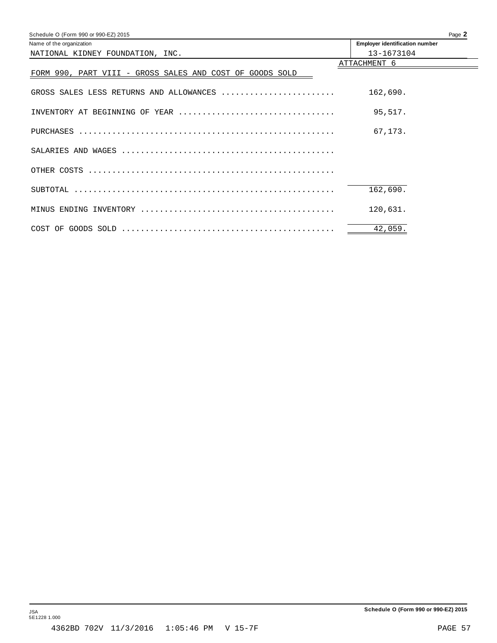<span id="page-55-0"></span>

| Schedule O (Form 990 or 990-EZ) 2015                     | Page 2                                |
|----------------------------------------------------------|---------------------------------------|
| Name of the organization                                 | <b>Employer identification number</b> |
| NATIONAL KIDNEY FOUNDATION, INC.                         | 13-1673104                            |
|                                                          | ATTACHMENT 6                          |
| FORM 990, PART VIII - GROSS SALES AND COST OF GOODS SOLD |                                       |
|                                                          |                                       |
| GROSS SALES LESS RETURNS AND ALLOWANCES                  | 162,690.                              |
|                                                          |                                       |
| INVENTORY AT BEGINNING OF YEAR                           | 95,517.                               |
|                                                          |                                       |
|                                                          | 67,173.                               |
|                                                          |                                       |
|                                                          |                                       |
|                                                          |                                       |
|                                                          |                                       |
|                                                          | 162,690.                              |
|                                                          | 120,631.                              |
|                                                          |                                       |
|                                                          | 42,059.                               |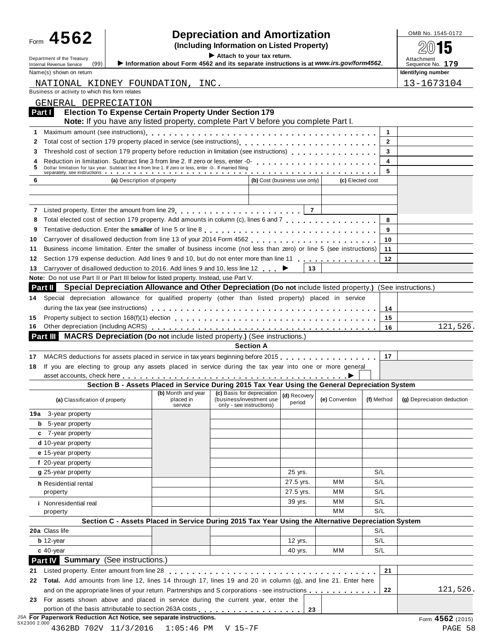# $\begin{array}{r} \text{Form} \begin{array}{c} \textbf{4562} \\ \textbf{90145} \end{array} \end{array}$  **Pepreciation and Amortization**<br>  $\begin{array}{r} \text{Inequality} \end{array}$

I **Attach to your tax return.** À¾µ¹ Department of the Treasury Internal Revenue Service Attachment (99) I**Information about Form <sup>4562</sup> and its separate instructions is at** *www.irs.gov/form4562***.** Sequence No. **<sup>179</sup>** Name(s) shown on return **Identifying number Identifying number Identifying number** 

| NATIONAL KIDNEY FOUNDATION, INC.                                                                                                                                                                                                          |                                                                                                             |                                                      |                  |                              |                  |              | 13-1673104                 |
|-------------------------------------------------------------------------------------------------------------------------------------------------------------------------------------------------------------------------------------------|-------------------------------------------------------------------------------------------------------------|------------------------------------------------------|------------------|------------------------------|------------------|--------------|----------------------------|
| Business or activity to which this form relates                                                                                                                                                                                           |                                                                                                             |                                                      |                  |                              |                  |              |                            |
| GENERAL DEPRECIATION                                                                                                                                                                                                                      |                                                                                                             |                                                      |                  |                              |                  |              |                            |
| Part I                                                                                                                                                                                                                                    | <b>Election To Expense Certain Property Under Section 179</b>                                               |                                                      |                  |                              |                  |              |                            |
|                                                                                                                                                                                                                                           | Note: If you have any listed property, complete Part V before you complete Part I.                          |                                                      |                  |                              |                  |              |                            |
| 1                                                                                                                                                                                                                                         |                                                                                                             |                                                      |                  |                              |                  | 1            |                            |
| Total cost of section 179 property placed in service (see instructions)<br>2                                                                                                                                                              |                                                                                                             |                                                      |                  |                              |                  | $\mathbf{2}$ |                            |
| Threshold cost of section 179 property before reduction in limitation (see instructions)<br>3                                                                                                                                             |                                                                                                             |                                                      |                  |                              |                  | 3            |                            |
| Reduction in limitation. Subtract line 3 from line 2. If zero or less, enter -0-<br>Theory of the response of the response of the response of the response of the 3 from line 2. If $\alpha$ is a response of the response of the re<br>4 |                                                                                                             |                                                      |                  |                              |                  | 4            |                            |
| Dollar limitation for tax year. Subtract line 4 from line 1. If zero or less, enter -0-. If married filing <b>Fact of Line 1. If and the separately, see instructions</b><br>5                                                            |                                                                                                             |                                                      |                  |                              |                  | 5            |                            |
| 6                                                                                                                                                                                                                                         | (a) Description of property                                                                                 |                                                      |                  | (b) Cost (business use only) | (c) Elected cost |              |                            |
|                                                                                                                                                                                                                                           |                                                                                                             |                                                      |                  |                              |                  |              |                            |
|                                                                                                                                                                                                                                           |                                                                                                             |                                                      |                  |                              |                  |              |                            |
| 7 Listed property. Enter the amount from line 29 [10] [10] Listed property. Enter the amount from line 29                                                                                                                                 |                                                                                                             |                                                      |                  | $\overline{7}$               |                  |              |                            |
| Total elected cost of section 179 property. Add amounts in column (c), lines 6 and 7<br>8                                                                                                                                                 |                                                                                                             |                                                      |                  |                              |                  | 8            |                            |
| 9                                                                                                                                                                                                                                         |                                                                                                             |                                                      |                  |                              |                  | 9            |                            |
| 10                                                                                                                                                                                                                                        |                                                                                                             |                                                      |                  |                              |                  | 10           |                            |
| Business income limitation. Enter the smaller of business income (not less than zero) or line 5 (see instructions)<br>11                                                                                                                  |                                                                                                             |                                                      |                  |                              |                  | 11           |                            |
| 12                                                                                                                                                                                                                                        |                                                                                                             |                                                      |                  |                              |                  | 12           |                            |
| Carryover of disallowed deduction to 2016. Add lines 9 and 10, less line 12 . ↓<br>13                                                                                                                                                     |                                                                                                             |                                                      |                  | 13                           |                  |              |                            |
| Note: Do not use Part II or Part III below for listed property. Instead, use Part V.                                                                                                                                                      |                                                                                                             |                                                      |                  |                              |                  |              |                            |
| Part II                                                                                                                                                                                                                                   | Special Depreciation Allowance and Other Depreciation (Do not include listed property.) (See instructions.) |                                                      |                  |                              |                  |              |                            |
| Special depreciation allowance for qualified property (other than listed property) placed in service<br>14                                                                                                                                |                                                                                                             |                                                      |                  |                              |                  |              |                            |
| during the tax year (see instructions) enterpreeding respectively respectively respectively respectively during                                                                                                                           |                                                                                                             |                                                      |                  |                              |                  | 14           |                            |
| 15                                                                                                                                                                                                                                        |                                                                                                             |                                                      |                  |                              |                  | 15           |                            |
| 16                                                                                                                                                                                                                                        |                                                                                                             |                                                      |                  |                              |                  | 16           | 121,526.                   |
| Part III MACRS Depreciation (Do not include listed property.) (See instructions.)                                                                                                                                                         |                                                                                                             |                                                      |                  |                              |                  |              |                            |
|                                                                                                                                                                                                                                           |                                                                                                             |                                                      | <b>Section A</b> |                              |                  |              |                            |
| 17                                                                                                                                                                                                                                        |                                                                                                             |                                                      |                  |                              |                  | 17           |                            |
| If you are electing to group any assets placed in service during the tax year into one or more general<br>18                                                                                                                              |                                                                                                             |                                                      |                  |                              |                  |              |                            |
|                                                                                                                                                                                                                                           | Section B - Assets Placed in Service During 2015 Tax Year Using the General Depreciation System             |                                                      |                  |                              |                  |              |                            |
|                                                                                                                                                                                                                                           | (b) Month and year                                                                                          | (c) Basis for depreciation                           |                  | (d) Recovery                 |                  |              |                            |
| (a) Classification of property                                                                                                                                                                                                            | placed in<br>service                                                                                        | (business/investment use<br>only - see instructions) |                  | period                       | (e) Convention   | (f) Method   | (g) Depreciation deduction |
| 3-year property<br>19a                                                                                                                                                                                                                    |                                                                                                             |                                                      |                  |                              |                  |              |                            |
| <b>b</b> 5-year property                                                                                                                                                                                                                  |                                                                                                             |                                                      |                  |                              |                  |              |                            |
| c 7-year property                                                                                                                                                                                                                         |                                                                                                             |                                                      |                  |                              |                  |              |                            |
|                                                                                                                                                                                                                                           |                                                                                                             |                                                      |                  |                              |                  |              |                            |
| d 10-year property                                                                                                                                                                                                                        |                                                                                                             |                                                      |                  |                              |                  |              |                            |
| e 15-year property                                                                                                                                                                                                                        |                                                                                                             |                                                      |                  |                              |                  |              |                            |
| f 20-year property                                                                                                                                                                                                                        |                                                                                                             |                                                      |                  |                              |                  |              |                            |
| g 25-year property                                                                                                                                                                                                                        |                                                                                                             |                                                      |                  | 25 yrs.                      |                  | S/L          |                            |
| h Residential rental                                                                                                                                                                                                                      |                                                                                                             |                                                      |                  | 27.5 yrs.                    | мм               | S/L          |                            |
| property                                                                                                                                                                                                                                  |                                                                                                             |                                                      |                  | 27.5 yrs.                    | мм               | S/L          |                            |
| i Nonresidential real                                                                                                                                                                                                                     |                                                                                                             |                                                      |                  | 39 yrs.                      | мм               | S/L          |                            |
| property                                                                                                                                                                                                                                  |                                                                                                             |                                                      |                  |                              | MМ               | S/L          |                            |
|                                                                                                                                                                                                                                           | Section C - Assets Placed in Service During 2015 Tax Year Using the Alternative Depreciation System         |                                                      |                  |                              |                  |              |                            |
|                                                                                                                                                                                                                                           |                                                                                                             |                                                      |                  |                              |                  | S/L          |                            |
| $b$ 12-year                                                                                                                                                                                                                               |                                                                                                             |                                                      |                  | 12 yrs.                      |                  | S/L          |                            |
| 20a Class life<br>$c$ 40-year                                                                                                                                                                                                             |                                                                                                             |                                                      |                  | 40 yrs.                      | мм               | S/L          |                            |
| Part IV Summary (See instructions.)                                                                                                                                                                                                       |                                                                                                             |                                                      |                  |                              |                  |              |                            |
| Listed property. Enter amount from line 28                                                                                                                                                                                                | .                                                                                                           |                                                      |                  |                              |                  | 21           |                            |
| 21<br>22 Total. Add amounts from line 12, lines 14 through 17, lines 19 and 20 in column (g), and line 21. Enter here<br>and on the appropriate lines of your return. Partnerships and S corporations - see instructions                  |                                                                                                             |                                                      |                  |                              |                  | 22           | 121,526.                   |

portion of the basis attributable to section 263A costs m m m m m m m m m m m m m m m m m m **<sup>23</sup>**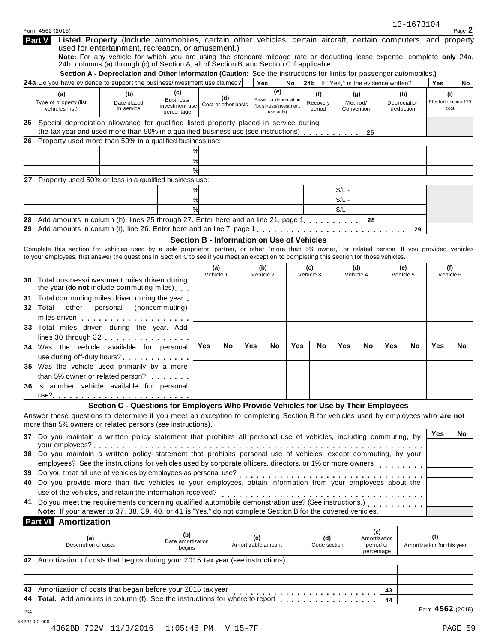|          | Form 4562 (2015)                                                                                                                                                                                                                                                                                                                                    |                                                                                                                                                                                                                     |                                                   |     |                            |     |                                                             |     |                                        |            |                                  |          | 13-1673104                       |                                    | Page 2    |
|----------|-----------------------------------------------------------------------------------------------------------------------------------------------------------------------------------------------------------------------------------------------------------------------------------------------------------------------------------------------------|---------------------------------------------------------------------------------------------------------------------------------------------------------------------------------------------------------------------|---------------------------------------------------|-----|----------------------------|-----|-------------------------------------------------------------|-----|----------------------------------------|------------|----------------------------------|----------|----------------------------------|------------------------------------|-----------|
|          | Part V                                                                                                                                                                                                                                                                                                                                              | Listed Property (Include automobiles, certain other vehicles, certain aircraft, certain computers, and property<br>used for entertainment, recreation, or amusement.)                                               |                                                   |     |                            |     |                                                             |     |                                        |            |                                  |          |                                  |                                    |           |
|          |                                                                                                                                                                                                                                                                                                                                                     | Note: For any vehicle for which you are using the standard mileage rate or deducting lease expense, complete only 24a,<br>24b, columns (a) through (c) of Section A, all of Section B, and Section C if applicable. |                                                   |     |                            |     |                                                             |     |                                        |            |                                  |          |                                  |                                    |           |
|          |                                                                                                                                                                                                                                                                                                                                                     | Section A - Depreciation and Other Information (Caution: See the instructions for limits for passenger automobiles.)                                                                                                |                                                   |     |                            |     |                                                             |     |                                        |            |                                  |          |                                  |                                    |           |
|          | 24a Do you have evidence to support the business/investment use claimed?                                                                                                                                                                                                                                                                            |                                                                                                                                                                                                                     |                                                   |     |                            |     | Yes<br>(e)                                                  | No  | 24b If "Yes," is the evidence written? |            |                                  |          |                                  | Yes                                | No        |
|          | (a)<br>Type of property (list<br>vehicles first)                                                                                                                                                                                                                                                                                                    | (b)<br>Date placed<br>in service                                                                                                                                                                                    | (c)<br>Business/<br>investment use<br>percentage  |     | (d)<br>Cost or other basis |     | Basis for depreciation<br>(business/investment<br>use only) |     | (f)<br>Recovery<br>period              | Convention | (g)<br>Method/                   |          | (h)<br>Depreciation<br>deduction | (i)<br>Elected section 179<br>cost |           |
|          | 25 Special depreciation allowance for qualified listed property placed in service during<br>the tax year and used more than 50% in a qualified business use (see instructions)                                                                                                                                                                      |                                                                                                                                                                                                                     |                                                   |     |                            |     |                                                             |     |                                        |            | 25                               |          |                                  |                                    |           |
| 26       | Property used more than 50% in a qualified business use:                                                                                                                                                                                                                                                                                            |                                                                                                                                                                                                                     |                                                   |     |                            |     |                                                             |     |                                        |            |                                  |          |                                  |                                    |           |
|          |                                                                                                                                                                                                                                                                                                                                                     |                                                                                                                                                                                                                     | ℅                                                 |     |                            |     |                                                             |     |                                        |            |                                  |          |                                  |                                    |           |
|          |                                                                                                                                                                                                                                                                                                                                                     |                                                                                                                                                                                                                     | %                                                 |     |                            |     |                                                             |     |                                        |            |                                  |          |                                  |                                    |           |
|          |                                                                                                                                                                                                                                                                                                                                                     |                                                                                                                                                                                                                     | $\frac{0}{0}$                                     |     |                            |     |                                                             |     |                                        |            |                                  |          |                                  |                                    |           |
|          | 27 Property used 50% or less in a qualified business use:                                                                                                                                                                                                                                                                                           |                                                                                                                                                                                                                     |                                                   |     |                            |     |                                                             |     |                                        |            |                                  |          |                                  |                                    |           |
|          |                                                                                                                                                                                                                                                                                                                                                     |                                                                                                                                                                                                                     | %                                                 |     |                            |     |                                                             |     |                                        | $S/L -$    |                                  |          |                                  |                                    |           |
|          |                                                                                                                                                                                                                                                                                                                                                     |                                                                                                                                                                                                                     | %                                                 |     |                            |     |                                                             |     |                                        | $S/L -$    |                                  |          |                                  |                                    |           |
|          |                                                                                                                                                                                                                                                                                                                                                     |                                                                                                                                                                                                                     | $\frac{0}{0}$                                     |     |                            |     |                                                             |     |                                        | $S/L -$    |                                  |          |                                  |                                    |           |
| 28<br>29 | Add amounts in column (h), lines 25 through 27. Enter here and on line 21, page 1.                                                                                                                                                                                                                                                                  |                                                                                                                                                                                                                     |                                                   |     |                            |     |                                                             |     |                                        |            | 28                               |          |                                  |                                    |           |
|          |                                                                                                                                                                                                                                                                                                                                                     |                                                                                                                                                                                                                     |                                                   |     |                            |     |                                                             |     |                                        |            |                                  |          | 29                               |                                    |           |
|          | Complete this section for vehicles used by a sole proprietor, partner, or other "more than 5% owner," or related person. If you provided vehicles<br>to your employees, first answer the questions in Section C to see if you meet an exception to completing this section for those vehicles.                                                      |                                                                                                                                                                                                                     | <b>Section B - Information on Use of Vehicles</b> |     |                            |     |                                                             |     |                                        |            |                                  |          |                                  |                                    |           |
|          |                                                                                                                                                                                                                                                                                                                                                     |                                                                                                                                                                                                                     |                                                   |     | (a)                        |     | (b)                                                         |     | (c)                                    |            | (d)                              |          | (e)                              |                                    | (f)       |
|          | 30 Total business/investment miles driven during<br>the year (do not include commuting miles)                                                                                                                                                                                                                                                       |                                                                                                                                                                                                                     |                                                   |     | Vehicle 1                  |     | Vehicle 2                                                   |     | Vehicle 3                              |            | Vehicle 4                        |          | Vehicle 5                        | Vehicle 6                          |           |
|          | Total commuting miles driven during the year<br>32 Total<br>other                                                                                                                                                                                                                                                                                   | personal                                                                                                                                                                                                            | (noncommuting)                                    |     |                            |     |                                                             |     |                                        |            |                                  |          |                                  |                                    |           |
|          | miles driven                                                                                                                                                                                                                                                                                                                                        |                                                                                                                                                                                                                     |                                                   |     |                            |     |                                                             |     |                                        |            |                                  |          |                                  |                                    |           |
|          | 33 Total miles driven during the year. Add                                                                                                                                                                                                                                                                                                          |                                                                                                                                                                                                                     |                                                   |     |                            |     |                                                             |     |                                        |            |                                  |          |                                  |                                    |           |
|          | lines 30 through $32$ . The state of the state of the state of the state of the state of the state of the state of the state of the state of the state of the state of the state of the state of the state of the state of th                                                                                                                       |                                                                                                                                                                                                                     |                                                   | Yes | No                         | Yes | No                                                          | Yes | No                                     | Yes        | No                               | Yes      | No                               | Yes                                | <b>No</b> |
|          | 34 Was the vehicle available for personal                                                                                                                                                                                                                                                                                                           |                                                                                                                                                                                                                     |                                                   |     |                            |     |                                                             |     |                                        |            |                                  |          |                                  |                                    |           |
|          | use during off-duty hours?<br>35 Was the vehicle used primarily by a more                                                                                                                                                                                                                                                                           |                                                                                                                                                                                                                     |                                                   |     |                            |     |                                                             |     |                                        |            |                                  |          |                                  |                                    |           |
|          | than 5% owner or related person?                                                                                                                                                                                                                                                                                                                    |                                                                                                                                                                                                                     |                                                   |     |                            |     |                                                             |     |                                        |            |                                  |          |                                  |                                    |           |
|          | 36 Is another vehicle available for personal                                                                                                                                                                                                                                                                                                        |                                                                                                                                                                                                                     |                                                   |     |                            |     |                                                             |     |                                        |            |                                  |          |                                  |                                    |           |
|          |                                                                                                                                                                                                                                                                                                                                                     |                                                                                                                                                                                                                     |                                                   |     |                            |     |                                                             |     |                                        |            |                                  |          |                                  |                                    |           |
|          |                                                                                                                                                                                                                                                                                                                                                     | Section C - Questions for Employers Who Provide Vehicles for Use by Their Employees                                                                                                                                 |                                                   |     |                            |     |                                                             |     |                                        |            |                                  |          |                                  |                                    |           |
|          | Answer these questions to determine if you meet an exception to completing Section B for vehicles used by employees who are not                                                                                                                                                                                                                     |                                                                                                                                                                                                                     |                                                   |     |                            |     |                                                             |     |                                        |            |                                  |          |                                  |                                    |           |
|          | more than 5% owners or related persons (see instructions).                                                                                                                                                                                                                                                                                          |                                                                                                                                                                                                                     |                                                   |     |                            |     |                                                             |     |                                        |            |                                  |          |                                  |                                    |           |
|          | Do you maintain a written policy statement that prohibits all personal use of vehicles, including commuting, by<br>37                                                                                                                                                                                                                               |                                                                                                                                                                                                                     |                                                   |     |                            |     |                                                             |     |                                        |            |                                  |          |                                  | Yes                                | No        |
|          | your employees?<br>38 Do you maintain a written policy statement that prohibits personal use of vehicles, except commuting, by your                                                                                                                                                                                                                 |                                                                                                                                                                                                                     |                                                   |     |                            |     |                                                             |     |                                        |            |                                  |          |                                  |                                    |           |
|          |                                                                                                                                                                                                                                                                                                                                                     |                                                                                                                                                                                                                     |                                                   |     |                            |     |                                                             |     |                                        |            |                                  |          |                                  |                                    |           |
|          | Do you treat all use of vehicles by employees as personal use?<br>ou you treat all use of venicles by employees as personal use?<br>40 Do you provide more than five vehicles to your employees, obtain information from your employees about the                                                                                                   |                                                                                                                                                                                                                     |                                                   |     |                            |     |                                                             |     |                                        |            |                                  |          |                                  |                                    |           |
|          | use of the vehicles, and retain the information received?                                                                                                                                                                                                                                                                                           |                                                                                                                                                                                                                     |                                                   |     |                            |     |                                                             |     |                                        |            |                                  |          |                                  |                                    |           |
|          | use of the vehicles, and retain the information received?<br>41 Do you meet the requirements concerning qualified automobile demonstration use? (See instructions.)<br>41 Do you meet the requirements concerning qualified automobi<br>Note: If your answer to 37, 38, 39, 40, or 41 is "Yes," do not complete Section B for the covered vehicles. |                                                                                                                                                                                                                     |                                                   |     |                            |     |                                                             |     |                                        |            |                                  |          |                                  |                                    |           |
|          | <b>Part VI</b> Amortization                                                                                                                                                                                                                                                                                                                         |                                                                                                                                                                                                                     |                                                   |     |                            |     |                                                             |     |                                        |            |                                  |          |                                  |                                    |           |
|          | (a)<br>Description of costs                                                                                                                                                                                                                                                                                                                         |                                                                                                                                                                                                                     | (b)<br>Date amortization<br>begins                |     |                            | (c) | Amortizable amount                                          |     | (d)<br>Code section                    |            | (e)<br>Amortization<br>period or |          |                                  | (f)<br>Amortization for this year  |           |
|          | 42 Amortization of costs that begins during your 2015 tax year (see instructions):                                                                                                                                                                                                                                                                  |                                                                                                                                                                                                                     |                                                   |     |                            |     |                                                             |     |                                        |            | percentage                       |          |                                  |                                    |           |
|          |                                                                                                                                                                                                                                                                                                                                                     |                                                                                                                                                                                                                     |                                                   |     |                            |     |                                                             |     |                                        |            |                                  |          |                                  |                                    |           |
|          |                                                                                                                                                                                                                                                                                                                                                     |                                                                                                                                                                                                                     |                                                   |     |                            |     |                                                             |     |                                        |            |                                  |          |                                  |                                    |           |
|          |                                                                                                                                                                                                                                                                                                                                                     |                                                                                                                                                                                                                     |                                                   |     |                            |     |                                                             |     |                                        |            |                                  |          |                                  |                                    |           |
|          | Amortization of costs that began before your 2015 tax year<br>Total. Add amounts in column (f). See the instructions for where to report                                                                                                                                                                                                            |                                                                                                                                                                                                                     |                                                   |     |                            |     |                                                             |     |                                        |            |                                  | 43<br>44 |                                  |                                    |           |